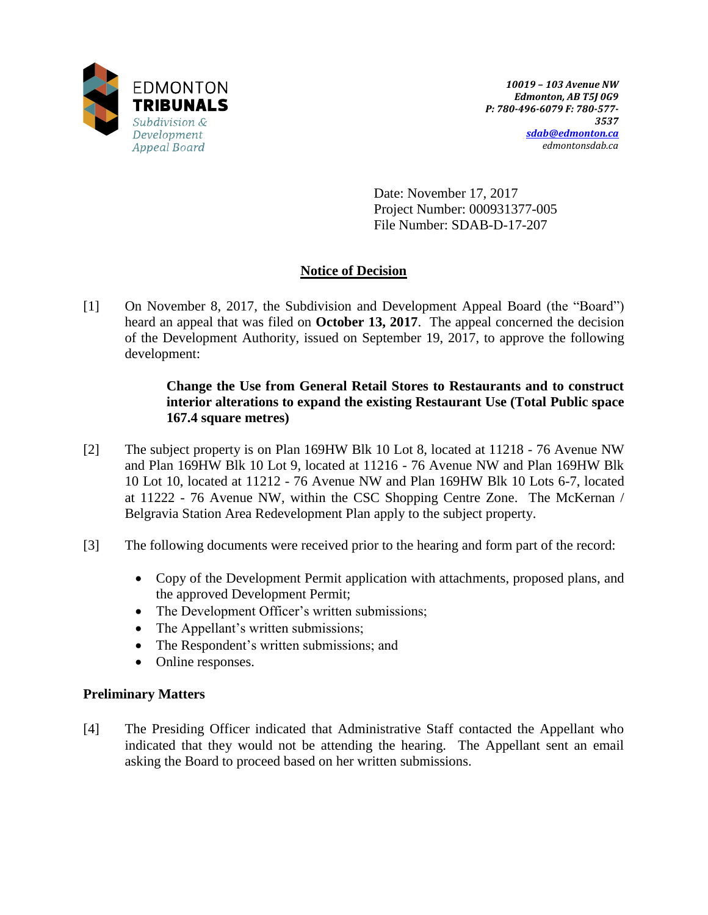

Date: November 17, 2017 Project Number: 000931377-005 File Number: SDAB-D-17-207

# **Notice of Decision**

[1] On November 8, 2017, the Subdivision and Development Appeal Board (the "Board") heard an appeal that was filed on **October 13, 2017**. The appeal concerned the decision of the Development Authority, issued on September 19, 2017, to approve the following development:

# **Change the Use from General Retail Stores to Restaurants and to construct interior alterations to expand the existing Restaurant Use (Total Public space 167.4 square metres)**

- [2] The subject property is on Plan 169HW Blk 10 Lot 8, located at 11218 76 Avenue NW and Plan 169HW Blk 10 Lot 9, located at 11216 - 76 Avenue NW and Plan 169HW Blk 10 Lot 10, located at 11212 - 76 Avenue NW and Plan 169HW Blk 10 Lots 6-7, located at 11222 - 76 Avenue NW, within the CSC Shopping Centre Zone. The McKernan / Belgravia Station Area Redevelopment Plan apply to the subject property.
- [3] The following documents were received prior to the hearing and form part of the record:
	- Copy of the Development Permit application with attachments, proposed plans, and the approved Development Permit;
	- The Development Officer's written submissions;
	- The Appellant's written submissions;
	- The Respondent's written submissions; and
	- Online responses.

# **Preliminary Matters**

[4] The Presiding Officer indicated that Administrative Staff contacted the Appellant who indicated that they would not be attending the hearing. The Appellant sent an email asking the Board to proceed based on her written submissions.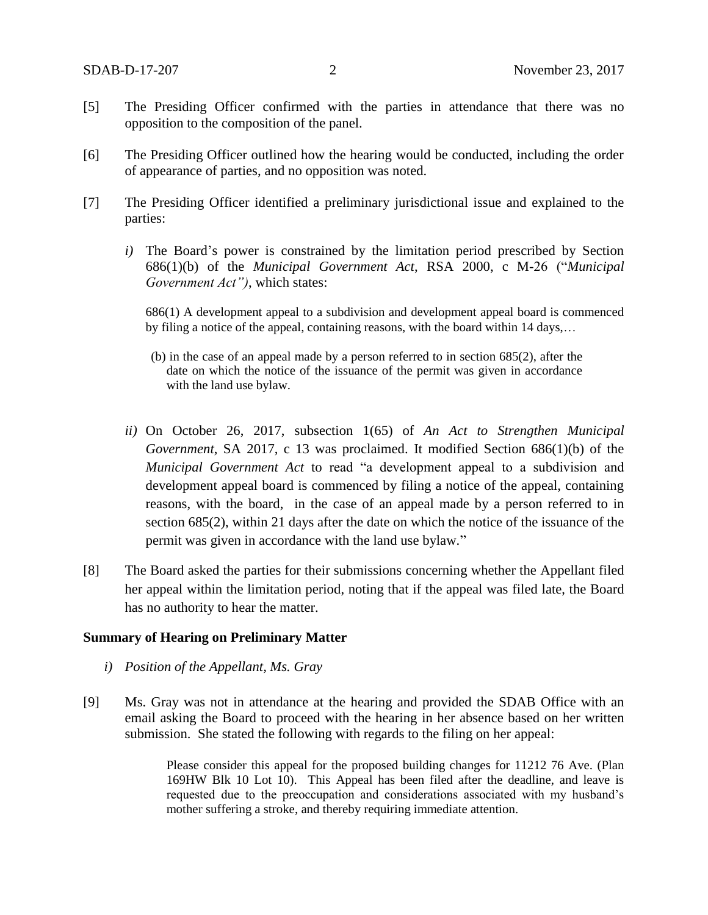- [5] The Presiding Officer confirmed with the parties in attendance that there was no opposition to the composition of the panel.
- [6] The Presiding Officer outlined how the hearing would be conducted, including the order of appearance of parties, and no opposition was noted.
- [7] The Presiding Officer identified a preliminary jurisdictional issue and explained to the parties:
	- *i)* The Board's power is constrained by the limitation period prescribed by Section 686(1)(b) of the *Municipal Government Act*, RSA 2000, c M-26 ("*Municipal Government Act")*, which states:

686(1) A development appeal to a subdivision and development appeal board is commenced by filing a notice of the appeal, containing reasons, with the board within 14 days,…

- (b) in the case of an appeal made by a person referred to in section 685(2), after the date on which the notice of the issuance of the permit was given in accordance with the land use bylaw.
- *ii)* On October 26, 2017, subsection 1(65) of *An Act to Strengthen Municipal Government*, SA 2017, c 13 was proclaimed. It modified Section 686(1)(b) of the *Municipal Government Act* to read "a development appeal to a subdivision and development appeal board is commenced by filing a notice of the appeal, containing reasons, with the board, in the case of an appeal made by a person referred to in section 685(2), within 21 days after the date on which the notice of the issuance of the permit was given in accordance with the land use bylaw."
- [8] The Board asked the parties for their submissions concerning whether the Appellant filed her appeal within the limitation period, noting that if the appeal was filed late, the Board has no authority to hear the matter.

#### **Summary of Hearing on Preliminary Matter**

- *i) Position of the Appellant, Ms. Gray*
- [9] Ms. Gray was not in attendance at the hearing and provided the SDAB Office with an email asking the Board to proceed with the hearing in her absence based on her written submission. She stated the following with regards to the filing on her appeal:

Please consider this appeal for the proposed building changes for 11212 76 Ave. (Plan 169HW Blk 10 Lot 10). This Appeal has been filed after the deadline, and leave is requested due to the preoccupation and considerations associated with my husband's mother suffering a stroke, and thereby requiring immediate attention.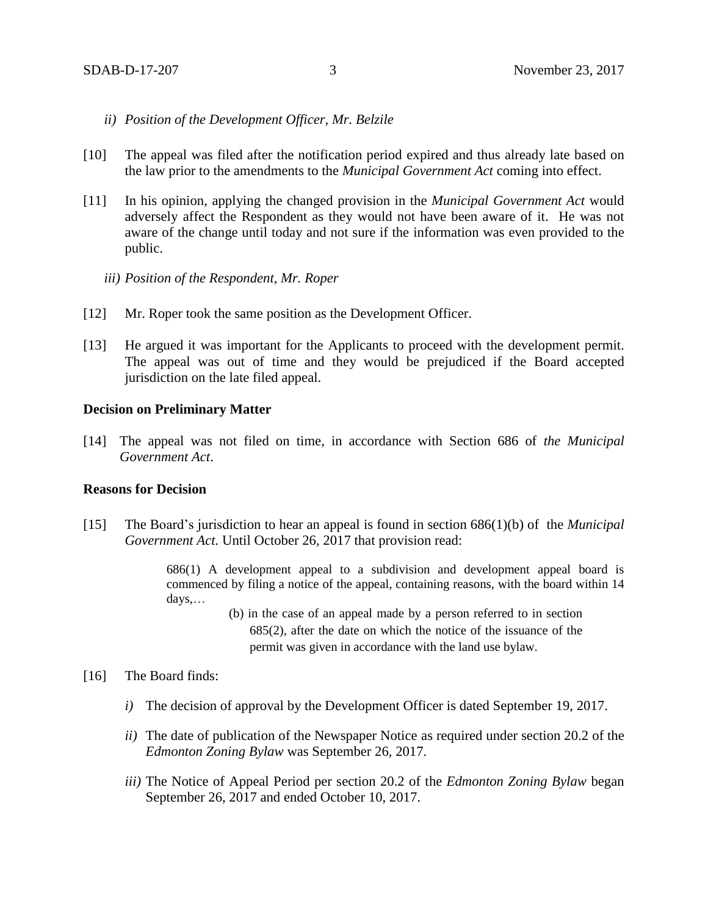- *ii) Position of the Development Officer, Mr. Belzile*
- [10] The appeal was filed after the notification period expired and thus already late based on the law prior to the amendments to the *Municipal Government Act* coming into effect.
- [11] In his opinion, applying the changed provision in the *Municipal Government Act* would adversely affect the Respondent as they would not have been aware of it. He was not aware of the change until today and not sure if the information was even provided to the public.
	- *iii) Position of the Respondent, Mr. Roper*
- [12] Mr. Roper took the same position as the Development Officer.
- [13] He argued it was important for the Applicants to proceed with the development permit. The appeal was out of time and they would be prejudiced if the Board accepted jurisdiction on the late filed appeal.

#### **Decision on Preliminary Matter**

[14] The appeal was not filed on time, in accordance with Section 686 of *the Municipal Government Act*.

## **Reasons for Decision**

[15] The Board's jurisdiction to hear an appeal is found in section 686(1)(b) of the *Municipal Government Act.* Until October 26, 2017 that provision read:

> 686(1) A development appeal to a subdivision and development appeal board is commenced by filing a notice of the appeal, containing reasons, with the board within 14 days,…

- (b) in the case of an appeal made by a person referred to in section 685(2), after the date on which the notice of the issuance of the permit was given in accordance with the land use bylaw.
- [16] The Board finds:
	- *i)* The decision of approval by the Development Officer is dated September 19, 2017.
	- *ii)* The date of publication of the Newspaper Notice as required under section 20.2 of the *Edmonton Zoning Bylaw* was September 26, 2017.
	- *iii)* The Notice of Appeal Period per section 20.2 of the *Edmonton Zoning Bylaw* began September 26, 2017 and ended October 10, 2017.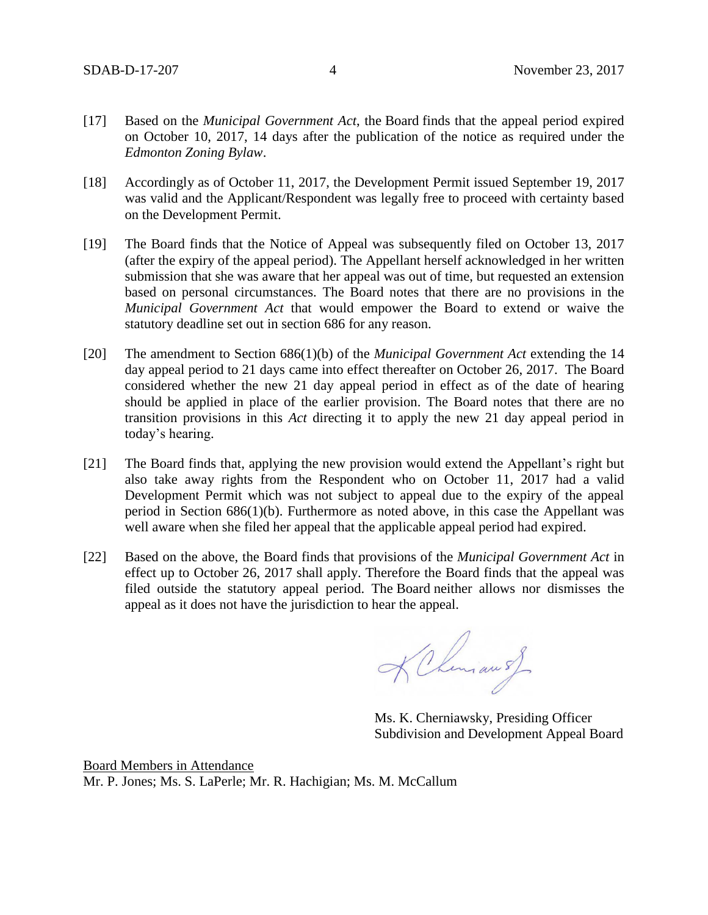- [17] Based on the *Municipal Government Act*, the Board finds that the appeal period expired on October 10, 2017, 14 days after the publication of the notice as required under the *Edmonton Zoning Bylaw*.
- [18] Accordingly as of October 11, 2017, the Development Permit issued September 19, 2017 was valid and the Applicant/Respondent was legally free to proceed with certainty based on the Development Permit.
- [19] The Board finds that the Notice of Appeal was subsequently filed on October 13, 2017 (after the expiry of the appeal period). The Appellant herself acknowledged in her written submission that she was aware that her appeal was out of time, but requested an extension based on personal circumstances. The Board notes that there are no provisions in the *Municipal Government Act* that would empower the Board to extend or waive the statutory deadline set out in section 686 for any reason.
- [20] The amendment to Section 686(1)(b) of the *Municipal Government Act* extending the 14 day appeal period to 21 days came into effect thereafter on October 26, 2017. The Board considered whether the new 21 day appeal period in effect as of the date of hearing should be applied in place of the earlier provision. The Board notes that there are no transition provisions in this *Act* directing it to apply the new 21 day appeal period in today's hearing.
- [21] The Board finds that, applying the new provision would extend the Appellant's right but also take away rights from the Respondent who on October 11, 2017 had a valid Development Permit which was not subject to appeal due to the expiry of the appeal period in Section 686(1)(b). Furthermore as noted above, in this case the Appellant was well aware when she filed her appeal that the applicable appeal period had expired.
- [22] Based on the above, the Board finds that provisions of the *Municipal Government Act* in effect up to October 26, 2017 shall apply. Therefore the Board finds that the appeal was filed outside the statutory appeal period. The Board neither allows nor dismisses the appeal as it does not have the jurisdiction to hear the appeal.

KChemian of

Ms. K. Cherniawsky, Presiding Officer Subdivision and Development Appeal Board

Board Members in Attendance Mr. P. Jones; Ms. S. LaPerle; Mr. R. Hachigian; Ms. M. McCallum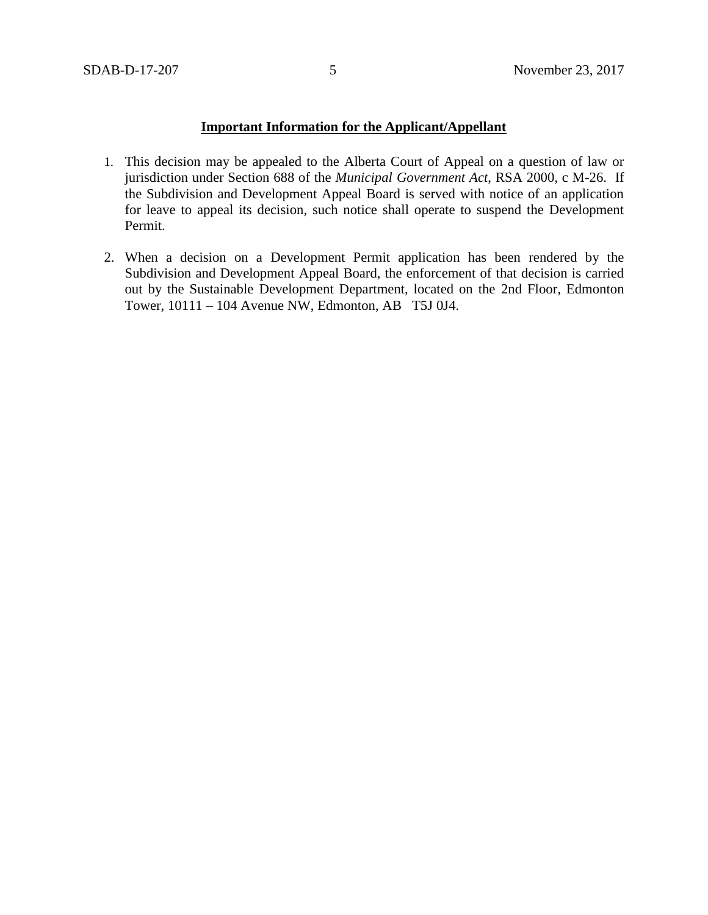# **Important Information for the Applicant/Appellant**

- 1. This decision may be appealed to the Alberta Court of Appeal on a question of law or jurisdiction under Section 688 of the *Municipal Government Act*, RSA 2000, c M-26. If the Subdivision and Development Appeal Board is served with notice of an application for leave to appeal its decision, such notice shall operate to suspend the Development Permit.
- 2. When a decision on a Development Permit application has been rendered by the Subdivision and Development Appeal Board, the enforcement of that decision is carried out by the Sustainable Development Department, located on the 2nd Floor, Edmonton Tower, 10111 – 104 Avenue NW, Edmonton, AB T5J 0J4.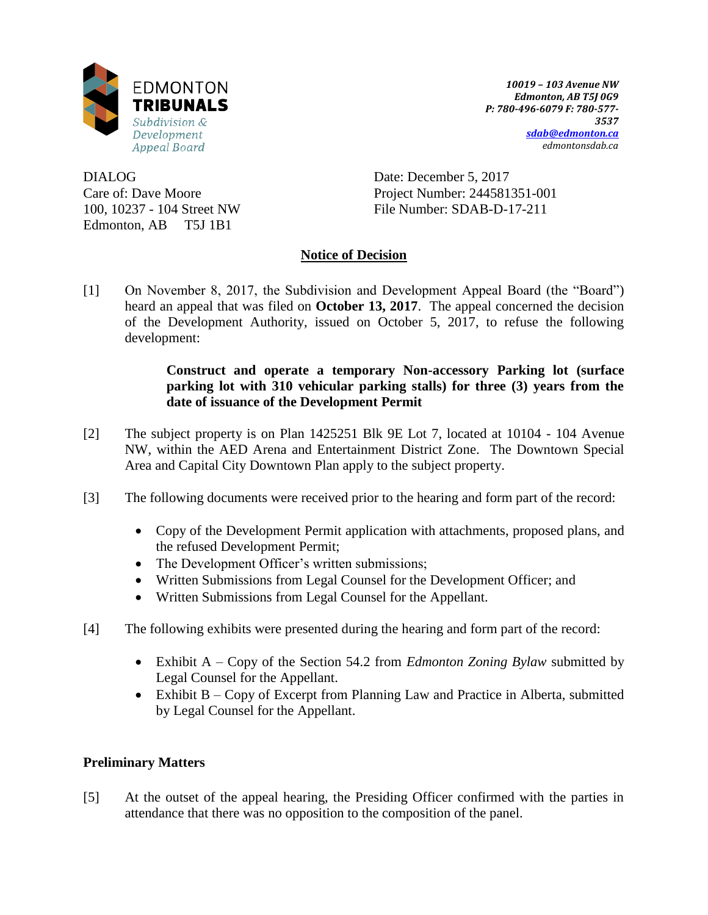

DIALOG Care of: Dave Moore 100, 10237 - 104 Street NW Edmonton, AB T5J 1B1

*10019 – 103 Avenue NW Edmonton, AB T5J 0G9 P: 780-496-6079 F: 780-577- 3537 [sdab@edmonton.ca](mailto:sdab@edmonton.ca) edmontonsdab.ca*

Date: December 5, 2017 Project Number: 244581351-001 File Number: SDAB-D-17-211

# **Notice of Decision**

[1] On November 8, 2017, the Subdivision and Development Appeal Board (the "Board") heard an appeal that was filed on **October 13, 2017**. The appeal concerned the decision of the Development Authority, issued on October 5, 2017, to refuse the following development:

# **Construct and operate a temporary Non-accessory Parking lot (surface parking lot with 310 vehicular parking stalls) for three (3) years from the date of issuance of the Development Permit**

- [2] The subject property is on Plan 1425251 Blk 9E Lot 7, located at 10104 104 Avenue NW, within the AED Arena and Entertainment District Zone. The Downtown Special Area and Capital City Downtown Plan apply to the subject property.
- [3] The following documents were received prior to the hearing and form part of the record:
	- Copy of the Development Permit application with attachments, proposed plans, and the refused Development Permit;
	- The Development Officer's written submissions;
	- Written Submissions from Legal Counsel for the Development Officer; and
	- Written Submissions from Legal Counsel for the Appellant.
- [4] The following exhibits were presented during the hearing and form part of the record:
	- Exhibit A Copy of the Section 54.2 from *Edmonton Zoning Bylaw* submitted by Legal Counsel for the Appellant.
	- Exhibit B Copy of Excerpt from Planning Law and Practice in Alberta, submitted by Legal Counsel for the Appellant.

# **Preliminary Matters**

[5] At the outset of the appeal hearing, the Presiding Officer confirmed with the parties in attendance that there was no opposition to the composition of the panel.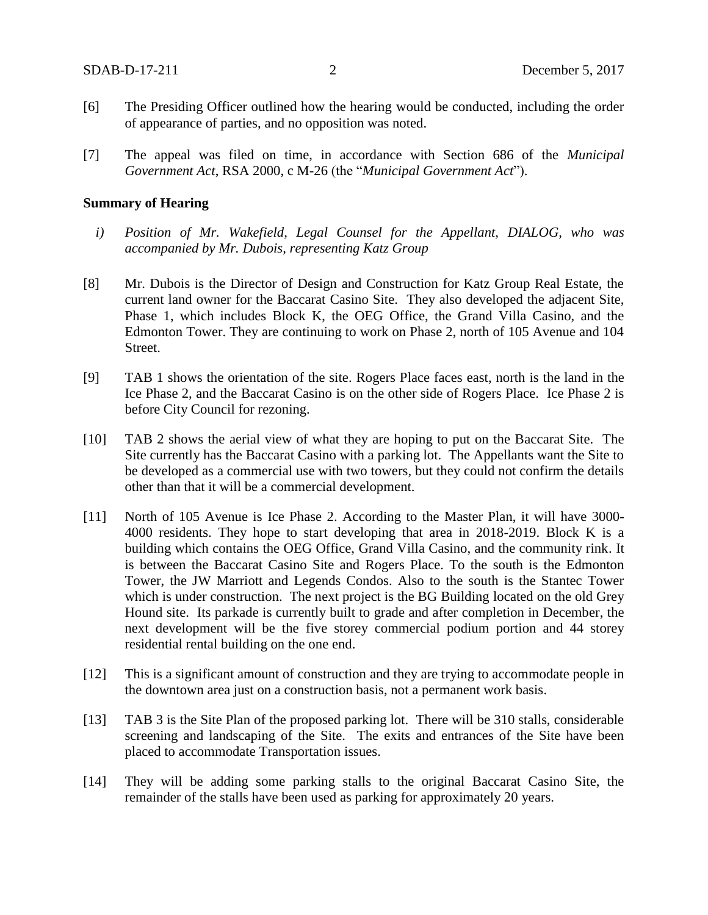- [6] The Presiding Officer outlined how the hearing would be conducted, including the order of appearance of parties, and no opposition was noted.
- [7] The appeal was filed on time, in accordance with Section 686 of the *Municipal Government Act*, RSA 2000, c M-26 (the "*Municipal Government Act*").

#### **Summary of Hearing**

- *i) Position of Mr. Wakefield, Legal Counsel for the Appellant, DIALOG, who was accompanied by Mr. Dubois, representing Katz Group*
- [8] Mr. Dubois is the Director of Design and Construction for Katz Group Real Estate, the current land owner for the Baccarat Casino Site. They also developed the adjacent Site, Phase 1, which includes Block K, the OEG Office, the Grand Villa Casino, and the Edmonton Tower. They are continuing to work on Phase 2, north of 105 Avenue and 104 Street.
- [9] TAB 1 shows the orientation of the site. Rogers Place faces east, north is the land in the Ice Phase 2, and the Baccarat Casino is on the other side of Rogers Place. Ice Phase 2 is before City Council for rezoning.
- [10] TAB 2 shows the aerial view of what they are hoping to put on the Baccarat Site. The Site currently has the Baccarat Casino with a parking lot. The Appellants want the Site to be developed as a commercial use with two towers, but they could not confirm the details other than that it will be a commercial development.
- [11] North of 105 Avenue is Ice Phase 2. According to the Master Plan, it will have 3000-4000 residents. They hope to start developing that area in 2018-2019. Block K is a building which contains the OEG Office, Grand Villa Casino, and the community rink. It is between the Baccarat Casino Site and Rogers Place. To the south is the Edmonton Tower, the JW Marriott and Legends Condos. Also to the south is the Stantec Tower which is under construction. The next project is the BG Building located on the old Grey Hound site. Its parkade is currently built to grade and after completion in December, the next development will be the five storey commercial podium portion and 44 storey residential rental building on the one end.
- [12] This is a significant amount of construction and they are trying to accommodate people in the downtown area just on a construction basis, not a permanent work basis.
- [13] TAB 3 is the Site Plan of the proposed parking lot. There will be 310 stalls, considerable screening and landscaping of the Site. The exits and entrances of the Site have been placed to accommodate Transportation issues.
- [14] They will be adding some parking stalls to the original Baccarat Casino Site, the remainder of the stalls have been used as parking for approximately 20 years.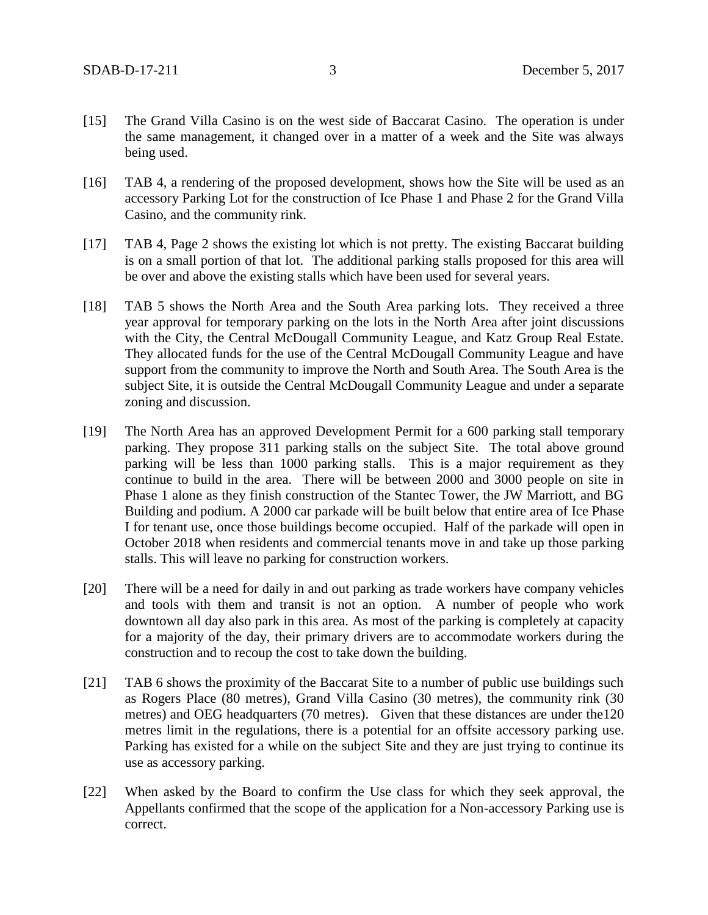- [15] The Grand Villa Casino is on the west side of Baccarat Casino. The operation is under the same management, it changed over in a matter of a week and the Site was always being used.
- [16] TAB 4, a rendering of the proposed development, shows how the Site will be used as an accessory Parking Lot for the construction of Ice Phase 1 and Phase 2 for the Grand Villa Casino, and the community rink.
- [17] TAB 4, Page 2 shows the existing lot which is not pretty. The existing Baccarat building is on a small portion of that lot. The additional parking stalls proposed for this area will be over and above the existing stalls which have been used for several years.
- [18] TAB 5 shows the North Area and the South Area parking lots. They received a three year approval for temporary parking on the lots in the North Area after joint discussions with the City, the Central McDougall Community League, and Katz Group Real Estate. They allocated funds for the use of the Central McDougall Community League and have support from the community to improve the North and South Area. The South Area is the subject Site, it is outside the Central McDougall Community League and under a separate zoning and discussion.
- [19] The North Area has an approved Development Permit for a 600 parking stall temporary parking. They propose 311 parking stalls on the subject Site. The total above ground parking will be less than 1000 parking stalls. This is a major requirement as they continue to build in the area. There will be between 2000 and 3000 people on site in Phase 1 alone as they finish construction of the Stantec Tower, the JW Marriott, and BG Building and podium. A 2000 car parkade will be built below that entire area of Ice Phase I for tenant use, once those buildings become occupied. Half of the parkade will open in October 2018 when residents and commercial tenants move in and take up those parking stalls. This will leave no parking for construction workers.
- [20] There will be a need for daily in and out parking as trade workers have company vehicles and tools with them and transit is not an option. A number of people who work downtown all day also park in this area. As most of the parking is completely at capacity for a majority of the day, their primary drivers are to accommodate workers during the construction and to recoup the cost to take down the building.
- [21] TAB 6 shows the proximity of the Baccarat Site to a number of public use buildings such as Rogers Place (80 metres), Grand Villa Casino (30 metres), the community rink (30 metres) and OEG headquarters (70 metres). Given that these distances are under the120 metres limit in the regulations, there is a potential for an offsite accessory parking use. Parking has existed for a while on the subject Site and they are just trying to continue its use as accessory parking.
- [22] When asked by the Board to confirm the Use class for which they seek approval, the Appellants confirmed that the scope of the application for a Non-accessory Parking use is correct.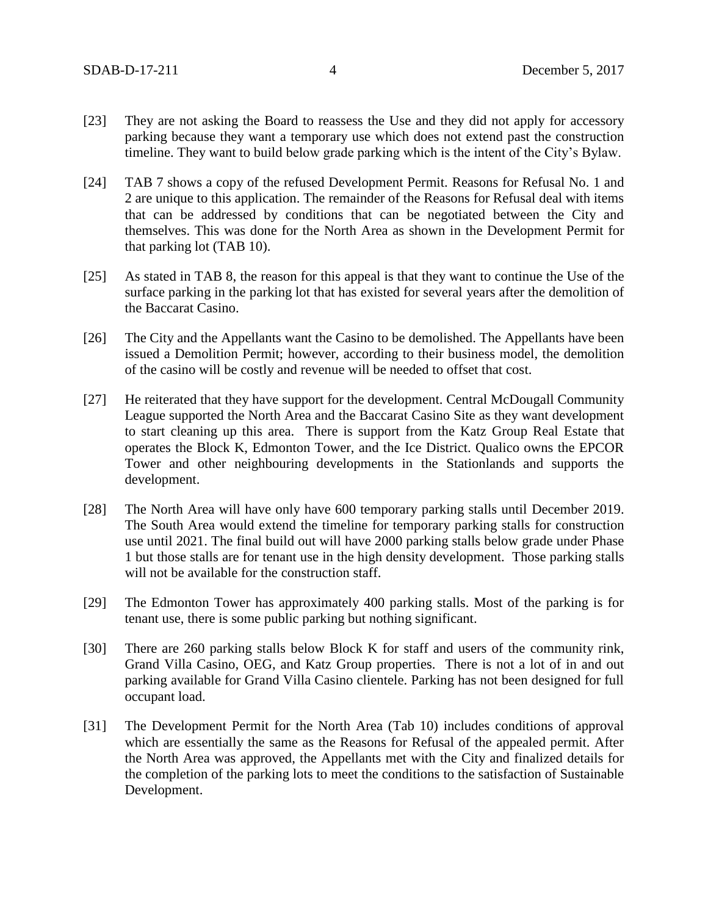- [23] They are not asking the Board to reassess the Use and they did not apply for accessory parking because they want a temporary use which does not extend past the construction timeline. They want to build below grade parking which is the intent of the City's Bylaw.
- [24] TAB 7 shows a copy of the refused Development Permit. Reasons for Refusal No. 1 and 2 are unique to this application. The remainder of the Reasons for Refusal deal with items that can be addressed by conditions that can be negotiated between the City and themselves. This was done for the North Area as shown in the Development Permit for that parking lot (TAB 10).
- [25] As stated in TAB 8, the reason for this appeal is that they want to continue the Use of the surface parking in the parking lot that has existed for several years after the demolition of the Baccarat Casino.
- [26] The City and the Appellants want the Casino to be demolished. The Appellants have been issued a Demolition Permit; however, according to their business model, the demolition of the casino will be costly and revenue will be needed to offset that cost.
- [27] He reiterated that they have support for the development. Central McDougall Community League supported the North Area and the Baccarat Casino Site as they want development to start cleaning up this area. There is support from the Katz Group Real Estate that operates the Block K, Edmonton Tower, and the Ice District. Qualico owns the EPCOR Tower and other neighbouring developments in the Stationlands and supports the development.
- [28] The North Area will have only have 600 temporary parking stalls until December 2019. The South Area would extend the timeline for temporary parking stalls for construction use until 2021. The final build out will have 2000 parking stalls below grade under Phase 1 but those stalls are for tenant use in the high density development. Those parking stalls will not be available for the construction staff.
- [29] The Edmonton Tower has approximately 400 parking stalls. Most of the parking is for tenant use, there is some public parking but nothing significant.
- [30] There are 260 parking stalls below Block K for staff and users of the community rink, Grand Villa Casino, OEG, and Katz Group properties. There is not a lot of in and out parking available for Grand Villa Casino clientele. Parking has not been designed for full occupant load.
- [31] The Development Permit for the North Area (Tab 10) includes conditions of approval which are essentially the same as the Reasons for Refusal of the appealed permit. After the North Area was approved, the Appellants met with the City and finalized details for the completion of the parking lots to meet the conditions to the satisfaction of Sustainable Development.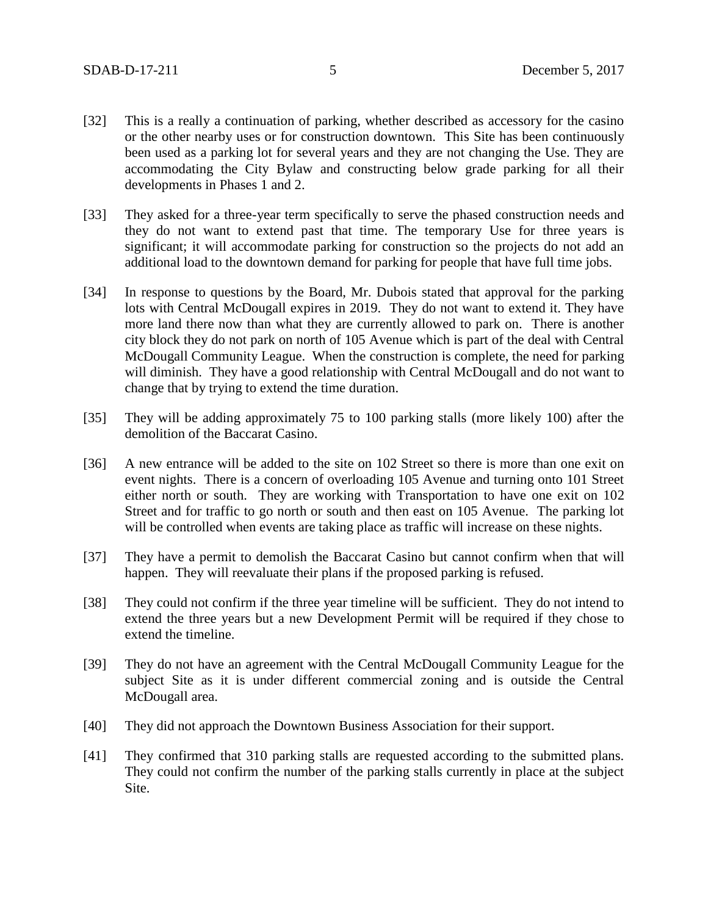- [32] This is a really a continuation of parking, whether described as accessory for the casino or the other nearby uses or for construction downtown. This Site has been continuously been used as a parking lot for several years and they are not changing the Use. They are accommodating the City Bylaw and constructing below grade parking for all their developments in Phases 1 and 2.
- [33] They asked for a three-year term specifically to serve the phased construction needs and they do not want to extend past that time. The temporary Use for three years is significant; it will accommodate parking for construction so the projects do not add an additional load to the downtown demand for parking for people that have full time jobs.
- [34] In response to questions by the Board, Mr. Dubois stated that approval for the parking lots with Central McDougall expires in 2019. They do not want to extend it. They have more land there now than what they are currently allowed to park on. There is another city block they do not park on north of 105 Avenue which is part of the deal with Central McDougall Community League. When the construction is complete, the need for parking will diminish. They have a good relationship with Central McDougall and do not want to change that by trying to extend the time duration.
- [35] They will be adding approximately 75 to 100 parking stalls (more likely 100) after the demolition of the Baccarat Casino.
- [36] A new entrance will be added to the site on 102 Street so there is more than one exit on event nights. There is a concern of overloading 105 Avenue and turning onto 101 Street either north or south. They are working with Transportation to have one exit on 102 Street and for traffic to go north or south and then east on 105 Avenue. The parking lot will be controlled when events are taking place as traffic will increase on these nights.
- [37] They have a permit to demolish the Baccarat Casino but cannot confirm when that will happen. They will reevaluate their plans if the proposed parking is refused.
- [38] They could not confirm if the three year timeline will be sufficient. They do not intend to extend the three years but a new Development Permit will be required if they chose to extend the timeline.
- [39] They do not have an agreement with the Central McDougall Community League for the subject Site as it is under different commercial zoning and is outside the Central McDougall area.
- [40] They did not approach the Downtown Business Association for their support.
- [41] They confirmed that 310 parking stalls are requested according to the submitted plans. They could not confirm the number of the parking stalls currently in place at the subject Site.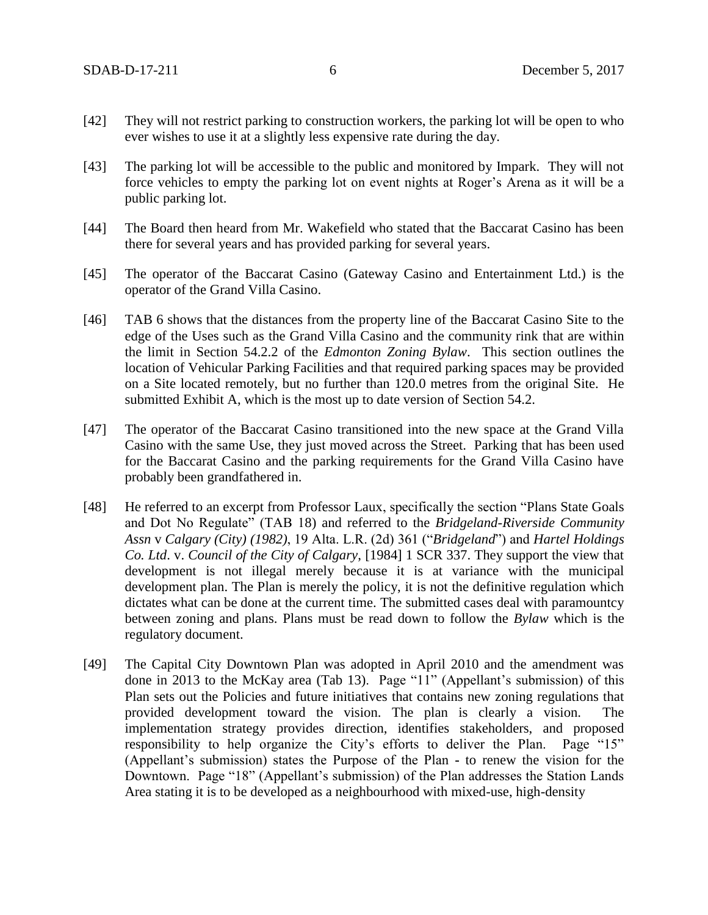- [42] They will not restrict parking to construction workers, the parking lot will be open to who ever wishes to use it at a slightly less expensive rate during the day.
- [43] The parking lot will be accessible to the public and monitored by Impark. They will not force vehicles to empty the parking lot on event nights at Roger's Arena as it will be a public parking lot.
- [44] The Board then heard from Mr. Wakefield who stated that the Baccarat Casino has been there for several years and has provided parking for several years.
- [45] The operator of the Baccarat Casino (Gateway Casino and Entertainment Ltd.) is the operator of the Grand Villa Casino.
- [46] TAB 6 shows that the distances from the property line of the Baccarat Casino Site to the edge of the Uses such as the Grand Villa Casino and the community rink that are within the limit in Section 54.2.2 of the *Edmonton Zoning Bylaw*. This section outlines the location of Vehicular Parking Facilities and that required parking spaces may be provided on a Site located remotely, but no further than 120.0 metres from the original Site. He submitted Exhibit A, which is the most up to date version of Section 54.2.
- [47] The operator of the Baccarat Casino transitioned into the new space at the Grand Villa Casino with the same Use, they just moved across the Street. Parking that has been used for the Baccarat Casino and the parking requirements for the Grand Villa Casino have probably been grandfathered in.
- [48] He referred to an excerpt from Professor Laux, specifically the section "Plans State Goals and Dot No Regulate" (TAB 18) and referred to the *Bridgeland-Riverside Community Assn* v *Calgary (City) (1982)*, 19 Alta. L.R. (2d) 361 ("*Bridgeland*") and *Hartel Holdings Co. Ltd*. v. *Council of the City of Calgary*, [1984] 1 SCR 337. They support the view that development is not illegal merely because it is at variance with the municipal development plan. The Plan is merely the policy, it is not the definitive regulation which dictates what can be done at the current time. The submitted cases deal with paramountcy between zoning and plans. Plans must be read down to follow the *Bylaw* which is the regulatory document.
- [49] The Capital City Downtown Plan was adopted in April 2010 and the amendment was done in 2013 to the McKay area (Tab 13). Page "11" (Appellant's submission) of this Plan sets out the Policies and future initiatives that contains new zoning regulations that provided development toward the vision. The plan is clearly a vision. The implementation strategy provides direction, identifies stakeholders, and proposed responsibility to help organize the City's efforts to deliver the Plan. Page "15" (Appellant's submission) states the Purpose of the Plan **-** to renew the vision for the Downtown. Page "18" (Appellant's submission) of the Plan addresses the Station Lands Area stating it is to be developed as a neighbourhood with mixed-use, high-density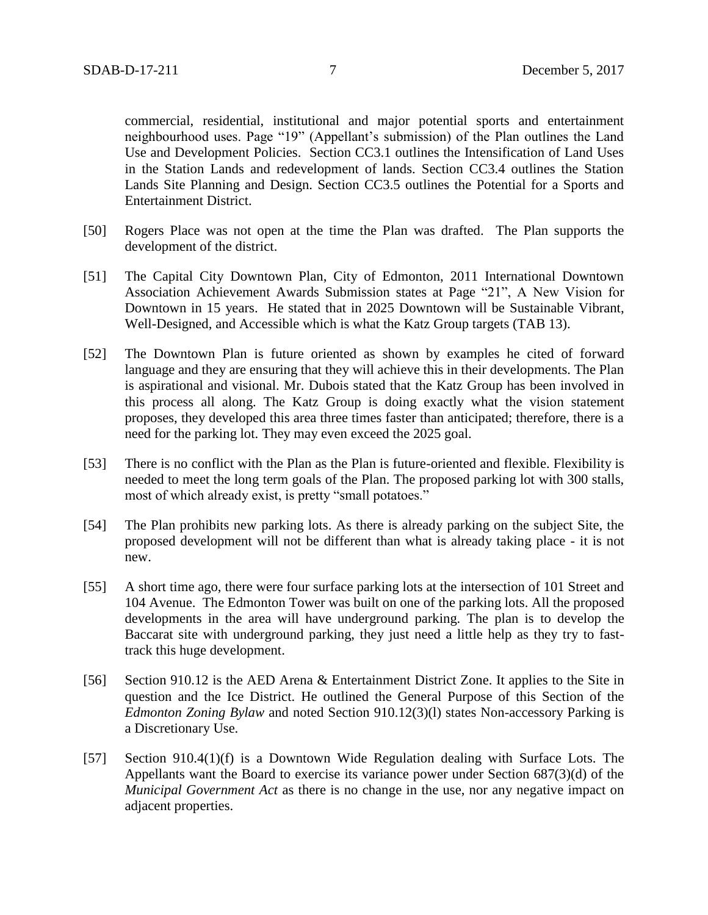commercial, residential, institutional and major potential sports and entertainment neighbourhood uses. Page "19" (Appellant's submission) of the Plan outlines the Land Use and Development Policies. Section CC3.1 outlines the Intensification of Land Uses in the Station Lands and redevelopment of lands. Section CC3.4 outlines the Station Lands Site Planning and Design. Section CC3.5 outlines the Potential for a Sports and Entertainment District.

- [50] Rogers Place was not open at the time the Plan was drafted. The Plan supports the development of the district.
- [51] The Capital City Downtown Plan, City of Edmonton, 2011 International Downtown Association Achievement Awards Submission states at Page "21", A New Vision for Downtown in 15 years. He stated that in 2025 Downtown will be Sustainable Vibrant, Well-Designed, and Accessible which is what the Katz Group targets (TAB 13).
- [52] The Downtown Plan is future oriented as shown by examples he cited of forward language and they are ensuring that they will achieve this in their developments. The Plan is aspirational and visional. Mr. Dubois stated that the Katz Group has been involved in this process all along. The Katz Group is doing exactly what the vision statement proposes, they developed this area three times faster than anticipated; therefore, there is a need for the parking lot. They may even exceed the 2025 goal.
- [53] There is no conflict with the Plan as the Plan is future-oriented and flexible. Flexibility is needed to meet the long term goals of the Plan. The proposed parking lot with 300 stalls, most of which already exist, is pretty "small potatoes."
- [54] The Plan prohibits new parking lots. As there is already parking on the subject Site, the proposed development will not be different than what is already taking place - it is not new.
- [55] A short time ago, there were four surface parking lots at the intersection of 101 Street and 104 Avenue. The Edmonton Tower was built on one of the parking lots. All the proposed developments in the area will have underground parking. The plan is to develop the Baccarat site with underground parking, they just need a little help as they try to fasttrack this huge development.
- [56] Section 910.12 is the AED Arena & Entertainment District Zone. It applies to the Site in question and the Ice District. He outlined the General Purpose of this Section of the *Edmonton Zoning Bylaw* and noted Section 910.12(3)(l) states Non-accessory Parking is a Discretionary Use.
- [57] Section 910.4(1)(f) is a Downtown Wide Regulation dealing with Surface Lots. The Appellants want the Board to exercise its variance power under Section 687(3)(d) of the *Municipal Government Act* as there is no change in the use, nor any negative impact on adjacent properties.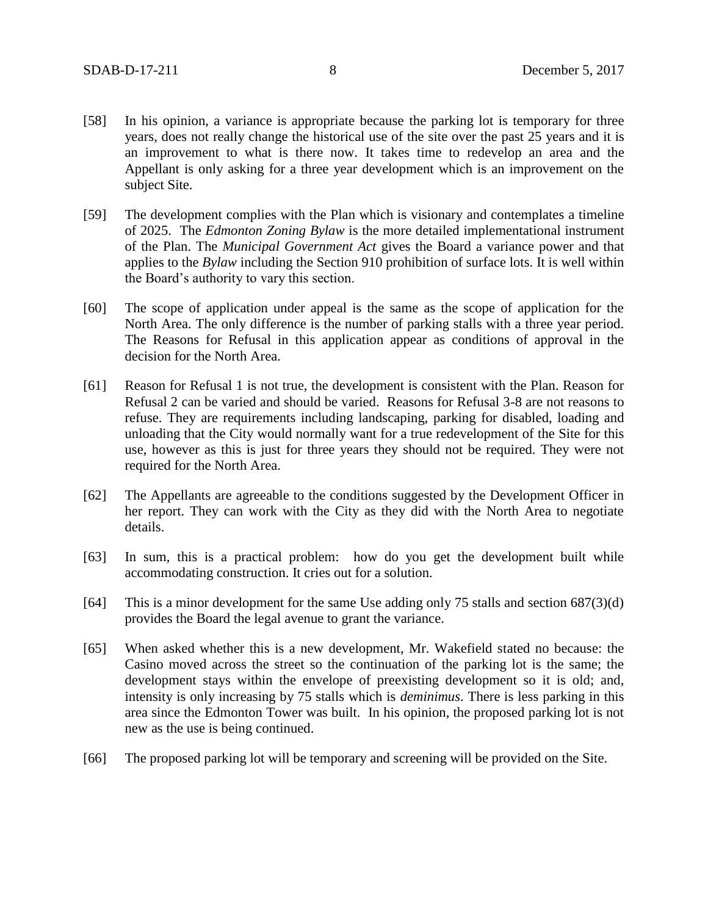- [58] In his opinion, a variance is appropriate because the parking lot is temporary for three years, does not really change the historical use of the site over the past 25 years and it is an improvement to what is there now. It takes time to redevelop an area and the Appellant is only asking for a three year development which is an improvement on the subject Site.
- [59] The development complies with the Plan which is visionary and contemplates a timeline of 2025. The *Edmonton Zoning Bylaw* is the more detailed implementational instrument of the Plan. The *Municipal Government Act* gives the Board a variance power and that applies to the *Bylaw* including the Section 910 prohibition of surface lots. It is well within the Board's authority to vary this section.
- [60] The scope of application under appeal is the same as the scope of application for the North Area. The only difference is the number of parking stalls with a three year period. The Reasons for Refusal in this application appear as conditions of approval in the decision for the North Area.
- [61] Reason for Refusal 1 is not true, the development is consistent with the Plan. Reason for Refusal 2 can be varied and should be varied. Reasons for Refusal 3-8 are not reasons to refuse. They are requirements including landscaping, parking for disabled, loading and unloading that the City would normally want for a true redevelopment of the Site for this use, however as this is just for three years they should not be required. They were not required for the North Area.
- [62] The Appellants are agreeable to the conditions suggested by the Development Officer in her report. They can work with the City as they did with the North Area to negotiate details.
- [63] In sum, this is a practical problem: how do you get the development built while accommodating construction. It cries out for a solution.
- [64] This is a minor development for the same Use adding only 75 stalls and section 687(3)(d) provides the Board the legal avenue to grant the variance.
- [65] When asked whether this is a new development, Mr. Wakefield stated no because: the Casino moved across the street so the continuation of the parking lot is the same; the development stays within the envelope of preexisting development so it is old; and, intensity is only increasing by 75 stalls which is *deminimus*. There is less parking in this area since the Edmonton Tower was built. In his opinion, the proposed parking lot is not new as the use is being continued.
- [66] The proposed parking lot will be temporary and screening will be provided on the Site.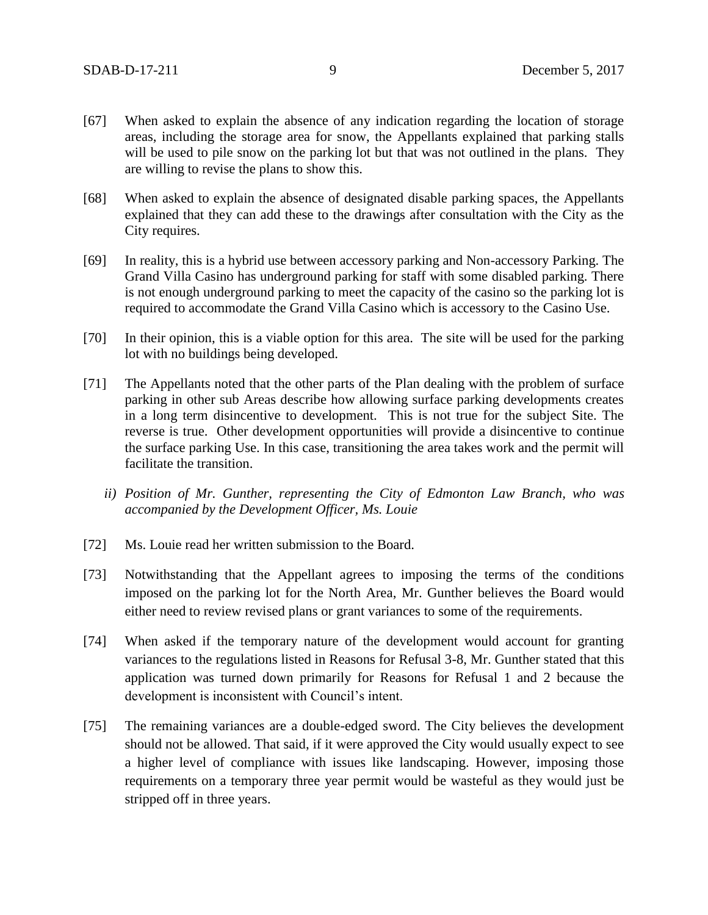- [67] When asked to explain the absence of any indication regarding the location of storage areas, including the storage area for snow, the Appellants explained that parking stalls will be used to pile snow on the parking lot but that was not outlined in the plans. They are willing to revise the plans to show this.
- [68] When asked to explain the absence of designated disable parking spaces, the Appellants explained that they can add these to the drawings after consultation with the City as the City requires.
- [69] In reality, this is a hybrid use between accessory parking and Non-accessory Parking. The Grand Villa Casino has underground parking for staff with some disabled parking. There is not enough underground parking to meet the capacity of the casino so the parking lot is required to accommodate the Grand Villa Casino which is accessory to the Casino Use.
- [70] In their opinion, this is a viable option for this area. The site will be used for the parking lot with no buildings being developed.
- [71] The Appellants noted that the other parts of the Plan dealing with the problem of surface parking in other sub Areas describe how allowing surface parking developments creates in a long term disincentive to development. This is not true for the subject Site. The reverse is true. Other development opportunities will provide a disincentive to continue the surface parking Use. In this case, transitioning the area takes work and the permit will facilitate the transition.
	- *ii) Position of Mr. Gunther, representing the City of Edmonton Law Branch, who was accompanied by the Development Officer, Ms. Louie*
- [72] Ms. Louie read her written submission to the Board.
- [73] Notwithstanding that the Appellant agrees to imposing the terms of the conditions imposed on the parking lot for the North Area, Mr. Gunther believes the Board would either need to review revised plans or grant variances to some of the requirements.
- [74] When asked if the temporary nature of the development would account for granting variances to the regulations listed in Reasons for Refusal 3-8, Mr. Gunther stated that this application was turned down primarily for Reasons for Refusal 1 and 2 because the development is inconsistent with Council's intent.
- [75] The remaining variances are a double-edged sword. The City believes the development should not be allowed. That said, if it were approved the City would usually expect to see a higher level of compliance with issues like landscaping. However, imposing those requirements on a temporary three year permit would be wasteful as they would just be stripped off in three years.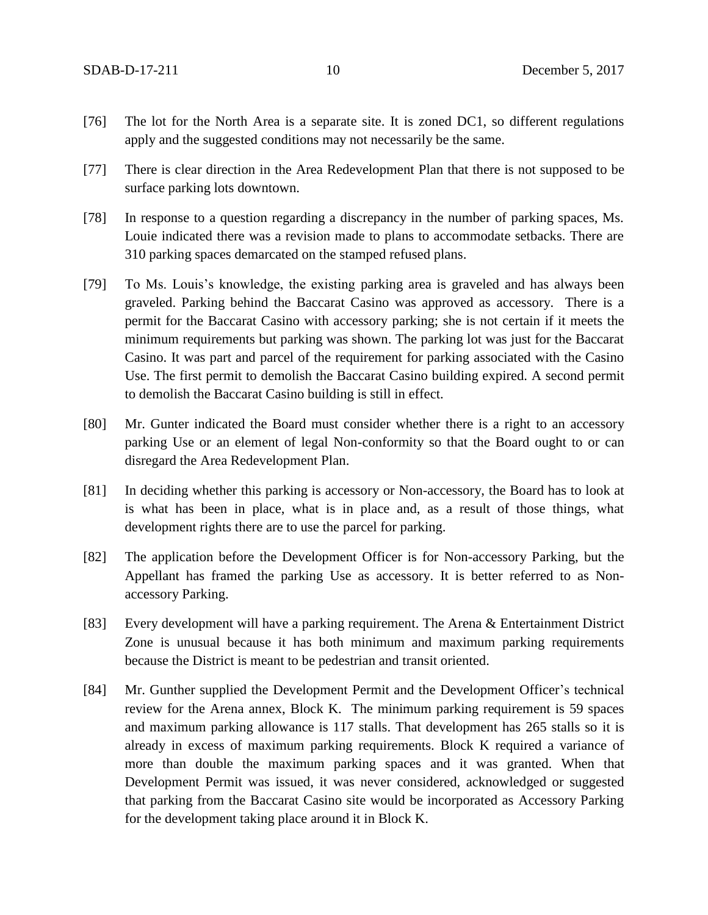- [76] The lot for the North Area is a separate site. It is zoned DC1, so different regulations apply and the suggested conditions may not necessarily be the same.
- [77] There is clear direction in the Area Redevelopment Plan that there is not supposed to be surface parking lots downtown.
- [78] In response to a question regarding a discrepancy in the number of parking spaces, Ms. Louie indicated there was a revision made to plans to accommodate setbacks. There are 310 parking spaces demarcated on the stamped refused plans.
- [79] To Ms. Louis's knowledge, the existing parking area is graveled and has always been graveled. Parking behind the Baccarat Casino was approved as accessory. There is a permit for the Baccarat Casino with accessory parking; she is not certain if it meets the minimum requirements but parking was shown. The parking lot was just for the Baccarat Casino. It was part and parcel of the requirement for parking associated with the Casino Use. The first permit to demolish the Baccarat Casino building expired. A second permit to demolish the Baccarat Casino building is still in effect.
- [80] Mr. Gunter indicated the Board must consider whether there is a right to an accessory parking Use or an element of legal Non-conformity so that the Board ought to or can disregard the Area Redevelopment Plan.
- [81] In deciding whether this parking is accessory or Non-accessory, the Board has to look at is what has been in place, what is in place and, as a result of those things, what development rights there are to use the parcel for parking.
- [82] The application before the Development Officer is for Non-accessory Parking, but the Appellant has framed the parking Use as accessory. It is better referred to as Nonaccessory Parking.
- [83] Every development will have a parking requirement. The Arena & Entertainment District Zone is unusual because it has both minimum and maximum parking requirements because the District is meant to be pedestrian and transit oriented.
- [84] Mr. Gunther supplied the Development Permit and the Development Officer's technical review for the Arena annex, Block K. The minimum parking requirement is 59 spaces and maximum parking allowance is 117 stalls. That development has 265 stalls so it is already in excess of maximum parking requirements. Block K required a variance of more than double the maximum parking spaces and it was granted. When that Development Permit was issued, it was never considered, acknowledged or suggested that parking from the Baccarat Casino site would be incorporated as Accessory Parking for the development taking place around it in Block K.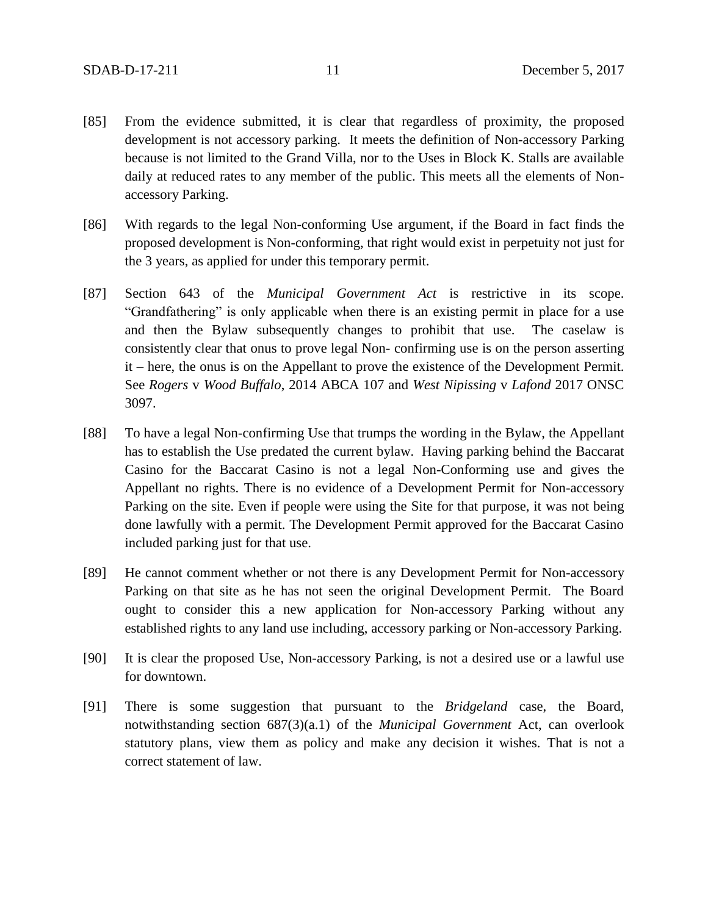- [85] From the evidence submitted, it is clear that regardless of proximity, the proposed development is not accessory parking. It meets the definition of Non-accessory Parking because is not limited to the Grand Villa, nor to the Uses in Block K. Stalls are available daily at reduced rates to any member of the public. This meets all the elements of Nonaccessory Parking.
- [86] With regards to the legal Non-conforming Use argument, if the Board in fact finds the proposed development is Non-conforming, that right would exist in perpetuity not just for the 3 years, as applied for under this temporary permit.
- [87] Section 643 of the *Municipal Government Act* is restrictive in its scope. "Grandfathering" is only applicable when there is an existing permit in place for a use and then the Bylaw subsequently changes to prohibit that use. The caselaw is consistently clear that onus to prove legal Non- confirming use is on the person asserting it – here, the onus is on the Appellant to prove the existence of the Development Permit. See *Rogers* v *Wood Buffalo*, 2014 ABCA 107 and *West Nipissing* v *Lafond* 2017 ONSC 3097.
- [88] To have a legal Non-confirming Use that trumps the wording in the Bylaw, the Appellant has to establish the Use predated the current bylaw. Having parking behind the Baccarat Casino for the Baccarat Casino is not a legal Non-Conforming use and gives the Appellant no rights. There is no evidence of a Development Permit for Non-accessory Parking on the site. Even if people were using the Site for that purpose, it was not being done lawfully with a permit. The Development Permit approved for the Baccarat Casino included parking just for that use.
- [89] He cannot comment whether or not there is any Development Permit for Non-accessory Parking on that site as he has not seen the original Development Permit. The Board ought to consider this a new application for Non-accessory Parking without any established rights to any land use including, accessory parking or Non-accessory Parking.
- [90] It is clear the proposed Use, Non-accessory Parking, is not a desired use or a lawful use for downtown.
- [91] There is some suggestion that pursuant to the *Bridgeland* case, the Board, notwithstanding section 687(3)(a.1) of the *Municipal Government* Act, can overlook statutory plans, view them as policy and make any decision it wishes. That is not a correct statement of law.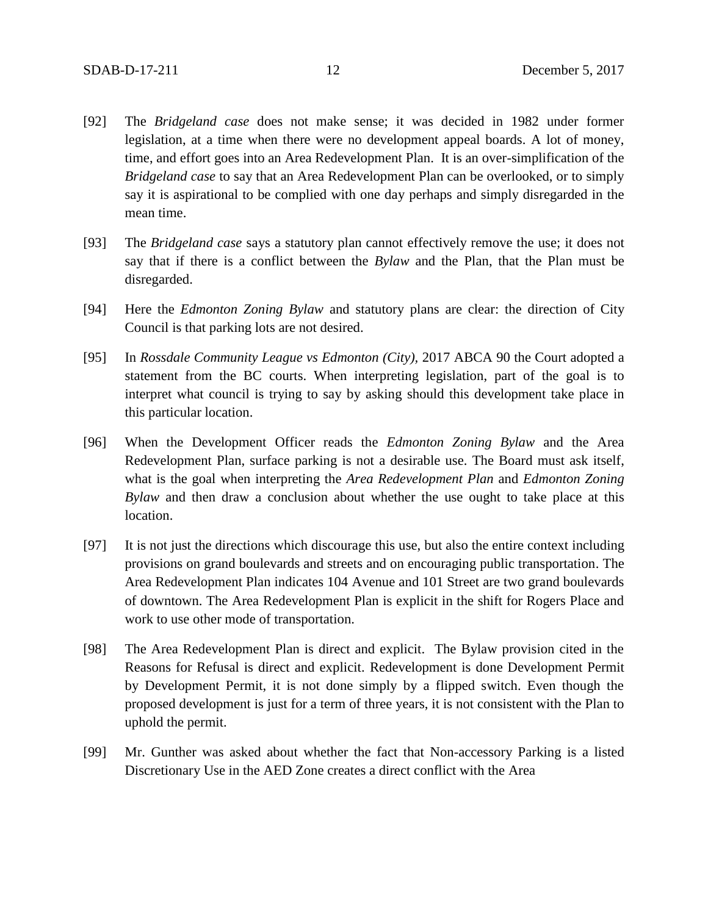- [92] The *Bridgeland case* does not make sense; it was decided in 1982 under former legislation, at a time when there were no development appeal boards. A lot of money, time, and effort goes into an Area Redevelopment Plan. It is an over-simplification of the *Bridgeland case* to say that an Area Redevelopment Plan can be overlooked, or to simply say it is aspirational to be complied with one day perhaps and simply disregarded in the mean time.
- [93] The *Bridgeland case* says a statutory plan cannot effectively remove the use; it does not say that if there is a conflict between the *Bylaw* and the Plan, that the Plan must be disregarded.
- [94] Here the *Edmonton Zoning Bylaw* and statutory plans are clear: the direction of City Council is that parking lots are not desired.
- [95] In *Rossdale Community League vs Edmonton (City),* 2017 ABCA 90 the Court adopted a statement from the BC courts. When interpreting legislation, part of the goal is to interpret what council is trying to say by asking should this development take place in this particular location.
- [96] When the Development Officer reads the *Edmonton Zoning Bylaw* and the Area Redevelopment Plan, surface parking is not a desirable use. The Board must ask itself, what is the goal when interpreting the *Area Redevelopment Plan* and *Edmonton Zoning Bylaw* and then draw a conclusion about whether the use ought to take place at this location.
- [97] It is not just the directions which discourage this use, but also the entire context including provisions on grand boulevards and streets and on encouraging public transportation. The Area Redevelopment Plan indicates 104 Avenue and 101 Street are two grand boulevards of downtown. The Area Redevelopment Plan is explicit in the shift for Rogers Place and work to use other mode of transportation.
- [98] The Area Redevelopment Plan is direct and explicit. The Bylaw provision cited in the Reasons for Refusal is direct and explicit. Redevelopment is done Development Permit by Development Permit, it is not done simply by a flipped switch. Even though the proposed development is just for a term of three years, it is not consistent with the Plan to uphold the permit.
- [99] Mr. Gunther was asked about whether the fact that Non-accessory Parking is a listed Discretionary Use in the AED Zone creates a direct conflict with the Area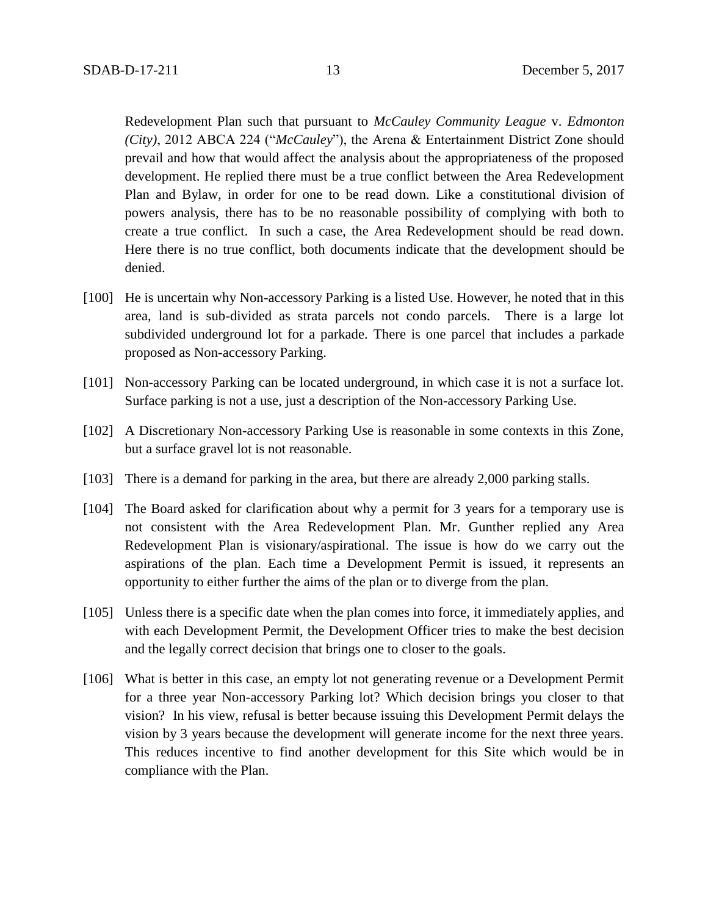Redevelopment Plan such that pursuant to *McCauley Community League* v. *Edmonton (City)*, 2012 ABCA 224 ("*McCauley*"), the Arena & Entertainment District Zone should prevail and how that would affect the analysis about the appropriateness of the proposed development. He replied there must be a true conflict between the Area Redevelopment Plan and Bylaw, in order for one to be read down. Like a constitutional division of powers analysis, there has to be no reasonable possibility of complying with both to create a true conflict. In such a case, the Area Redevelopment should be read down. Here there is no true conflict, both documents indicate that the development should be denied.

- [100] He is uncertain why Non-accessory Parking is a listed Use. However, he noted that in this area, land is sub-divided as strata parcels not condo parcels. There is a large lot subdivided underground lot for a parkade. There is one parcel that includes a parkade proposed as Non-accessory Parking.
- [101] Non-accessory Parking can be located underground, in which case it is not a surface lot. Surface parking is not a use, just a description of the Non-accessory Parking Use.
- [102] A Discretionary Non-accessory Parking Use is reasonable in some contexts in this Zone, but a surface gravel lot is not reasonable.
- [103] There is a demand for parking in the area, but there are already 2,000 parking stalls.
- [104] The Board asked for clarification about why a permit for 3 years for a temporary use is not consistent with the Area Redevelopment Plan. Mr. Gunther replied any Area Redevelopment Plan is visionary/aspirational. The issue is how do we carry out the aspirations of the plan. Each time a Development Permit is issued, it represents an opportunity to either further the aims of the plan or to diverge from the plan.
- [105] Unless there is a specific date when the plan comes into force, it immediately applies, and with each Development Permit, the Development Officer tries to make the best decision and the legally correct decision that brings one to closer to the goals.
- [106] What is better in this case, an empty lot not generating revenue or a Development Permit for a three year Non-accessory Parking lot? Which decision brings you closer to that vision? In his view, refusal is better because issuing this Development Permit delays the vision by 3 years because the development will generate income for the next three years. This reduces incentive to find another development for this Site which would be in compliance with the Plan.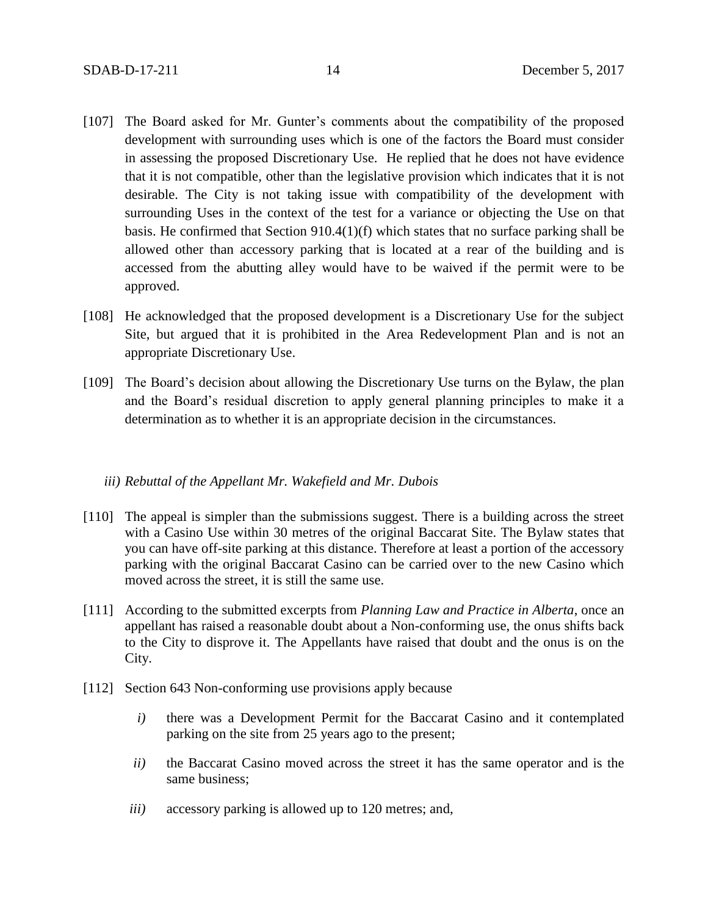- [107] The Board asked for Mr. Gunter's comments about the compatibility of the proposed development with surrounding uses which is one of the factors the Board must consider in assessing the proposed Discretionary Use. He replied that he does not have evidence that it is not compatible, other than the legislative provision which indicates that it is not desirable. The City is not taking issue with compatibility of the development with surrounding Uses in the context of the test for a variance or objecting the Use on that basis. He confirmed that Section 910.4(1)(f) which states that no surface parking shall be allowed other than accessory parking that is located at a rear of the building and is accessed from the abutting alley would have to be waived if the permit were to be approved.
- [108] He acknowledged that the proposed development is a Discretionary Use for the subject Site, but argued that it is prohibited in the Area Redevelopment Plan and is not an appropriate Discretionary Use.
- [109] The Board's decision about allowing the Discretionary Use turns on the Bylaw, the plan and the Board's residual discretion to apply general planning principles to make it a determination as to whether it is an appropriate decision in the circumstances.

## *iii) Rebuttal of the Appellant Mr. Wakefield and Mr. Dubois*

- [110] The appeal is simpler than the submissions suggest. There is a building across the street with a Casino Use within 30 metres of the original Baccarat Site. The Bylaw states that you can have off-site parking at this distance. Therefore at least a portion of the accessory parking with the original Baccarat Casino can be carried over to the new Casino which moved across the street, it is still the same use.
- [111] According to the submitted excerpts from *Planning Law and Practice in Alberta*, once an appellant has raised a reasonable doubt about a Non-conforming use, the onus shifts back to the City to disprove it. The Appellants have raised that doubt and the onus is on the City.
- [112] Section 643 Non-conforming use provisions apply because
	- *i)* there was a Development Permit for the Baccarat Casino and it contemplated parking on the site from 25 years ago to the present;
	- *ii)* the Baccarat Casino moved across the street it has the same operator and is the same business;
	- *iii)* accessory parking is allowed up to 120 metres; and,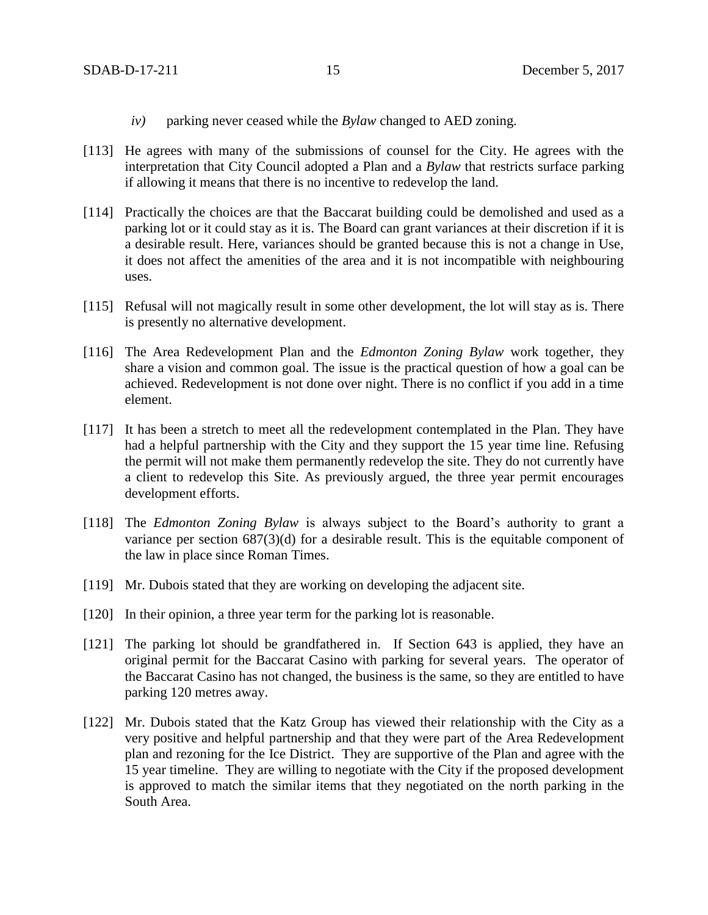- *iv)* parking never ceased while the *Bylaw* changed to AED zoning.
- [113] He agrees with many of the submissions of counsel for the City. He agrees with the interpretation that City Council adopted a Plan and a *Bylaw* that restricts surface parking if allowing it means that there is no incentive to redevelop the land.
- [114] Practically the choices are that the Baccarat building could be demolished and used as a parking lot or it could stay as it is. The Board can grant variances at their discretion if it is a desirable result. Here, variances should be granted because this is not a change in Use, it does not affect the amenities of the area and it is not incompatible with neighbouring uses.
- [115] Refusal will not magically result in some other development, the lot will stay as is. There is presently no alternative development.
- [116] The Area Redevelopment Plan and the *Edmonton Zoning Bylaw* work together, they share a vision and common goal. The issue is the practical question of how a goal can be achieved. Redevelopment is not done over night. There is no conflict if you add in a time element.
- [117] It has been a stretch to meet all the redevelopment contemplated in the Plan. They have had a helpful partnership with the City and they support the 15 year time line. Refusing the permit will not make them permanently redevelop the site. They do not currently have a client to redevelop this Site. As previously argued, the three year permit encourages development efforts.
- [118] The *Edmonton Zoning Bylaw* is always subject to the Board's authority to grant a variance per section 687(3)(d) for a desirable result. This is the equitable component of the law in place since Roman Times.
- [119] Mr. Dubois stated that they are working on developing the adjacent site.
- [120] In their opinion, a three year term for the parking lot is reasonable.
- [121] The parking lot should be grandfathered in. If Section 643 is applied, they have an original permit for the Baccarat Casino with parking for several years. The operator of the Baccarat Casino has not changed, the business is the same, so they are entitled to have parking 120 metres away.
- [122] Mr. Dubois stated that the Katz Group has viewed their relationship with the City as a very positive and helpful partnership and that they were part of the Area Redevelopment plan and rezoning for the Ice District. They are supportive of the Plan and agree with the 15 year timeline. They are willing to negotiate with the City if the proposed development is approved to match the similar items that they negotiated on the north parking in the South Area.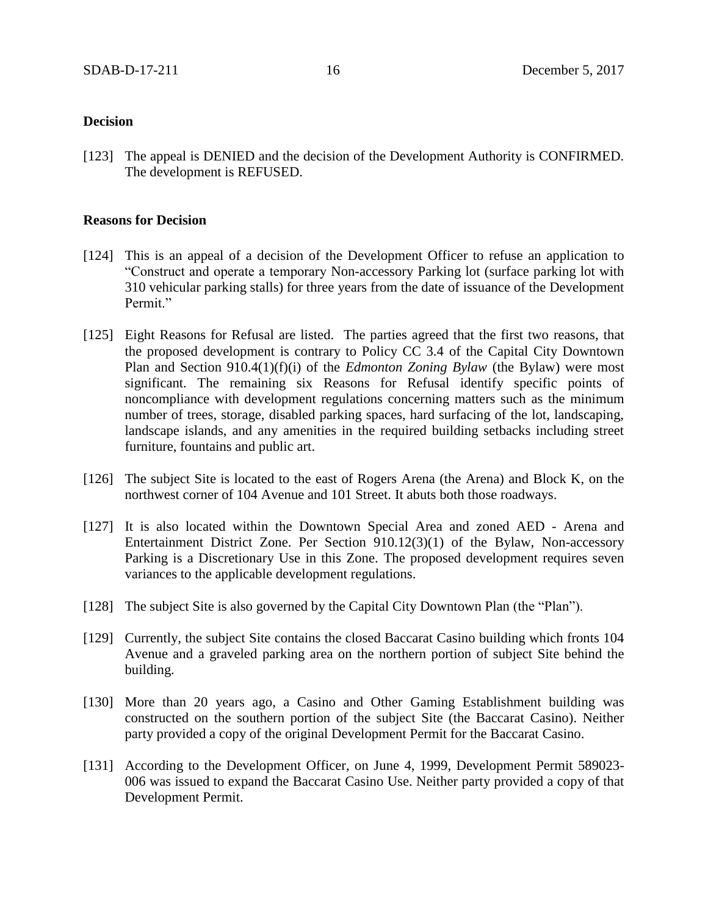# **Decision**

[123] The appeal is DENIED and the decision of the Development Authority is CONFIRMED. The development is REFUSED.

## **Reasons for Decision**

- [124] This is an appeal of a decision of the Development Officer to refuse an application to "Construct and operate a temporary Non-accessory Parking lot (surface parking lot with 310 vehicular parking stalls) for three years from the date of issuance of the Development Permit."
- [125] Eight Reasons for Refusal are listed. The parties agreed that the first two reasons, that the proposed development is contrary to Policy CC 3.4 of the Capital City Downtown Plan and Section 910.4(1)(f)(i) of the *Edmonton Zoning Bylaw* (the Bylaw) were most significant. The remaining six Reasons for Refusal identify specific points of noncompliance with development regulations concerning matters such as the minimum number of trees, storage, disabled parking spaces, hard surfacing of the lot, landscaping, landscape islands, and any amenities in the required building setbacks including street furniture, fountains and public art.
- [126] The subject Site is located to the east of Rogers Arena (the Arena) and Block K, on the northwest corner of 104 Avenue and 101 Street. It abuts both those roadways.
- [127] It is also located within the Downtown Special Area and zoned AED Arena and Entertainment District Zone. Per Section 910.12(3)(1) of the Bylaw, Non-accessory Parking is a Discretionary Use in this Zone. The proposed development requires seven variances to the applicable development regulations.
- [128] The subject Site is also governed by the Capital City Downtown Plan (the "Plan").
- [129] Currently, the subject Site contains the closed Baccarat Casino building which fronts 104 Avenue and a graveled parking area on the northern portion of subject Site behind the building.
- [130] More than 20 years ago, a Casino and Other Gaming Establishment building was constructed on the southern portion of the subject Site (the Baccarat Casino). Neither party provided a copy of the original Development Permit for the Baccarat Casino.
- [131] According to the Development Officer, on June 4, 1999, Development Permit 589023- 006 was issued to expand the Baccarat Casino Use. Neither party provided a copy of that Development Permit.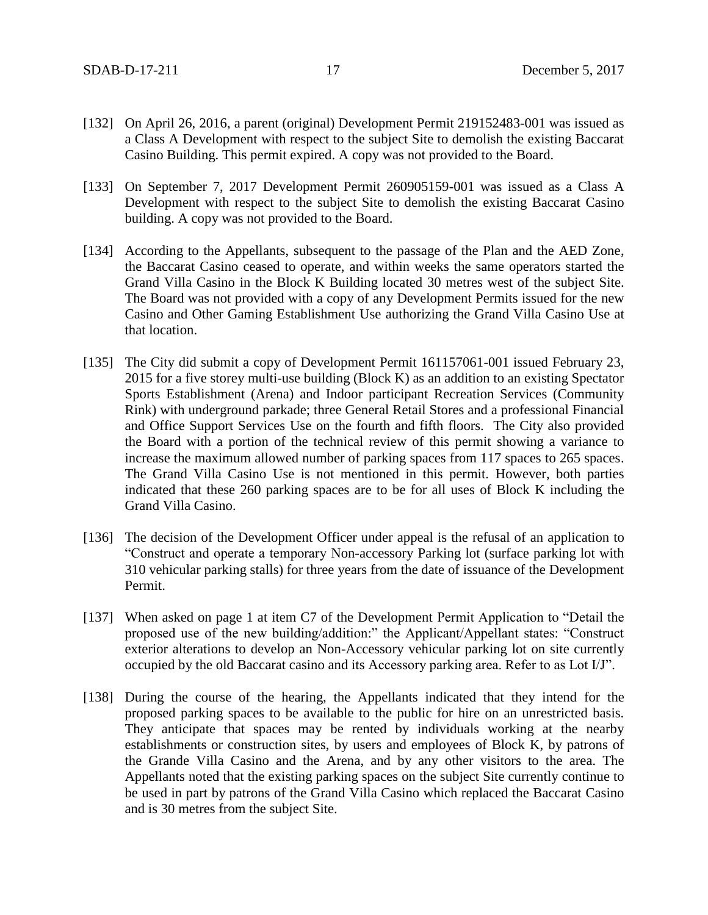- [132] On April 26, 2016, a parent (original) Development Permit 219152483-001 was issued as a Class A Development with respect to the subject Site to demolish the existing Baccarat Casino Building. This permit expired. A copy was not provided to the Board.
- [133] On September 7, 2017 Development Permit 260905159-001 was issued as a Class A Development with respect to the subject Site to demolish the existing Baccarat Casino building. A copy was not provided to the Board.
- [134] According to the Appellants, subsequent to the passage of the Plan and the AED Zone, the Baccarat Casino ceased to operate, and within weeks the same operators started the Grand Villa Casino in the Block K Building located 30 metres west of the subject Site. The Board was not provided with a copy of any Development Permits issued for the new Casino and Other Gaming Establishment Use authorizing the Grand Villa Casino Use at that location.
- [135] The City did submit a copy of Development Permit 161157061-001 issued February 23, 2015 for a five storey multi-use building (Block K) as an addition to an existing Spectator Sports Establishment (Arena) and Indoor participant Recreation Services (Community Rink) with underground parkade; three General Retail Stores and a professional Financial and Office Support Services Use on the fourth and fifth floors. The City also provided the Board with a portion of the technical review of this permit showing a variance to increase the maximum allowed number of parking spaces from 117 spaces to 265 spaces. The Grand Villa Casino Use is not mentioned in this permit. However, both parties indicated that these 260 parking spaces are to be for all uses of Block K including the Grand Villa Casino.
- [136] The decision of the Development Officer under appeal is the refusal of an application to "Construct and operate a temporary Non-accessory Parking lot (surface parking lot with 310 vehicular parking stalls) for three years from the date of issuance of the Development Permit.
- [137] When asked on page 1 at item C7 of the Development Permit Application to "Detail the proposed use of the new building/addition:" the Applicant/Appellant states: "Construct exterior alterations to develop an Non-Accessory vehicular parking lot on site currently occupied by the old Baccarat casino and its Accessory parking area. Refer to as Lot I/J".
- [138] During the course of the hearing, the Appellants indicated that they intend for the proposed parking spaces to be available to the public for hire on an unrestricted basis. They anticipate that spaces may be rented by individuals working at the nearby establishments or construction sites, by users and employees of Block K, by patrons of the Grande Villa Casino and the Arena, and by any other visitors to the area. The Appellants noted that the existing parking spaces on the subject Site currently continue to be used in part by patrons of the Grand Villa Casino which replaced the Baccarat Casino and is 30 metres from the subject Site.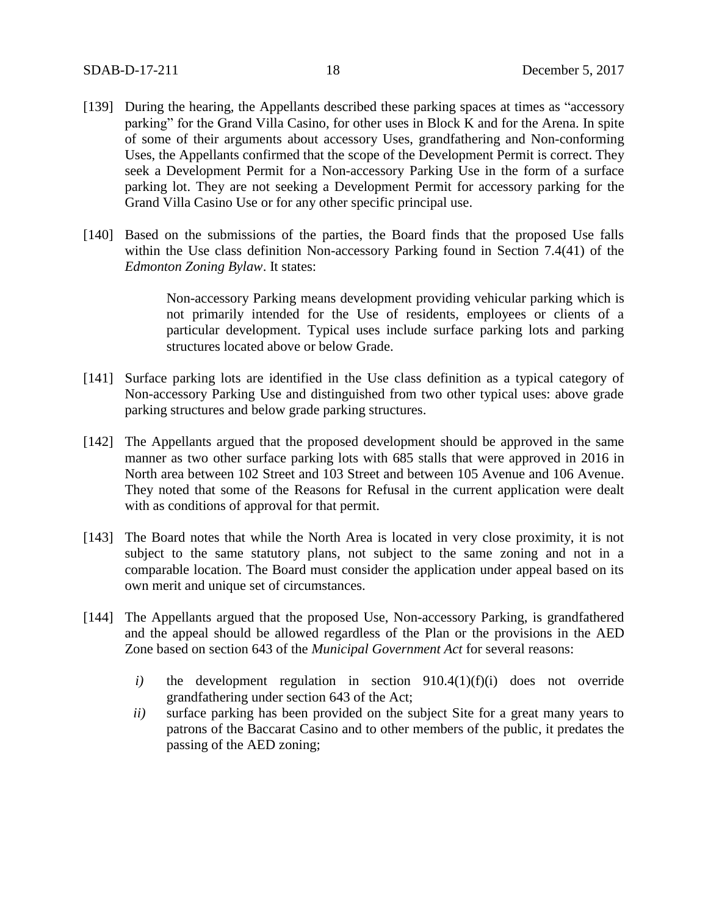- [139] During the hearing, the Appellants described these parking spaces at times as "accessory parking" for the Grand Villa Casino, for other uses in Block K and for the Arena. In spite of some of their arguments about accessory Uses, grandfathering and Non-conforming Uses, the Appellants confirmed that the scope of the Development Permit is correct. They seek a Development Permit for a Non-accessory Parking Use in the form of a surface parking lot. They are not seeking a Development Permit for accessory parking for the Grand Villa Casino Use or for any other specific principal use.
- [140] Based on the submissions of the parties, the Board finds that the proposed Use falls within the Use class definition Non-accessory Parking found in Section 7.4(41) of the *Edmonton Zoning Bylaw*. It states:

Non-accessory Parking means development providing vehicular parking which is not primarily intended for the Use of residents, employees or clients of a particular development. Typical uses include surface parking lots and parking structures located above or below Grade.

- [141] Surface parking lots are identified in the Use class definition as a typical category of Non-accessory Parking Use and distinguished from two other typical uses: above grade parking structures and below grade parking structures.
- [142] The Appellants argued that the proposed development should be approved in the same manner as two other surface parking lots with 685 stalls that were approved in 2016 in North area between 102 Street and 103 Street and between 105 Avenue and 106 Avenue. They noted that some of the Reasons for Refusal in the current application were dealt with as conditions of approval for that permit.
- [143] The Board notes that while the North Area is located in very close proximity, it is not subject to the same statutory plans, not subject to the same zoning and not in a comparable location. The Board must consider the application under appeal based on its own merit and unique set of circumstances.
- [144] The Appellants argued that the proposed Use, Non-accessory Parking, is grandfathered and the appeal should be allowed regardless of the Plan or the provisions in the AED Zone based on section 643 of the *Municipal Government Act* for several reasons:
	- *i*) the development regulation in section 910.4(1)(f)(i) does not override grandfathering under section 643 of the Act;
	- *ii)* surface parking has been provided on the subject Site for a great many years to patrons of the Baccarat Casino and to other members of the public, it predates the passing of the AED zoning;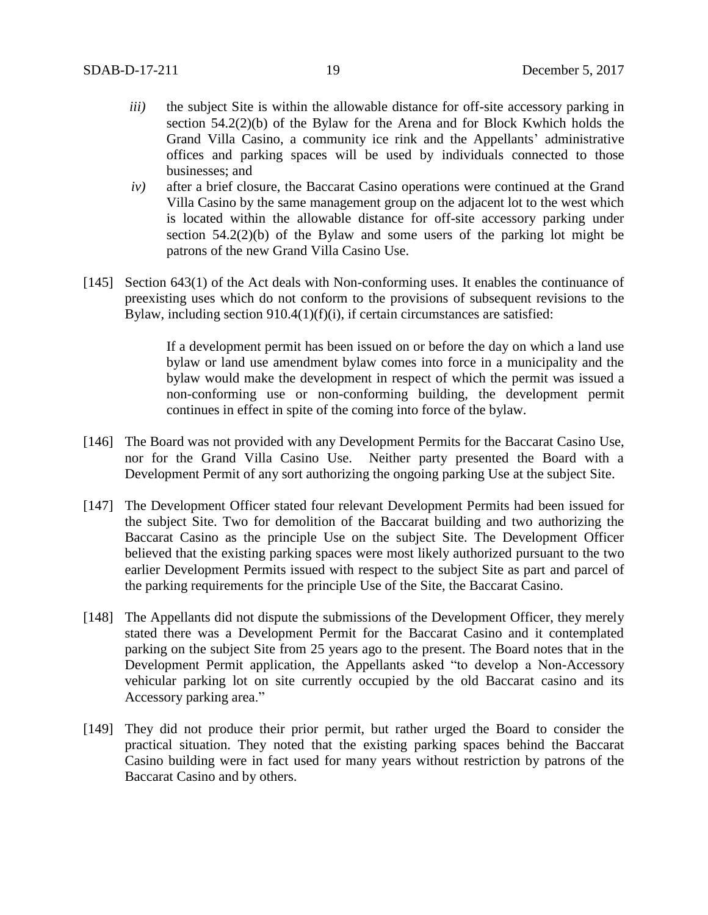- *iii*) the subject Site is within the allowable distance for off-site accessory parking in section 54.2(2)(b) of the Bylaw for the Arena and for Block Kwhich holds the Grand Villa Casino, a community ice rink and the Appellants' administrative offices and parking spaces will be used by individuals connected to those businesses; and
- *iv)* after a brief closure, the Baccarat Casino operations were continued at the Grand Villa Casino by the same management group on the adjacent lot to the west which is located within the allowable distance for off-site accessory parking under section 54.2(2)(b) of the Bylaw and some users of the parking lot might be patrons of the new Grand Villa Casino Use.
- [145] Section 643(1) of the Act deals with Non-conforming uses. It enables the continuance of preexisting uses which do not conform to the provisions of subsequent revisions to the Bylaw, including section  $910.4(1)(f)(i)$ , if certain circumstances are satisfied:

If a development permit has been issued on or before the day on which a land use bylaw or land use amendment bylaw comes into force in a municipality and the bylaw would make the development in respect of which the permit was issued a non-conforming use or non-conforming building, the development permit continues in effect in spite of the coming into force of the bylaw.

- [146] The Board was not provided with any Development Permits for the Baccarat Casino Use, nor for the Grand Villa Casino Use. Neither party presented the Board with a Development Permit of any sort authorizing the ongoing parking Use at the subject Site.
- [147] The Development Officer stated four relevant Development Permits had been issued for the subject Site. Two for demolition of the Baccarat building and two authorizing the Baccarat Casino as the principle Use on the subject Site. The Development Officer believed that the existing parking spaces were most likely authorized pursuant to the two earlier Development Permits issued with respect to the subject Site as part and parcel of the parking requirements for the principle Use of the Site, the Baccarat Casino.
- [148] The Appellants did not dispute the submissions of the Development Officer, they merely stated there was a Development Permit for the Baccarat Casino and it contemplated parking on the subject Site from 25 years ago to the present. The Board notes that in the Development Permit application, the Appellants asked "to develop a Non-Accessory vehicular parking lot on site currently occupied by the old Baccarat casino and its Accessory parking area."
- [149] They did not produce their prior permit, but rather urged the Board to consider the practical situation. They noted that the existing parking spaces behind the Baccarat Casino building were in fact used for many years without restriction by patrons of the Baccarat Casino and by others.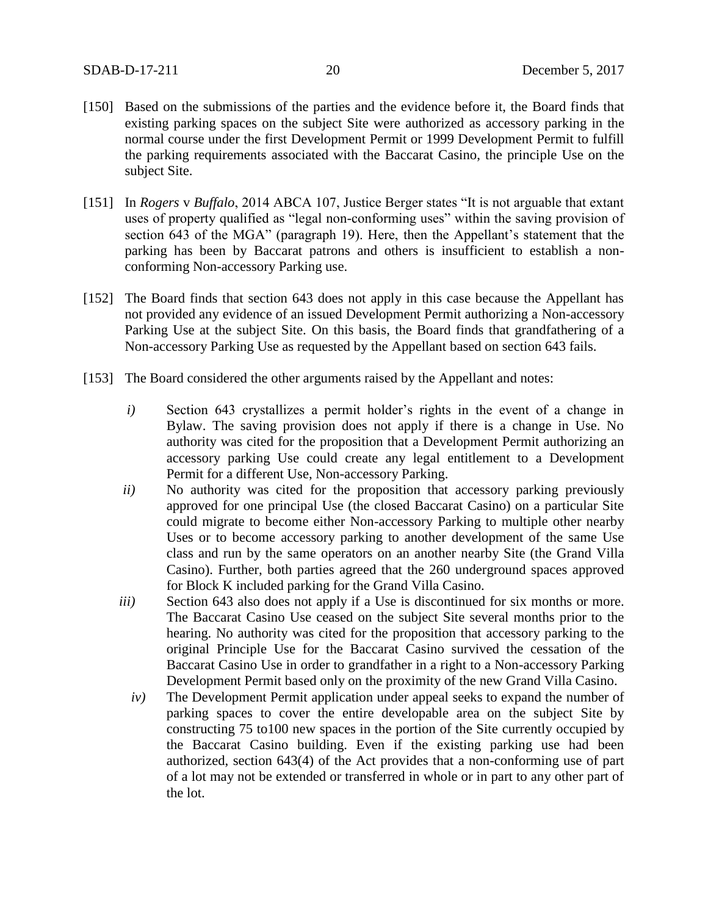- [150] Based on the submissions of the parties and the evidence before it, the Board finds that existing parking spaces on the subject Site were authorized as accessory parking in the normal course under the first Development Permit or 1999 Development Permit to fulfill the parking requirements associated with the Baccarat Casino, the principle Use on the subject Site.
- [151] In *Rogers* v *Buffalo*, 2014 ABCA 107, Justice Berger states "It is not arguable that extant uses of property qualified as "legal non-conforming uses" within the saving provision of section 643 of the MGA" (paragraph 19). Here, then the Appellant's statement that the parking has been by Baccarat patrons and others is insufficient to establish a nonconforming Non-accessory Parking use.
- [152] The Board finds that section 643 does not apply in this case because the Appellant has not provided any evidence of an issued Development Permit authorizing a Non-accessory Parking Use at the subject Site. On this basis, the Board finds that grandfathering of a Non-accessory Parking Use as requested by the Appellant based on section 643 fails.
- [153] The Board considered the other arguments raised by the Appellant and notes:
	- *i)* Section 643 crystallizes a permit holder's rights in the event of a change in Bylaw. The saving provision does not apply if there is a change in Use. No authority was cited for the proposition that a Development Permit authorizing an accessory parking Use could create any legal entitlement to a Development Permit for a different Use, Non-accessory Parking.
	- *ii)* No authority was cited for the proposition that accessory parking previously approved for one principal Use (the closed Baccarat Casino) on a particular Site could migrate to become either Non-accessory Parking to multiple other nearby Uses or to become accessory parking to another development of the same Use class and run by the same operators on an another nearby Site (the Grand Villa Casino). Further, both parties agreed that the 260 underground spaces approved for Block K included parking for the Grand Villa Casino.
	- *iii*) Section 643 also does not apply if a Use is discontinued for six months or more. The Baccarat Casino Use ceased on the subject Site several months prior to the hearing. No authority was cited for the proposition that accessory parking to the original Principle Use for the Baccarat Casino survived the cessation of the Baccarat Casino Use in order to grandfather in a right to a Non-accessory Parking Development Permit based only on the proximity of the new Grand Villa Casino.
		- *iv)* The Development Permit application under appeal seeks to expand the number of parking spaces to cover the entire developable area on the subject Site by constructing 75 to100 new spaces in the portion of the Site currently occupied by the Baccarat Casino building. Even if the existing parking use had been authorized, section 643(4) of the Act provides that a non-conforming use of part of a lot may not be extended or transferred in whole or in part to any other part of the lot.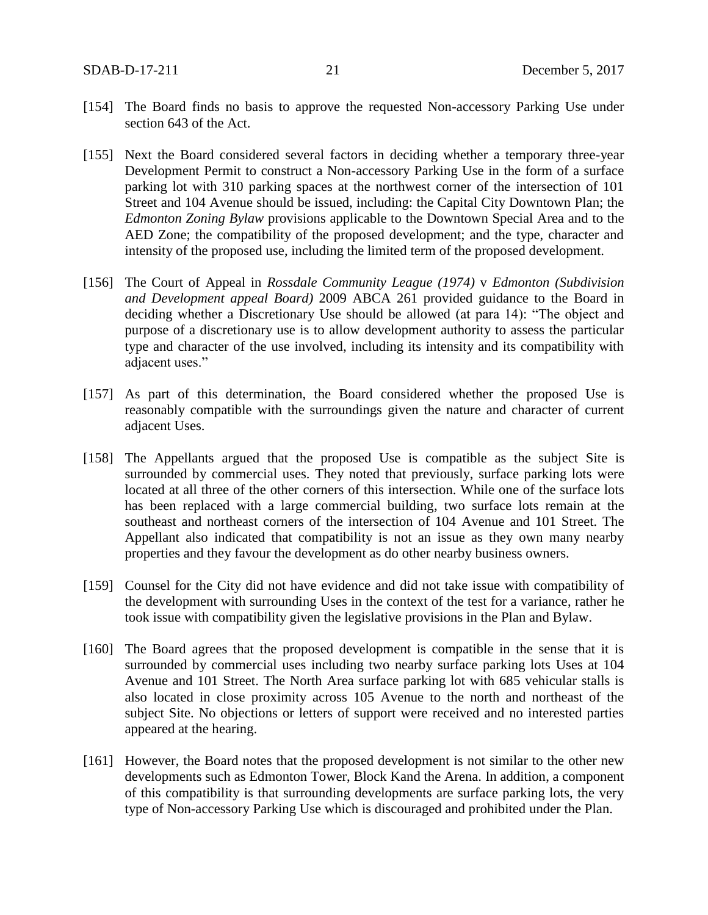- [154] The Board finds no basis to approve the requested Non-accessory Parking Use under section 643 of the Act.
- [155] Next the Board considered several factors in deciding whether a temporary three-year Development Permit to construct a Non-accessory Parking Use in the form of a surface parking lot with 310 parking spaces at the northwest corner of the intersection of 101 Street and 104 Avenue should be issued, including: the Capital City Downtown Plan; the *Edmonton Zoning Bylaw* provisions applicable to the Downtown Special Area and to the AED Zone; the compatibility of the proposed development; and the type, character and intensity of the proposed use, including the limited term of the proposed development.
- [156] The Court of Appeal in *Rossdale Community League (1974)* v *Edmonton (Subdivision and Development appeal Board)* 2009 ABCA 261 provided guidance to the Board in deciding whether a Discretionary Use should be allowed (at para 14): "The object and purpose of a discretionary use is to allow development authority to assess the particular type and character of the use involved, including its intensity and its compatibility with adjacent uses."
- [157] As part of this determination, the Board considered whether the proposed Use is reasonably compatible with the surroundings given the nature and character of current adjacent Uses.
- [158] The Appellants argued that the proposed Use is compatible as the subject Site is surrounded by commercial uses. They noted that previously, surface parking lots were located at all three of the other corners of this intersection. While one of the surface lots has been replaced with a large commercial building, two surface lots remain at the southeast and northeast corners of the intersection of 104 Avenue and 101 Street. The Appellant also indicated that compatibility is not an issue as they own many nearby properties and they favour the development as do other nearby business owners.
- [159] Counsel for the City did not have evidence and did not take issue with compatibility of the development with surrounding Uses in the context of the test for a variance, rather he took issue with compatibility given the legislative provisions in the Plan and Bylaw.
- [160] The Board agrees that the proposed development is compatible in the sense that it is surrounded by commercial uses including two nearby surface parking lots Uses at 104 Avenue and 101 Street. The North Area surface parking lot with 685 vehicular stalls is also located in close proximity across 105 Avenue to the north and northeast of the subject Site. No objections or letters of support were received and no interested parties appeared at the hearing.
- [161] However, the Board notes that the proposed development is not similar to the other new developments such as Edmonton Tower, Block Kand the Arena. In addition, a component of this compatibility is that surrounding developments are surface parking lots, the very type of Non-accessory Parking Use which is discouraged and prohibited under the Plan.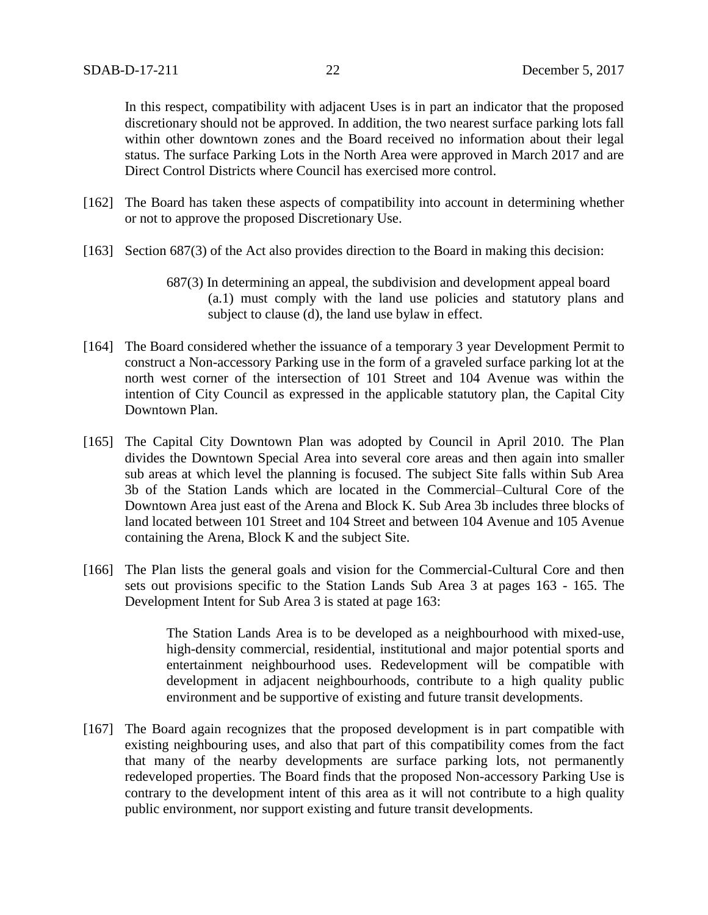In this respect, compatibility with adjacent Uses is in part an indicator that the proposed discretionary should not be approved. In addition, the two nearest surface parking lots fall within other downtown zones and the Board received no information about their legal status. The surface Parking Lots in the North Area were approved in March 2017 and are Direct Control Districts where Council has exercised more control.

- [162] The Board has taken these aspects of compatibility into account in determining whether or not to approve the proposed Discretionary Use.
- [163] Section 687(3) of the Act also provides direction to the Board in making this decision:
	- 687(3) In determining an appeal, the subdivision and development appeal board (a.1) must comply with the land use policies and statutory plans and subject to clause (d), the land use bylaw in effect.
- [164] The Board considered whether the issuance of a temporary 3 year Development Permit to construct a Non-accessory Parking use in the form of a graveled surface parking lot at the north west corner of the intersection of 101 Street and 104 Avenue was within the intention of City Council as expressed in the applicable statutory plan, the Capital City Downtown Plan.
- [165] The Capital City Downtown Plan was adopted by Council in April 2010. The Plan divides the Downtown Special Area into several core areas and then again into smaller sub areas at which level the planning is focused. The subject Site falls within Sub Area 3b of the Station Lands which are located in the Commercial–Cultural Core of the Downtown Area just east of the Arena and Block K. Sub Area 3b includes three blocks of land located between 101 Street and 104 Street and between 104 Avenue and 105 Avenue containing the Arena, Block K and the subject Site.
- [166] The Plan lists the general goals and vision for the Commercial-Cultural Core and then sets out provisions specific to the Station Lands Sub Area 3 at pages 163 - 165. The Development Intent for Sub Area 3 is stated at page 163:

The Station Lands Area is to be developed as a neighbourhood with mixed-use, high-density commercial, residential, institutional and major potential sports and entertainment neighbourhood uses. Redevelopment will be compatible with development in adjacent neighbourhoods, contribute to a high quality public environment and be supportive of existing and future transit developments.

[167] The Board again recognizes that the proposed development is in part compatible with existing neighbouring uses, and also that part of this compatibility comes from the fact that many of the nearby developments are surface parking lots, not permanently redeveloped properties. The Board finds that the proposed Non-accessory Parking Use is contrary to the development intent of this area as it will not contribute to a high quality public environment, nor support existing and future transit developments.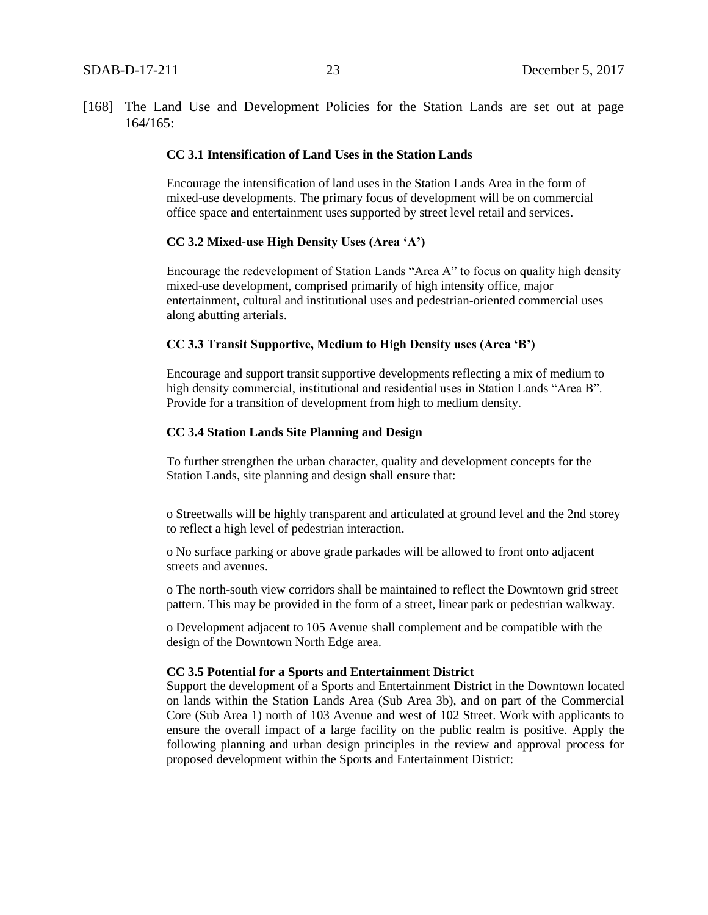[168] The Land Use and Development Policies for the Station Lands are set out at page 164/165:

#### **CC 3.1 Intensification of Land Uses in the Station Lands**

Encourage the intensification of land uses in the Station Lands Area in the form of mixed-use developments. The primary focus of development will be on commercial office space and entertainment uses supported by street level retail and services.

#### **CC 3.2 Mixed-use High Density Uses (Area 'A')**

Encourage the redevelopment of Station Lands "Area A" to focus on quality high density mixed-use development, comprised primarily of high intensity office, major entertainment, cultural and institutional uses and pedestrian-oriented commercial uses along abutting arterials.

#### **CC 3.3 Transit Supportive, Medium to High Density uses (Area 'B')**

Encourage and support transit supportive developments reflecting a mix of medium to high density commercial, institutional and residential uses in Station Lands "Area B". Provide for a transition of development from high to medium density.

#### **CC 3.4 Station Lands Site Planning and Design**

To further strengthen the urban character, quality and development concepts for the Station Lands, site planning and design shall ensure that:

o Streetwalls will be highly transparent and articulated at ground level and the 2nd storey to reflect a high level of pedestrian interaction.

o No surface parking or above grade parkades will be allowed to front onto adjacent streets and avenues.

o The north-south view corridors shall be maintained to reflect the Downtown grid street pattern. This may be provided in the form of a street, linear park or pedestrian walkway.

o Development adjacent to 105 Avenue shall complement and be compatible with the design of the Downtown North Edge area.

#### **CC 3.5 Potential for a Sports and Entertainment District**

Support the development of a Sports and Entertainment District in the Downtown located on lands within the Station Lands Area (Sub Area 3b), and on part of the Commercial Core (Sub Area 1) north of 103 Avenue and west of 102 Street. Work with applicants to ensure the overall impact of a large facility on the public realm is positive. Apply the following planning and urban design principles in the review and approval process for proposed development within the Sports and Entertainment District: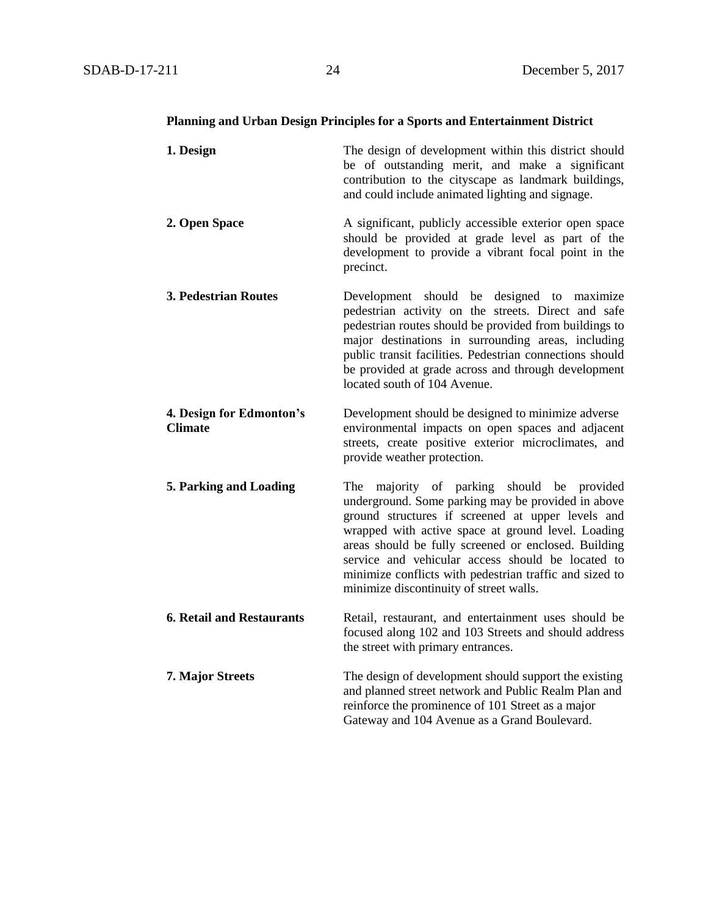#### **Planning and Urban Design Principles for a Sports and Entertainment District**

**1. Design** The design of development within this district should be of outstanding merit, and make a significant contribution to the cityscape as landmark buildings, and could include animated lighting and signage. **2. Open Space A** significant, publicly accessible exterior open space should be provided at grade level as part of the development to provide a vibrant focal point in the precinct. **3. Pedestrian Routes** Development should be designed to maximize pedestrian activity on the streets. Direct and safe pedestrian routes should be provided from buildings to major destinations in surrounding areas, including public transit facilities. Pedestrian connections should be provided at grade across and through development located south of 104 Avenue. **4. Design for Edmonton's** Development should be designed to minimize adverse **Climate** environmental impacts on open spaces and adjacent streets, create positive exterior microclimates, and provide weather protection. **5. Parking and Loading** The majority of parking should be provided underground. Some parking may be provided in above ground structures if screened at upper levels and wrapped with active space at ground level. Loading areas should be fully screened or enclosed. Building service and vehicular access should be located to minimize conflicts with pedestrian traffic and sized to minimize discontinuity of street walls. **6. Retail and Restaurants** Retail, restaurant, and entertainment uses should be focused along 102 and 103 Streets and should address the street with primary entrances. **7. Major Streets** The design of development should support the existing and planned street network and Public Realm Plan and reinforce the prominence of 101 Street as a major Gateway and 104 Avenue as a Grand Boulevard.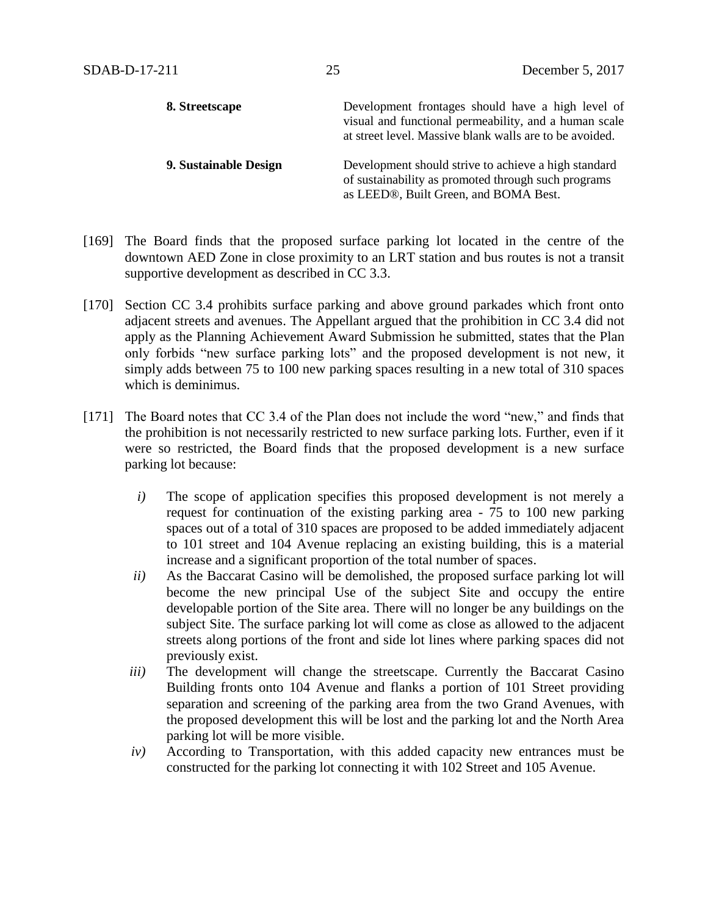| 8. Streetscape        | Development frontages should have a high level of<br>visual and functional permeability, and a human scale<br>at street level. Massive blank walls are to be avoided. |
|-----------------------|-----------------------------------------------------------------------------------------------------------------------------------------------------------------------|
| 9. Sustainable Design | Development should strive to achieve a high standard<br>of sustainability as promoted through such programs<br>as LEED®, Built Green, and BOMA Best.                  |

- [169] The Board finds that the proposed surface parking lot located in the centre of the downtown AED Zone in close proximity to an LRT station and bus routes is not a transit supportive development as described in CC 3.3.
- [170] Section CC 3.4 prohibits surface parking and above ground parkades which front onto adjacent streets and avenues. The Appellant argued that the prohibition in CC 3.4 did not apply as the Planning Achievement Award Submission he submitted, states that the Plan only forbids "new surface parking lots" and the proposed development is not new, it simply adds between 75 to 100 new parking spaces resulting in a new total of 310 spaces which is deminimus.
- [171] The Board notes that CC 3.4 of the Plan does not include the word "new," and finds that the prohibition is not necessarily restricted to new surface parking lots. Further, even if it were so restricted, the Board finds that the proposed development is a new surface parking lot because:
	- *i)* The scope of application specifies this proposed development is not merely a request for continuation of the existing parking area - 75 to 100 new parking spaces out of a total of 310 spaces are proposed to be added immediately adjacent to 101 street and 104 Avenue replacing an existing building, this is a material increase and a significant proportion of the total number of spaces.
	- *ii)* As the Baccarat Casino will be demolished, the proposed surface parking lot will become the new principal Use of the subject Site and occupy the entire developable portion of the Site area. There will no longer be any buildings on the subject Site. The surface parking lot will come as close as allowed to the adjacent streets along portions of the front and side lot lines where parking spaces did not previously exist.
	- *iii*) The development will change the streetscape. Currently the Baccarat Casino Building fronts onto 104 Avenue and flanks a portion of 101 Street providing separation and screening of the parking area from the two Grand Avenues, with the proposed development this will be lost and the parking lot and the North Area parking lot will be more visible.
	- *iv)* According to Transportation, with this added capacity new entrances must be constructed for the parking lot connecting it with 102 Street and 105 Avenue.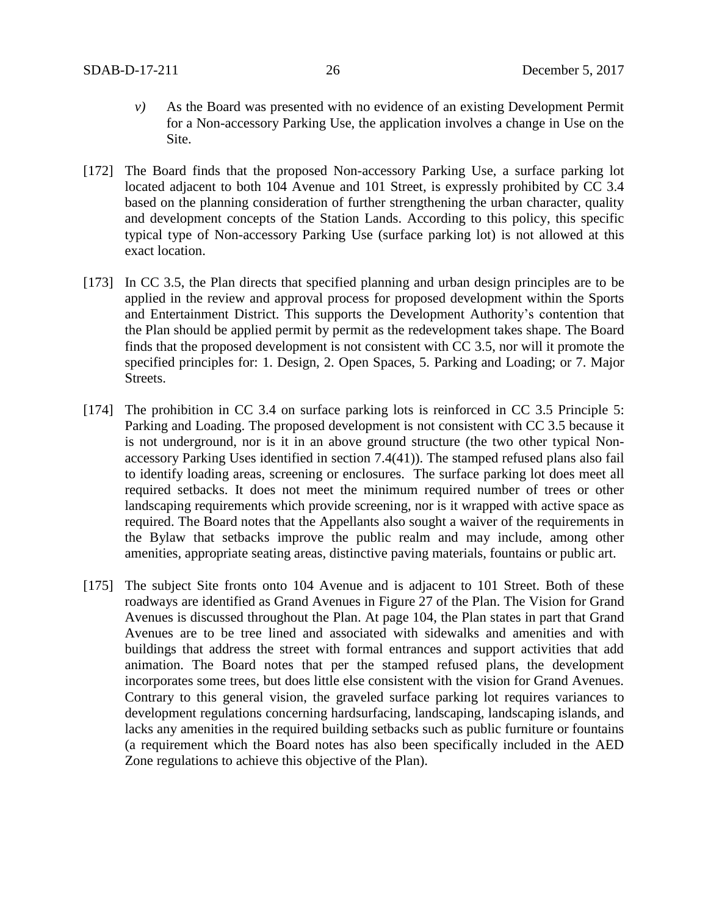- *v)* As the Board was presented with no evidence of an existing Development Permit for a Non-accessory Parking Use, the application involves a change in Use on the Site.
- [172] The Board finds that the proposed Non-accessory Parking Use, a surface parking lot located adjacent to both 104 Avenue and 101 Street, is expressly prohibited by CC 3.4 based on the planning consideration of further strengthening the urban character, quality and development concepts of the Station Lands. According to this policy, this specific typical type of Non-accessory Parking Use (surface parking lot) is not allowed at this exact location.
- [173] In CC 3.5, the Plan directs that specified planning and urban design principles are to be applied in the review and approval process for proposed development within the Sports and Entertainment District. This supports the Development Authority's contention that the Plan should be applied permit by permit as the redevelopment takes shape. The Board finds that the proposed development is not consistent with CC 3.5, nor will it promote the specified principles for: 1. Design, 2. Open Spaces, 5. Parking and Loading; or 7. Major Streets.
- [174] The prohibition in CC 3.4 on surface parking lots is reinforced in CC 3.5 Principle 5: Parking and Loading. The proposed development is not consistent with CC 3.5 because it is not underground, nor is it in an above ground structure (the two other typical Nonaccessory Parking Uses identified in section 7.4(41)). The stamped refused plans also fail to identify loading areas, screening or enclosures. The surface parking lot does meet all required setbacks. It does not meet the minimum required number of trees or other landscaping requirements which provide screening, nor is it wrapped with active space as required. The Board notes that the Appellants also sought a waiver of the requirements in the Bylaw that setbacks improve the public realm and may include, among other amenities, appropriate seating areas, distinctive paving materials, fountains or public art.
- [175] The subject Site fronts onto 104 Avenue and is adjacent to 101 Street. Both of these roadways are identified as Grand Avenues in Figure 27 of the Plan. The Vision for Grand Avenues is discussed throughout the Plan. At page 104, the Plan states in part that Grand Avenues are to be tree lined and associated with sidewalks and amenities and with buildings that address the street with formal entrances and support activities that add animation. The Board notes that per the stamped refused plans, the development incorporates some trees, but does little else consistent with the vision for Grand Avenues. Contrary to this general vision, the graveled surface parking lot requires variances to development regulations concerning hardsurfacing, landscaping, landscaping islands, and lacks any amenities in the required building setbacks such as public furniture or fountains (a requirement which the Board notes has also been specifically included in the AED Zone regulations to achieve this objective of the Plan).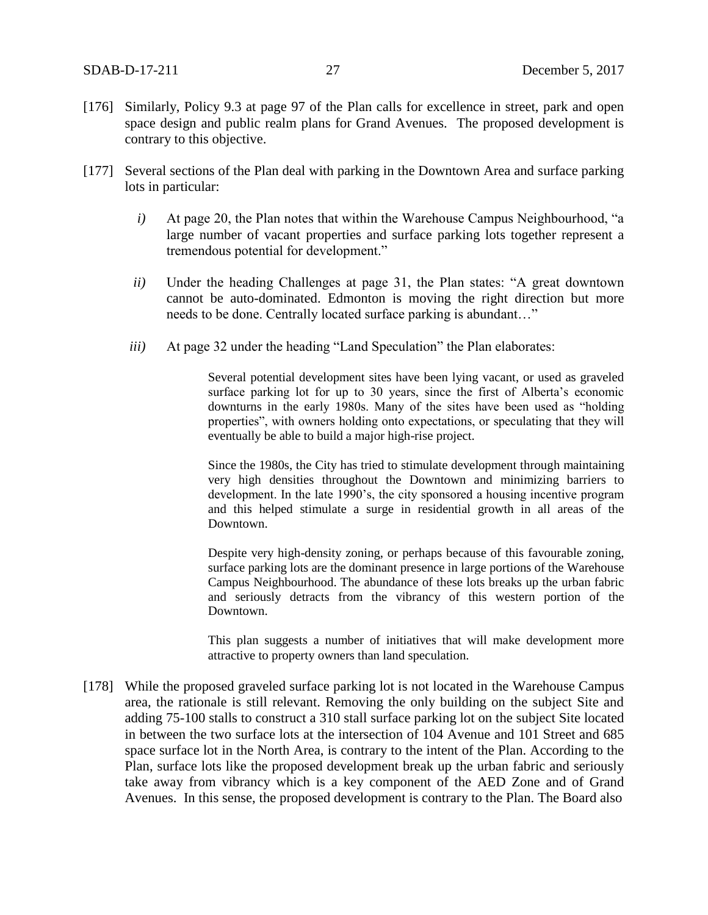- [176] Similarly, Policy 9.3 at page 97 of the Plan calls for excellence in street, park and open space design and public realm plans for Grand Avenues. The proposed development is contrary to this objective.
- [177] Several sections of the Plan deal with parking in the Downtown Area and surface parking lots in particular:
	- *i)* At page 20, the Plan notes that within the Warehouse Campus Neighbourhood, "a large number of vacant properties and surface parking lots together represent a tremendous potential for development."
	- *ii*) Under the heading Challenges at page 31, the Plan states: "A great downtown cannot be auto-dominated. Edmonton is moving the right direction but more needs to be done. Centrally located surface parking is abundant…"
	- *iii)* At page 32 under the heading "Land Speculation" the Plan elaborates:

Several potential development sites have been lying vacant, or used as graveled surface parking lot for up to 30 years, since the first of Alberta's economic downturns in the early 1980s. Many of the sites have been used as "holding properties", with owners holding onto expectations, or speculating that they will eventually be able to build a major high-rise project.

Since the 1980s, the City has tried to stimulate development through maintaining very high densities throughout the Downtown and minimizing barriers to development. In the late 1990's, the city sponsored a housing incentive program and this helped stimulate a surge in residential growth in all areas of the Downtown.

Despite very high-density zoning, or perhaps because of this favourable zoning, surface parking lots are the dominant presence in large portions of the Warehouse Campus Neighbourhood. The abundance of these lots breaks up the urban fabric and seriously detracts from the vibrancy of this western portion of the Downtown.

This plan suggests a number of initiatives that will make development more attractive to property owners than land speculation.

[178] While the proposed graveled surface parking lot is not located in the Warehouse Campus area, the rationale is still relevant. Removing the only building on the subject Site and adding 75-100 stalls to construct a 310 stall surface parking lot on the subject Site located in between the two surface lots at the intersection of 104 Avenue and 101 Street and 685 space surface lot in the North Area, is contrary to the intent of the Plan. According to the Plan, surface lots like the proposed development break up the urban fabric and seriously take away from vibrancy which is a key component of the AED Zone and of Grand Avenues. In this sense, the proposed development is contrary to the Plan. The Board also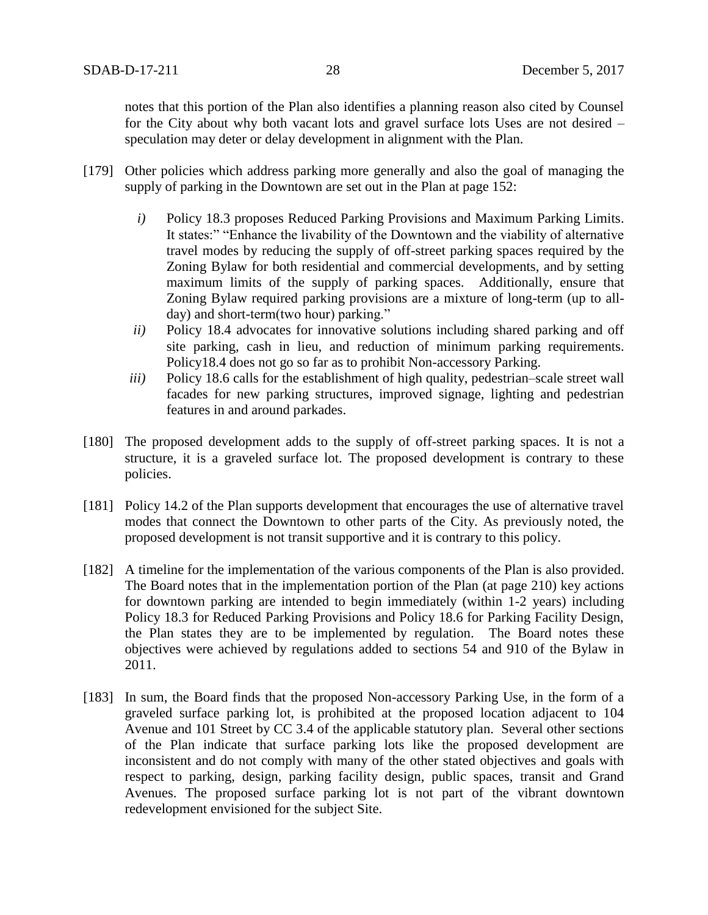notes that this portion of the Plan also identifies a planning reason also cited by Counsel for the City about why both vacant lots and gravel surface lots Uses are not desired – speculation may deter or delay development in alignment with the Plan.

- [179] Other policies which address parking more generally and also the goal of managing the supply of parking in the Downtown are set out in the Plan at page 152:
	- *i)* Policy 18.3 proposes Reduced Parking Provisions and Maximum Parking Limits. It states:" "Enhance the livability of the Downtown and the viability of alternative travel modes by reducing the supply of off-street parking spaces required by the Zoning Bylaw for both residential and commercial developments, and by setting maximum limits of the supply of parking spaces. Additionally, ensure that Zoning Bylaw required parking provisions are a mixture of long-term (up to allday) and short-term(two hour) parking."
	- *ii*) Policy 18.4 advocates for innovative solutions including shared parking and off site parking, cash in lieu, and reduction of minimum parking requirements. Policy18.4 does not go so far as to prohibit Non-accessory Parking.
	- *iii*) Policy 18.6 calls for the establishment of high quality, pedestrian–scale street wall facades for new parking structures, improved signage, lighting and pedestrian features in and around parkades.
- [180] The proposed development adds to the supply of off-street parking spaces. It is not a structure, it is a graveled surface lot. The proposed development is contrary to these policies.
- [181] Policy 14.2 of the Plan supports development that encourages the use of alternative travel modes that connect the Downtown to other parts of the City. As previously noted, the proposed development is not transit supportive and it is contrary to this policy.
- [182] A timeline for the implementation of the various components of the Plan is also provided. The Board notes that in the implementation portion of the Plan (at page 210) key actions for downtown parking are intended to begin immediately (within 1-2 years) including Policy 18.3 for Reduced Parking Provisions and Policy 18.6 for Parking Facility Design, the Plan states they are to be implemented by regulation. The Board notes these objectives were achieved by regulations added to sections 54 and 910 of the Bylaw in 2011.
- [183] In sum, the Board finds that the proposed Non-accessory Parking Use, in the form of a graveled surface parking lot, is prohibited at the proposed location adjacent to 104 Avenue and 101 Street by CC 3.4 of the applicable statutory plan. Several other sections of the Plan indicate that surface parking lots like the proposed development are inconsistent and do not comply with many of the other stated objectives and goals with respect to parking, design, parking facility design, public spaces, transit and Grand Avenues. The proposed surface parking lot is not part of the vibrant downtown redevelopment envisioned for the subject Site.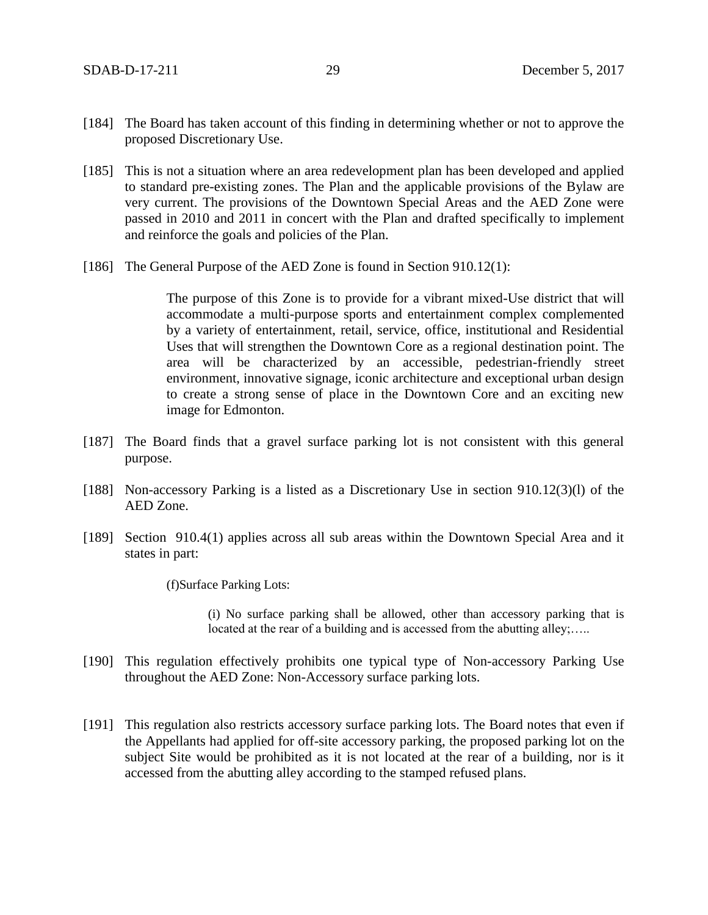- [184] The Board has taken account of this finding in determining whether or not to approve the proposed Discretionary Use.
- [185] This is not a situation where an area redevelopment plan has been developed and applied to standard pre-existing zones. The Plan and the applicable provisions of the Bylaw are very current. The provisions of the Downtown Special Areas and the AED Zone were passed in 2010 and 2011 in concert with the Plan and drafted specifically to implement and reinforce the goals and policies of the Plan.
- [186] The General Purpose of the AED Zone is found in Section 910.12(1):

The purpose of this Zone is to provide for a vibrant mixed-Use district that will accommodate a multi-purpose sports and entertainment complex complemented by a variety of entertainment, retail, service, office, institutional and Residential Uses that will strengthen the Downtown Core as a regional destination point. The area will be characterized by an accessible, pedestrian-friendly street environment, innovative signage, iconic architecture and exceptional urban design to create a strong sense of place in the Downtown Core and an exciting new image for Edmonton.

- [187] The Board finds that a gravel surface parking lot is not consistent with this general purpose.
- [188] Non-accessory Parking is a listed as a Discretionary Use in section 910.12(3)(1) of the AED Zone.
- [189] Section 910.4(1) applies across all sub areas within the Downtown Special Area and it states in part:

(f)Surface Parking Lots:

(i) No surface parking shall be allowed, other than accessory parking that is located at the rear of a building and is accessed from the abutting alley;.....

- [190] This regulation effectively prohibits one typical type of Non-accessory Parking Use throughout the AED Zone: Non-Accessory surface parking lots.
- [191] This regulation also restricts accessory surface parking lots. The Board notes that even if the Appellants had applied for off-site accessory parking, the proposed parking lot on the subject Site would be prohibited as it is not located at the rear of a building, nor is it accessed from the abutting alley according to the stamped refused plans.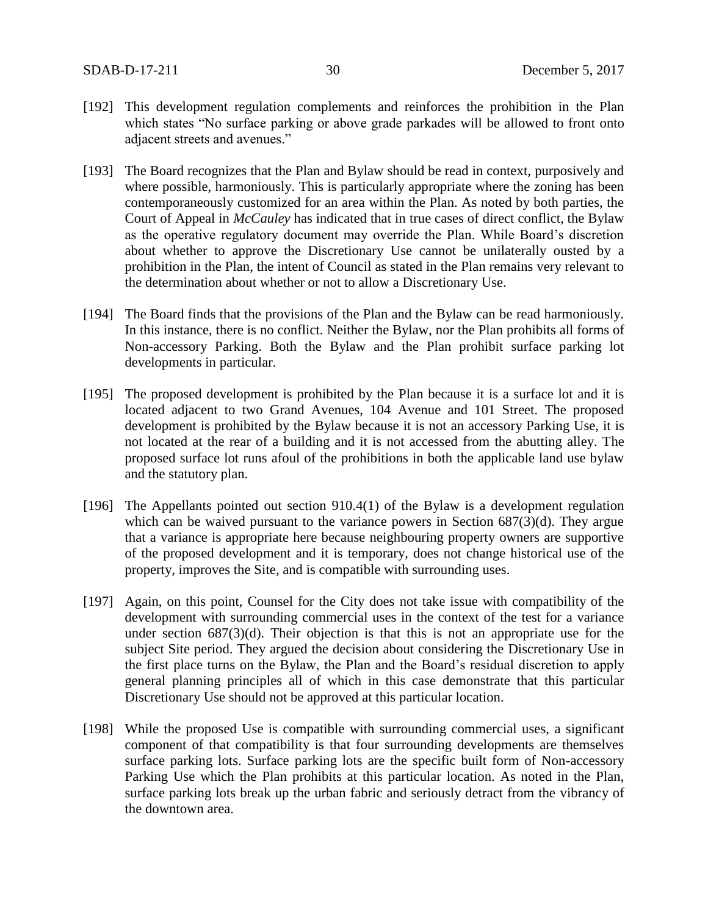- [192] This development regulation complements and reinforces the prohibition in the Plan which states "No surface parking or above grade parkades will be allowed to front onto adjacent streets and avenues."
- [193] The Board recognizes that the Plan and Bylaw should be read in context, purposively and where possible, harmoniously. This is particularly appropriate where the zoning has been contemporaneously customized for an area within the Plan. As noted by both parties, the Court of Appeal in *McCauley* has indicated that in true cases of direct conflict, the Bylaw as the operative regulatory document may override the Plan. While Board's discretion about whether to approve the Discretionary Use cannot be unilaterally ousted by a prohibition in the Plan, the intent of Council as stated in the Plan remains very relevant to the determination about whether or not to allow a Discretionary Use.
- [194] The Board finds that the provisions of the Plan and the Bylaw can be read harmoniously. In this instance, there is no conflict. Neither the Bylaw, nor the Plan prohibits all forms of Non-accessory Parking. Both the Bylaw and the Plan prohibit surface parking lot developments in particular.
- [195] The proposed development is prohibited by the Plan because it is a surface lot and it is located adjacent to two Grand Avenues, 104 Avenue and 101 Street. The proposed development is prohibited by the Bylaw because it is not an accessory Parking Use, it is not located at the rear of a building and it is not accessed from the abutting alley. The proposed surface lot runs afoul of the prohibitions in both the applicable land use bylaw and the statutory plan.
- [196] The Appellants pointed out section 910.4(1) of the Bylaw is a development regulation which can be waived pursuant to the variance powers in Section 687(3)(d). They argue that a variance is appropriate here because neighbouring property owners are supportive of the proposed development and it is temporary, does not change historical use of the property, improves the Site, and is compatible with surrounding uses.
- [197] Again, on this point, Counsel for the City does not take issue with compatibility of the development with surrounding commercial uses in the context of the test for a variance under section 687(3)(d). Their objection is that this is not an appropriate use for the subject Site period. They argued the decision about considering the Discretionary Use in the first place turns on the Bylaw, the Plan and the Board's residual discretion to apply general planning principles all of which in this case demonstrate that this particular Discretionary Use should not be approved at this particular location.
- [198] While the proposed Use is compatible with surrounding commercial uses, a significant component of that compatibility is that four surrounding developments are themselves surface parking lots. Surface parking lots are the specific built form of Non-accessory Parking Use which the Plan prohibits at this particular location. As noted in the Plan, surface parking lots break up the urban fabric and seriously detract from the vibrancy of the downtown area.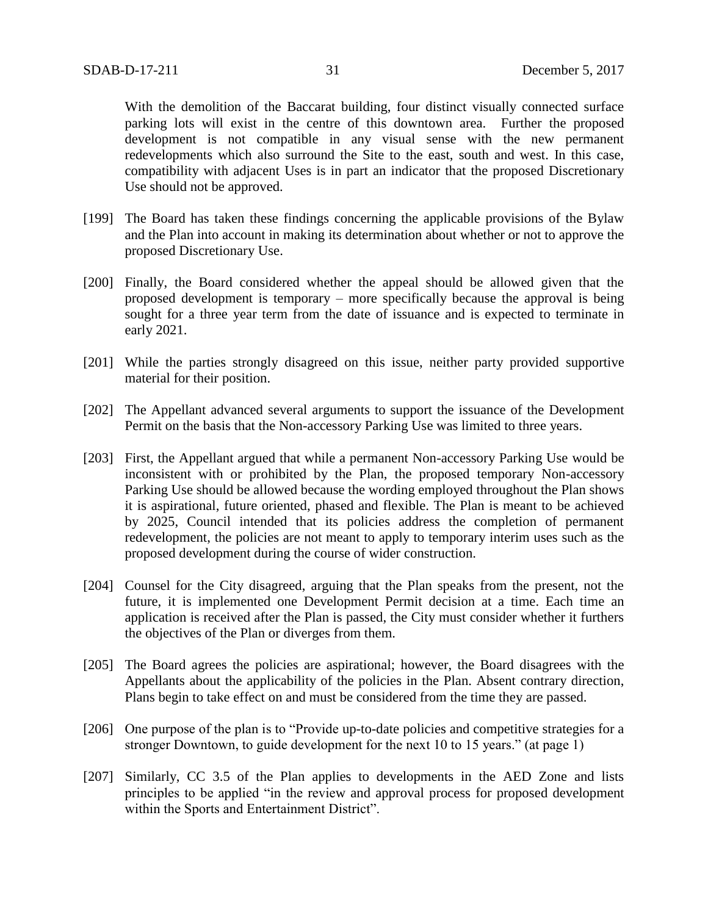With the demolition of the Baccarat building, four distinct visually connected surface parking lots will exist in the centre of this downtown area. Further the proposed development is not compatible in any visual sense with the new permanent redevelopments which also surround the Site to the east, south and west. In this case, compatibility with adjacent Uses is in part an indicator that the proposed Discretionary Use should not be approved.

- [199] The Board has taken these findings concerning the applicable provisions of the Bylaw and the Plan into account in making its determination about whether or not to approve the proposed Discretionary Use.
- [200] Finally, the Board considered whether the appeal should be allowed given that the proposed development is temporary – more specifically because the approval is being sought for a three year term from the date of issuance and is expected to terminate in early 2021.
- [201] While the parties strongly disagreed on this issue, neither party provided supportive material for their position.
- [202] The Appellant advanced several arguments to support the issuance of the Development Permit on the basis that the Non-accessory Parking Use was limited to three years.
- [203] First, the Appellant argued that while a permanent Non-accessory Parking Use would be inconsistent with or prohibited by the Plan, the proposed temporary Non-accessory Parking Use should be allowed because the wording employed throughout the Plan shows it is aspirational, future oriented, phased and flexible. The Plan is meant to be achieved by 2025, Council intended that its policies address the completion of permanent redevelopment, the policies are not meant to apply to temporary interim uses such as the proposed development during the course of wider construction.
- [204] Counsel for the City disagreed, arguing that the Plan speaks from the present, not the future, it is implemented one Development Permit decision at a time. Each time an application is received after the Plan is passed, the City must consider whether it furthers the objectives of the Plan or diverges from them.
- [205] The Board agrees the policies are aspirational; however, the Board disagrees with the Appellants about the applicability of the policies in the Plan. Absent contrary direction, Plans begin to take effect on and must be considered from the time they are passed.
- [206] One purpose of the plan is to "Provide up-to-date policies and competitive strategies for a stronger Downtown, to guide development for the next 10 to 15 years." (at page 1)
- [207] Similarly, CC 3.5 of the Plan applies to developments in the AED Zone and lists principles to be applied "in the review and approval process for proposed development within the Sports and Entertainment District".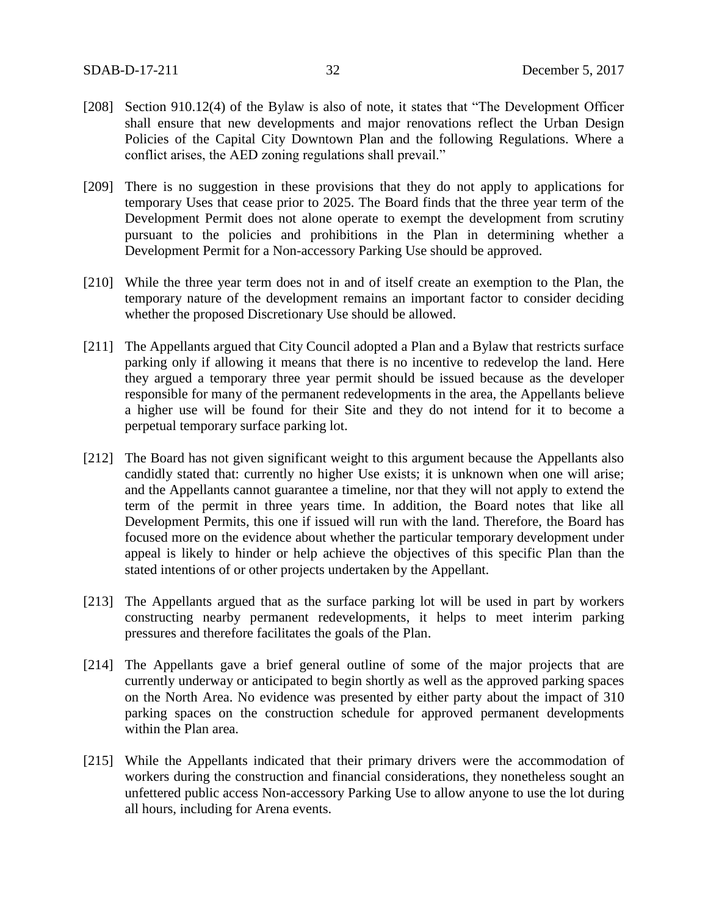- [208] Section 910.12(4) of the Bylaw is also of note, it states that "The Development Officer shall ensure that new developments and major renovations reflect the Urban Design Policies of the Capital City Downtown Plan and the following Regulations. Where a conflict arises, the AED zoning regulations shall prevail."
- [209] There is no suggestion in these provisions that they do not apply to applications for temporary Uses that cease prior to 2025. The Board finds that the three year term of the Development Permit does not alone operate to exempt the development from scrutiny pursuant to the policies and prohibitions in the Plan in determining whether a Development Permit for a Non-accessory Parking Use should be approved.
- [210] While the three year term does not in and of itself create an exemption to the Plan, the temporary nature of the development remains an important factor to consider deciding whether the proposed Discretionary Use should be allowed.
- [211] The Appellants argued that City Council adopted a Plan and a Bylaw that restricts surface parking only if allowing it means that there is no incentive to redevelop the land. Here they argued a temporary three year permit should be issued because as the developer responsible for many of the permanent redevelopments in the area, the Appellants believe a higher use will be found for their Site and they do not intend for it to become a perpetual temporary surface parking lot.
- [212] The Board has not given significant weight to this argument because the Appellants also candidly stated that: currently no higher Use exists; it is unknown when one will arise; and the Appellants cannot guarantee a timeline, nor that they will not apply to extend the term of the permit in three years time. In addition, the Board notes that like all Development Permits, this one if issued will run with the land. Therefore, the Board has focused more on the evidence about whether the particular temporary development under appeal is likely to hinder or help achieve the objectives of this specific Plan than the stated intentions of or other projects undertaken by the Appellant.
- [213] The Appellants argued that as the surface parking lot will be used in part by workers constructing nearby permanent redevelopments, it helps to meet interim parking pressures and therefore facilitates the goals of the Plan.
- [214] The Appellants gave a brief general outline of some of the major projects that are currently underway or anticipated to begin shortly as well as the approved parking spaces on the North Area. No evidence was presented by either party about the impact of 310 parking spaces on the construction schedule for approved permanent developments within the Plan area.
- [215] While the Appellants indicated that their primary drivers were the accommodation of workers during the construction and financial considerations, they nonetheless sought an unfettered public access Non-accessory Parking Use to allow anyone to use the lot during all hours, including for Arena events.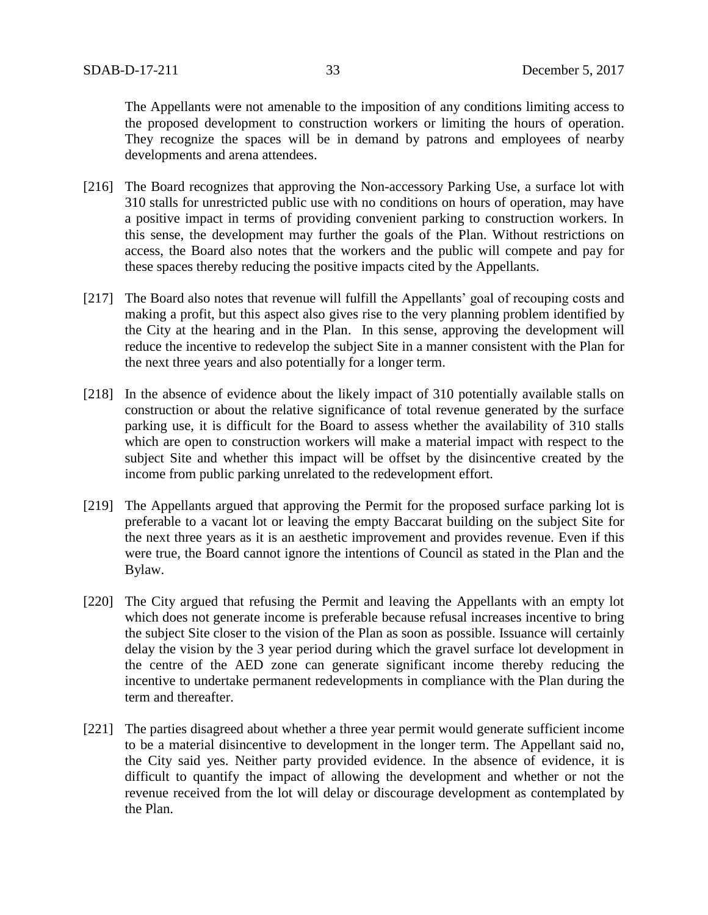The Appellants were not amenable to the imposition of any conditions limiting access to the proposed development to construction workers or limiting the hours of operation. They recognize the spaces will be in demand by patrons and employees of nearby developments and arena attendees.

- [216] The Board recognizes that approving the Non-accessory Parking Use, a surface lot with 310 stalls for unrestricted public use with no conditions on hours of operation, may have a positive impact in terms of providing convenient parking to construction workers. In this sense, the development may further the goals of the Plan. Without restrictions on access, the Board also notes that the workers and the public will compete and pay for these spaces thereby reducing the positive impacts cited by the Appellants.
- [217] The Board also notes that revenue will fulfill the Appellants' goal of recouping costs and making a profit, but this aspect also gives rise to the very planning problem identified by the City at the hearing and in the Plan. In this sense, approving the development will reduce the incentive to redevelop the subject Site in a manner consistent with the Plan for the next three years and also potentially for a longer term.
- [218] In the absence of evidence about the likely impact of 310 potentially available stalls on construction or about the relative significance of total revenue generated by the surface parking use, it is difficult for the Board to assess whether the availability of 310 stalls which are open to construction workers will make a material impact with respect to the subject Site and whether this impact will be offset by the disincentive created by the income from public parking unrelated to the redevelopment effort.
- [219] The Appellants argued that approving the Permit for the proposed surface parking lot is preferable to a vacant lot or leaving the empty Baccarat building on the subject Site for the next three years as it is an aesthetic improvement and provides revenue. Even if this were true, the Board cannot ignore the intentions of Council as stated in the Plan and the Bylaw.
- [220] The City argued that refusing the Permit and leaving the Appellants with an empty lot which does not generate income is preferable because refusal increases incentive to bring the subject Site closer to the vision of the Plan as soon as possible. Issuance will certainly delay the vision by the 3 year period during which the gravel surface lot development in the centre of the AED zone can generate significant income thereby reducing the incentive to undertake permanent redevelopments in compliance with the Plan during the term and thereafter.
- [221] The parties disagreed about whether a three year permit would generate sufficient income to be a material disincentive to development in the longer term. The Appellant said no, the City said yes. Neither party provided evidence. In the absence of evidence, it is difficult to quantify the impact of allowing the development and whether or not the revenue received from the lot will delay or discourage development as contemplated by the Plan.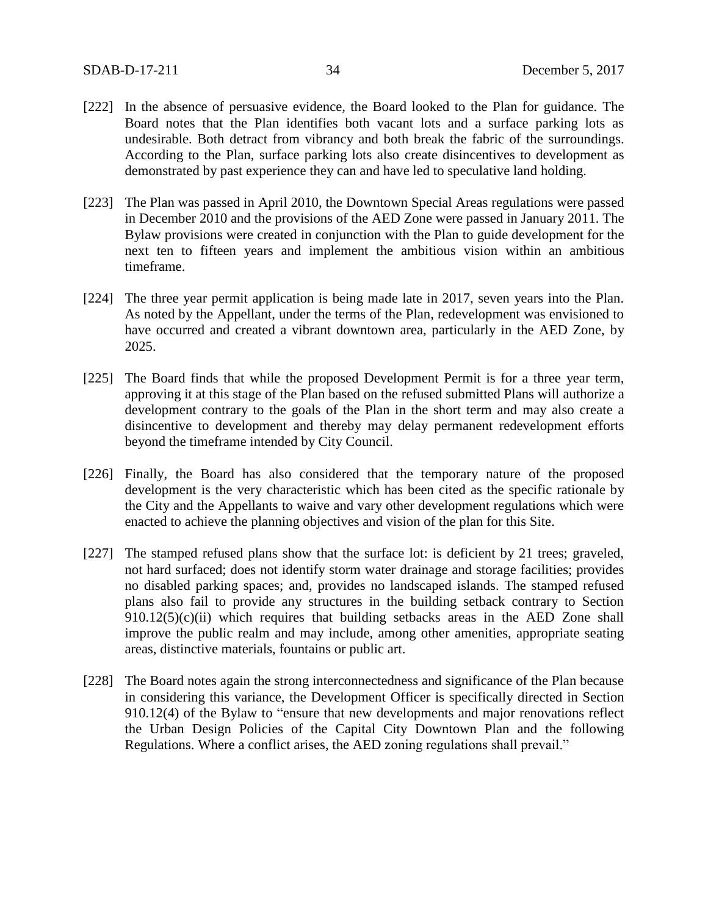- [222] In the absence of persuasive evidence, the Board looked to the Plan for guidance. The Board notes that the Plan identifies both vacant lots and a surface parking lots as undesirable. Both detract from vibrancy and both break the fabric of the surroundings. According to the Plan, surface parking lots also create disincentives to development as demonstrated by past experience they can and have led to speculative land holding.
- [223] The Plan was passed in April 2010, the Downtown Special Areas regulations were passed in December 2010 and the provisions of the AED Zone were passed in January 2011. The Bylaw provisions were created in conjunction with the Plan to guide development for the next ten to fifteen years and implement the ambitious vision within an ambitious timeframe.
- [224] The three year permit application is being made late in 2017, seven years into the Plan. As noted by the Appellant, under the terms of the Plan, redevelopment was envisioned to have occurred and created a vibrant downtown area, particularly in the AED Zone, by 2025.
- [225] The Board finds that while the proposed Development Permit is for a three year term, approving it at this stage of the Plan based on the refused submitted Plans will authorize a development contrary to the goals of the Plan in the short term and may also create a disincentive to development and thereby may delay permanent redevelopment efforts beyond the timeframe intended by City Council.
- [226] Finally, the Board has also considered that the temporary nature of the proposed development is the very characteristic which has been cited as the specific rationale by the City and the Appellants to waive and vary other development regulations which were enacted to achieve the planning objectives and vision of the plan for this Site.
- [227] The stamped refused plans show that the surface lot: is deficient by 21 trees; graveled, not hard surfaced; does not identify storm water drainage and storage facilities; provides no disabled parking spaces; and, provides no landscaped islands. The stamped refused plans also fail to provide any structures in the building setback contrary to Section  $910.12(5)(c)(ii)$  which requires that building setbacks areas in the AED Zone shall improve the public realm and may include, among other amenities, appropriate seating areas, distinctive materials, fountains or public art.
- [228] The Board notes again the strong interconnectedness and significance of the Plan because in considering this variance, the Development Officer is specifically directed in Section 910.12(4) of the Bylaw to "ensure that new developments and major renovations reflect the Urban Design Policies of the Capital City Downtown Plan and the following Regulations. Where a conflict arises, the AED zoning regulations shall prevail."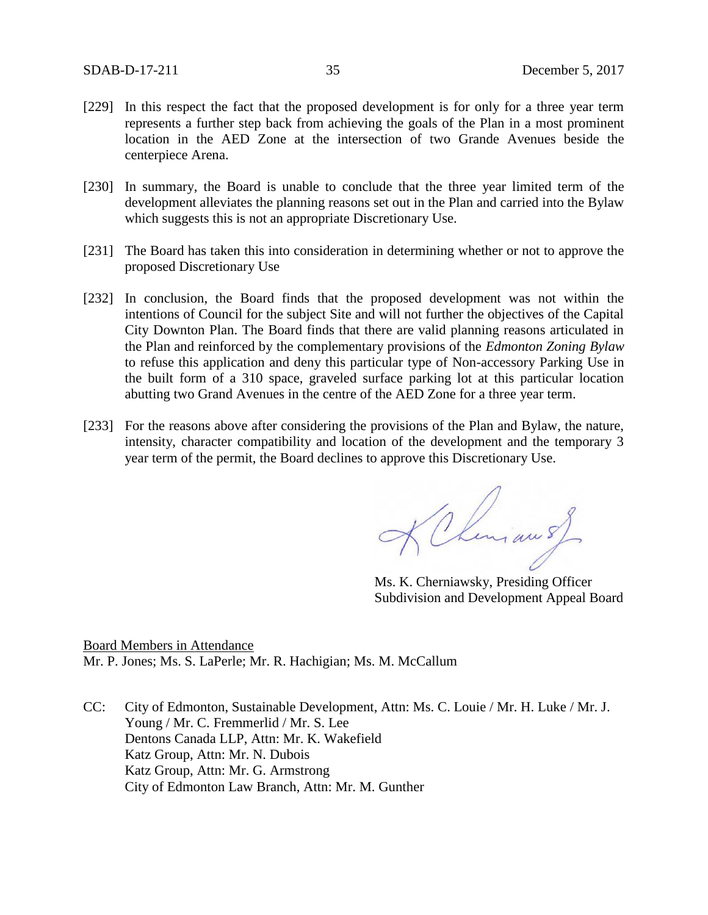- [229] In this respect the fact that the proposed development is for only for a three year term represents a further step back from achieving the goals of the Plan in a most prominent location in the AED Zone at the intersection of two Grande Avenues beside the centerpiece Arena.
- [230] In summary, the Board is unable to conclude that the three year limited term of the development alleviates the planning reasons set out in the Plan and carried into the Bylaw which suggests this is not an appropriate Discretionary Use.
- [231] The Board has taken this into consideration in determining whether or not to approve the proposed Discretionary Use
- [232] In conclusion, the Board finds that the proposed development was not within the intentions of Council for the subject Site and will not further the objectives of the Capital City Downton Plan. The Board finds that there are valid planning reasons articulated in the Plan and reinforced by the complementary provisions of the *Edmonton Zoning Bylaw*  to refuse this application and deny this particular type of Non-accessory Parking Use in the built form of a 310 space, graveled surface parking lot at this particular location abutting two Grand Avenues in the centre of the AED Zone for a three year term.
- [233] For the reasons above after considering the provisions of the Plan and Bylaw, the nature, intensity, character compatibility and location of the development and the temporary 3 year term of the permit, the Board declines to approve this Discretionary Use.

KChinian s)

Ms. K. Cherniawsky, Presiding Officer Subdivision and Development Appeal Board

Board Members in Attendance Mr. P. Jones; Ms. S. LaPerle; Mr. R. Hachigian; Ms. M. McCallum

CC: City of Edmonton, Sustainable Development, Attn: Ms. C. Louie / Mr. H. Luke / Mr. J. Young / Mr. C. Fremmerlid / Mr. S. Lee Dentons Canada LLP, Attn: Mr. K. Wakefield Katz Group, Attn: Mr. N. Dubois Katz Group, Attn: Mr. G. Armstrong City of Edmonton Law Branch, Attn: Mr. M. Gunther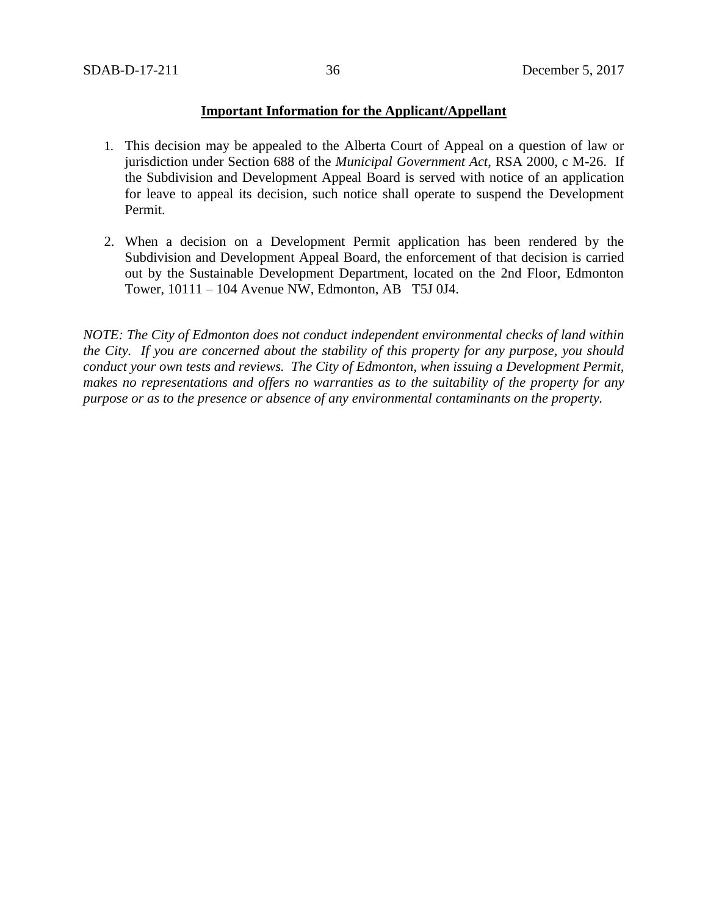# **Important Information for the Applicant/Appellant**

- 1. This decision may be appealed to the Alberta Court of Appeal on a question of law or jurisdiction under Section 688 of the *Municipal Government Act*, RSA 2000, c M-26. If the Subdivision and Development Appeal Board is served with notice of an application for leave to appeal its decision, such notice shall operate to suspend the Development Permit.
- 2. When a decision on a Development Permit application has been rendered by the Subdivision and Development Appeal Board, the enforcement of that decision is carried out by the Sustainable Development Department, located on the 2nd Floor, Edmonton Tower, 10111 – 104 Avenue NW, Edmonton, AB T5J 0J4.

*NOTE: The City of Edmonton does not conduct independent environmental checks of land within the City. If you are concerned about the stability of this property for any purpose, you should conduct your own tests and reviews. The City of Edmonton, when issuing a Development Permit, makes no representations and offers no warranties as to the suitability of the property for any purpose or as to the presence or absence of any environmental contaminants on the property.*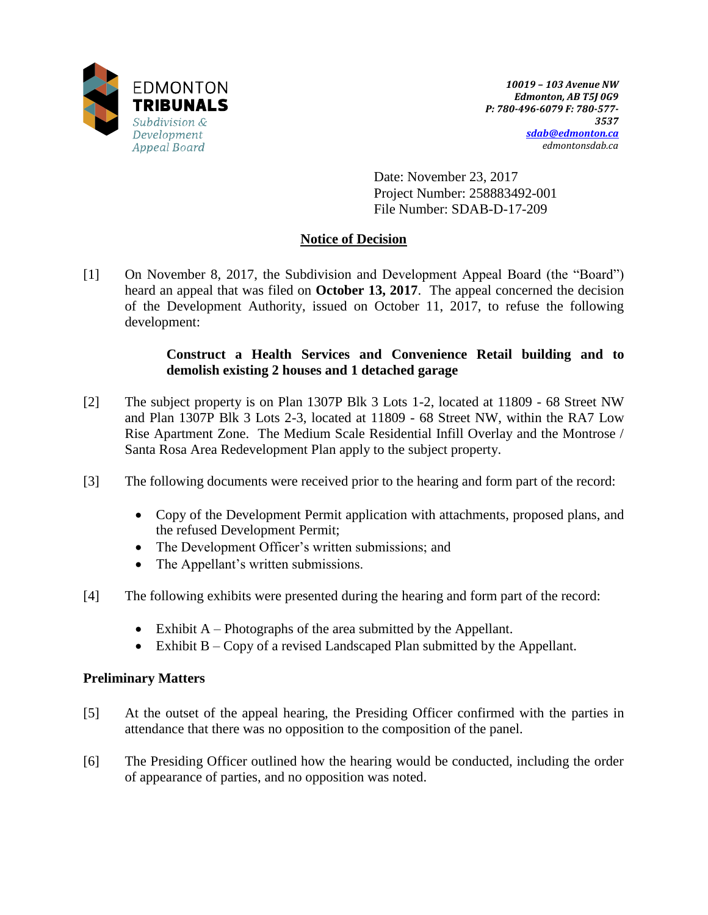

Date: November 23, 2017 Project Number: 258883492-001 File Number: SDAB-D-17-209

# **Notice of Decision**

[1] On November 8, 2017, the Subdivision and Development Appeal Board (the "Board") heard an appeal that was filed on **October 13, 2017**. The appeal concerned the decision of the Development Authority, issued on October 11, 2017, to refuse the following development:

# **Construct a Health Services and Convenience Retail building and to demolish existing 2 houses and 1 detached garage**

- [2] The subject property is on Plan 1307P Blk 3 Lots 1-2, located at 11809 68 Street NW and Plan 1307P Blk 3 Lots 2-3, located at 11809 - 68 Street NW, within the RA7 Low Rise Apartment Zone. The Medium Scale Residential Infill Overlay and the Montrose / Santa Rosa Area Redevelopment Plan apply to the subject property.
- [3] The following documents were received prior to the hearing and form part of the record:
	- Copy of the Development Permit application with attachments, proposed plans, and the refused Development Permit;
	- The Development Officer's written submissions; and
	- The Appellant's written submissions.
- [4] The following exhibits were presented during the hearing and form part of the record:
	- $\bullet$  Exhibit A Photographs of the area submitted by the Appellant.
	- Exhibit B Copy of a revised Landscaped Plan submitted by the Appellant.

# **Preliminary Matters**

- [5] At the outset of the appeal hearing, the Presiding Officer confirmed with the parties in attendance that there was no opposition to the composition of the panel.
- [6] The Presiding Officer outlined how the hearing would be conducted, including the order of appearance of parties, and no opposition was noted.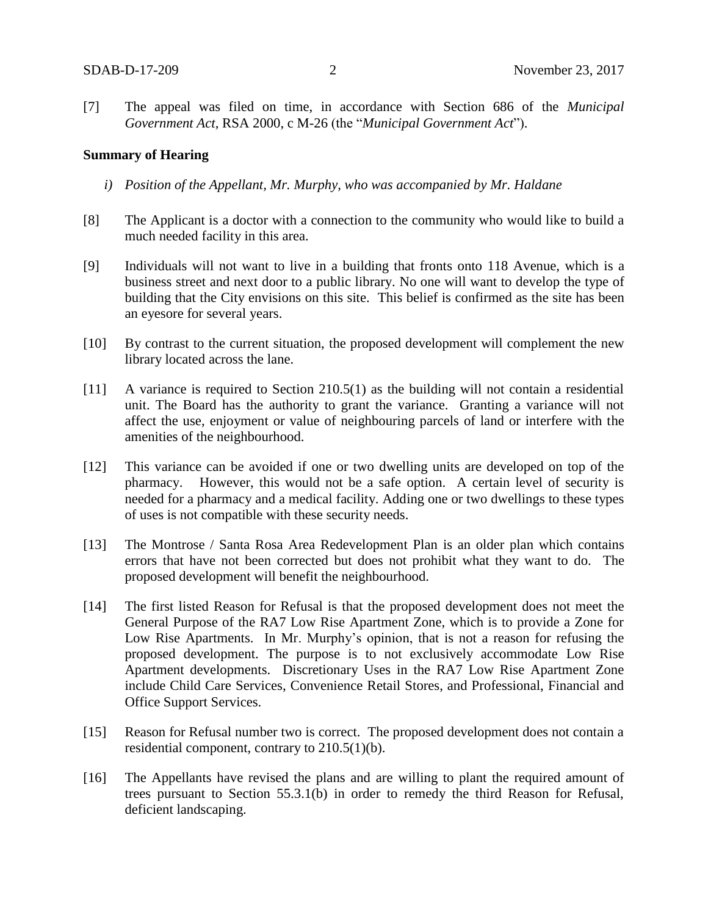[7] The appeal was filed on time, in accordance with Section 686 of the *Municipal Government Act*, RSA 2000, c M-26 (the "*Municipal Government Act*").

## **Summary of Hearing**

- *i) Position of the Appellant, Mr. Murphy, who was accompanied by Mr. Haldane*
- [8] The Applicant is a doctor with a connection to the community who would like to build a much needed facility in this area.
- [9] Individuals will not want to live in a building that fronts onto 118 Avenue, which is a business street and next door to a public library. No one will want to develop the type of building that the City envisions on this site. This belief is confirmed as the site has been an eyesore for several years.
- [10] By contrast to the current situation, the proposed development will complement the new library located across the lane.
- [11] A variance is required to Section 210.5(1) as the building will not contain a residential unit. The Board has the authority to grant the variance. Granting a variance will not affect the use, enjoyment or value of neighbouring parcels of land or interfere with the amenities of the neighbourhood.
- [12] This variance can be avoided if one or two dwelling units are developed on top of the pharmacy. However, this would not be a safe option. A certain level of security is needed for a pharmacy and a medical facility. Adding one or two dwellings to these types of uses is not compatible with these security needs.
- [13] The Montrose / Santa Rosa Area Redevelopment Plan is an older plan which contains errors that have not been corrected but does not prohibit what they want to do. The proposed development will benefit the neighbourhood.
- [14] The first listed Reason for Refusal is that the proposed development does not meet the General Purpose of the RA7 Low Rise Apartment Zone, which is to provide a Zone for Low Rise Apartments. In Mr. Murphy's opinion, that is not a reason for refusing the proposed development. The purpose is to not exclusively accommodate Low Rise Apartment developments. Discretionary Uses in the RA7 Low Rise Apartment Zone include Child Care Services, Convenience Retail Stores, and Professional, Financial and Office Support Services.
- [15] Reason for Refusal number two is correct. The proposed development does not contain a residential component, contrary to 210.5(1)(b).
- [16] The Appellants have revised the plans and are willing to plant the required amount of trees pursuant to Section 55.3.1(b) in order to remedy the third Reason for Refusal, deficient landscaping.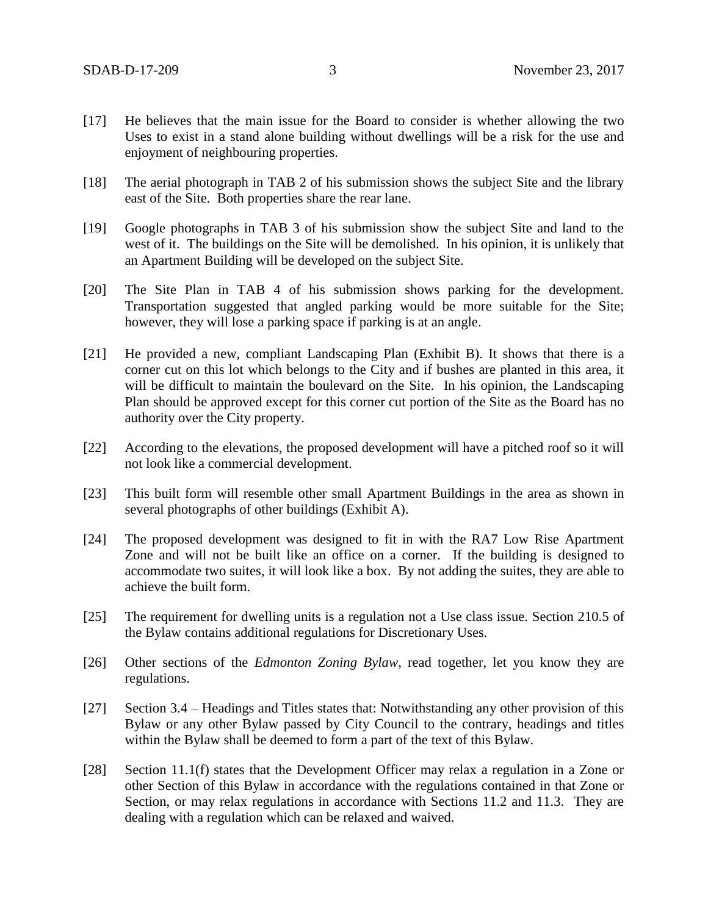- [17] He believes that the main issue for the Board to consider is whether allowing the two Uses to exist in a stand alone building without dwellings will be a risk for the use and enjoyment of neighbouring properties.
- [18] The aerial photograph in TAB 2 of his submission shows the subject Site and the library east of the Site. Both properties share the rear lane.
- [19] Google photographs in TAB 3 of his submission show the subject Site and land to the west of it. The buildings on the Site will be demolished. In his opinion, it is unlikely that an Apartment Building will be developed on the subject Site.
- [20] The Site Plan in TAB 4 of his submission shows parking for the development. Transportation suggested that angled parking would be more suitable for the Site; however, they will lose a parking space if parking is at an angle.
- [21] He provided a new, compliant Landscaping Plan (Exhibit B). It shows that there is a corner cut on this lot which belongs to the City and if bushes are planted in this area, it will be difficult to maintain the boulevard on the Site. In his opinion, the Landscaping Plan should be approved except for this corner cut portion of the Site as the Board has no authority over the City property.
- [22] According to the elevations, the proposed development will have a pitched roof so it will not look like a commercial development.
- [23] This built form will resemble other small Apartment Buildings in the area as shown in several photographs of other buildings (Exhibit A).
- [24] The proposed development was designed to fit in with the RA7 Low Rise Apartment Zone and will not be built like an office on a corner. If the building is designed to accommodate two suites, it will look like a box. By not adding the suites, they are able to achieve the built form.
- [25] The requirement for dwelling units is a regulation not a Use class issue. Section 210.5 of the Bylaw contains additional regulations for Discretionary Uses.
- [26] Other sections of the *Edmonton Zoning Bylaw*, read together, let you know they are regulations.
- [27] Section 3.4 Headings and Titles states that: Notwithstanding any other provision of this Bylaw or any other Bylaw passed by City Council to the contrary, headings and titles within the Bylaw shall be deemed to form a part of the text of this Bylaw.
- [28] Section 11.1(f) states that the Development Officer may relax a regulation in a Zone or other Section of this Bylaw in accordance with the regulations contained in that Zone or Section, or may relax regulations in accordance with Sections 11.2 and 11.3. They are dealing with a regulation which can be relaxed and waived.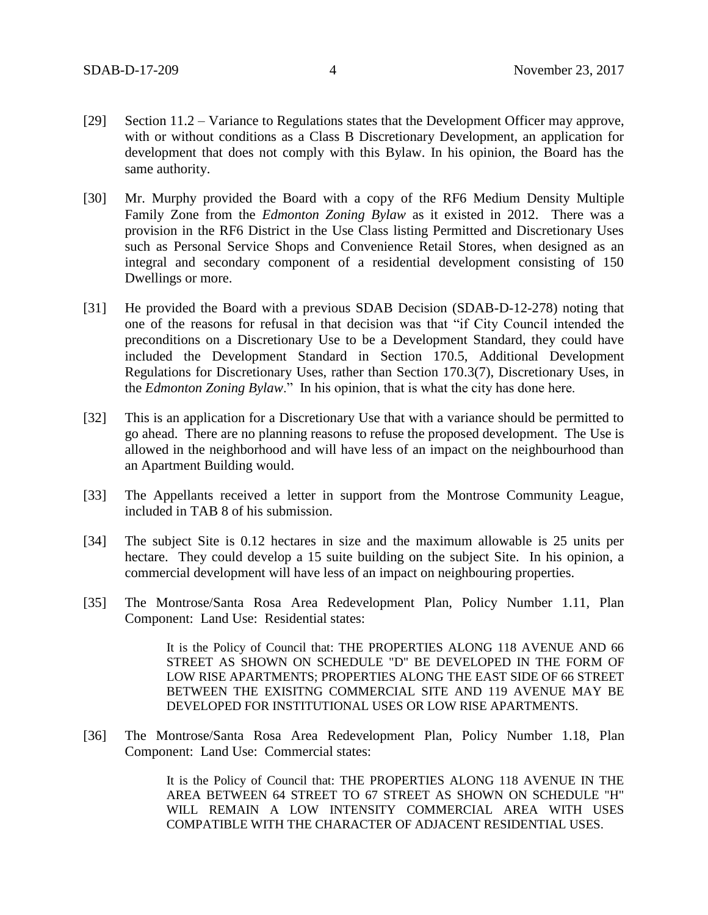- [29] Section 11.2 Variance to Regulations states that the Development Officer may approve, with or without conditions as a Class B Discretionary Development, an application for development that does not comply with this Bylaw. In his opinion, the Board has the same authority.
- [30] Mr. Murphy provided the Board with a copy of the RF6 Medium Density Multiple Family Zone from the *Edmonton Zoning Bylaw* as it existed in 2012. There was a provision in the RF6 District in the Use Class listing Permitted and Discretionary Uses such as Personal Service Shops and Convenience Retail Stores, when designed as an integral and secondary component of a residential development consisting of 150 Dwellings or more.
- [31] He provided the Board with a previous SDAB Decision (SDAB-D-12-278) noting that one of the reasons for refusal in that decision was that "if City Council intended the preconditions on a Discretionary Use to be a Development Standard, they could have included the Development Standard in Section 170.5, Additional Development Regulations for Discretionary Uses, rather than Section 170.3(7), Discretionary Uses, in the *Edmonton Zoning Bylaw*." In his opinion, that is what the city has done here.
- [32] This is an application for a Discretionary Use that with a variance should be permitted to go ahead. There are no planning reasons to refuse the proposed development. The Use is allowed in the neighborhood and will have less of an impact on the neighbourhood than an Apartment Building would.
- [33] The Appellants received a letter in support from the Montrose Community League, included in TAB 8 of his submission.
- [34] The subject Site is 0.12 hectares in size and the maximum allowable is 25 units per hectare. They could develop a 15 suite building on the subject Site. In his opinion, a commercial development will have less of an impact on neighbouring properties.
- [35] The Montrose/Santa Rosa Area Redevelopment Plan, Policy Number 1.11, Plan Component: Land Use: Residential states:

It is the Policy of Council that: THE PROPERTIES ALONG 118 AVENUE AND 66 STREET AS SHOWN ON SCHEDULE "D" BE DEVELOPED IN THE FORM OF LOW RISE APARTMENTS; PROPERTIES ALONG THE EAST SIDE OF 66 STREET BETWEEN THE EXISITNG COMMERCIAL SITE AND 119 AVENUE MAY BE DEVELOPED FOR INSTITUTIONAL USES OR LOW RISE APARTMENTS.

[36] The Montrose/Santa Rosa Area Redevelopment Plan, Policy Number 1.18, Plan Component: Land Use: Commercial states:

> It is the Policy of Council that: THE PROPERTIES ALONG 118 AVENUE IN THE AREA BETWEEN 64 STREET TO 67 STREET AS SHOWN ON SCHEDULE "H" WILL REMAIN A LOW INTENSITY COMMERCIAL AREA WITH USES COMPATIBLE WITH THE CHARACTER OF ADJACENT RESIDENTIAL USES.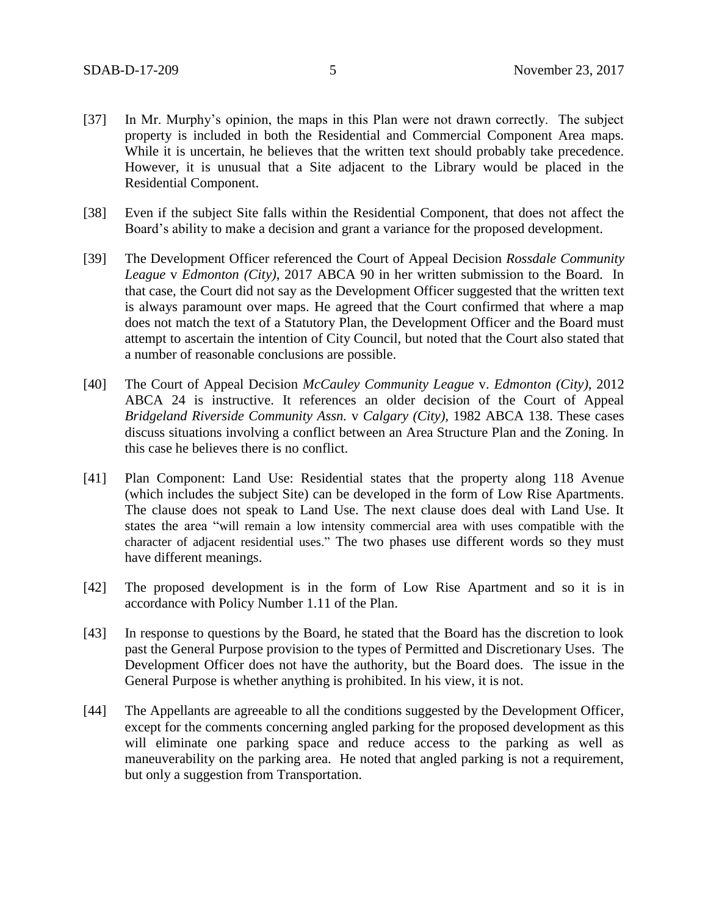- [37] In Mr. Murphy's opinion, the maps in this Plan were not drawn correctly. The subject property is included in both the Residential and Commercial Component Area maps. While it is uncertain, he believes that the written text should probably take precedence. However, it is unusual that a Site adjacent to the Library would be placed in the Residential Component.
- [38] Even if the subject Site falls within the Residential Component, that does not affect the Board's ability to make a decision and grant a variance for the proposed development.
- [39] The Development Officer referenced the Court of Appeal Decision *Rossdale Community League* v *Edmonton (City)*, 2017 ABCA 90 in her written submission to the Board. In that case, the Court did not say as the Development Officer suggested that the written text is always paramount over maps. He agreed that the Court confirmed that where a map does not match the text of a Statutory Plan, the Development Officer and the Board must attempt to ascertain the intention of City Council, but noted that the Court also stated that a number of reasonable conclusions are possible.
- [40] The Court of Appeal Decision *McCauley Community League* v. *Edmonton (City),* 2012 ABCA 24 is instructive. It references an older decision of the Court of Appeal *Bridgeland Riverside Community Assn.* v *Calgary (City),* 1982 ABCA 138. These cases discuss situations involving a conflict between an Area Structure Plan and the Zoning. In this case he believes there is no conflict.
- [41] Plan Component: Land Use: Residential states that the property along 118 Avenue (which includes the subject Site) can be developed in the form of Low Rise Apartments. The clause does not speak to Land Use. The next clause does deal with Land Use. It states the area "will remain a low intensity commercial area with uses compatible with the character of adjacent residential uses." The two phases use different words so they must have different meanings.
- [42] The proposed development is in the form of Low Rise Apartment and so it is in accordance with Policy Number 1.11 of the Plan.
- [43] In response to questions by the Board, he stated that the Board has the discretion to look past the General Purpose provision to the types of Permitted and Discretionary Uses. The Development Officer does not have the authority, but the Board does. The issue in the General Purpose is whether anything is prohibited. In his view, it is not.
- [44] The Appellants are agreeable to all the conditions suggested by the Development Officer, except for the comments concerning angled parking for the proposed development as this will eliminate one parking space and reduce access to the parking as well as maneuverability on the parking area. He noted that angled parking is not a requirement, but only a suggestion from Transportation.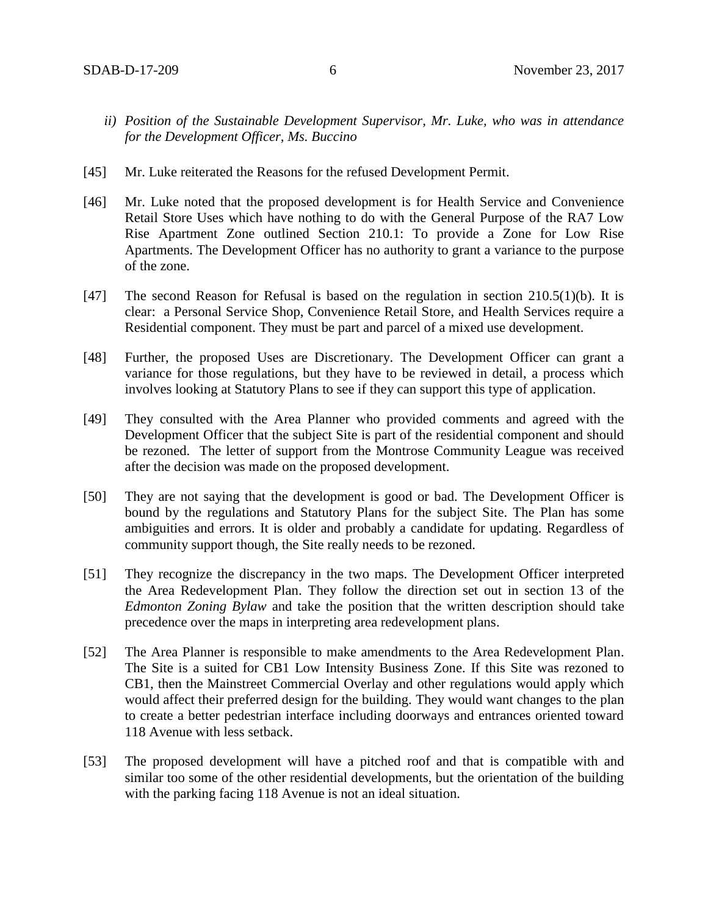- *ii) Position of the Sustainable Development Supervisor, Mr. Luke, who was in attendance for the Development Officer, Ms. Buccino*
- [45] Mr. Luke reiterated the Reasons for the refused Development Permit.
- [46] Mr. Luke noted that the proposed development is for Health Service and Convenience Retail Store Uses which have nothing to do with the General Purpose of the RA7 Low Rise Apartment Zone outlined Section 210.1: To provide a Zone for Low Rise Apartments. The Development Officer has no authority to grant a variance to the purpose of the zone.
- [47] The second Reason for Refusal is based on the regulation in section 210.5(1)(b). It is clear: a Personal Service Shop, Convenience Retail Store, and Health Services require a Residential component. They must be part and parcel of a mixed use development.
- [48] Further, the proposed Uses are Discretionary. The Development Officer can grant a variance for those regulations, but they have to be reviewed in detail, a process which involves looking at Statutory Plans to see if they can support this type of application.
- [49] They consulted with the Area Planner who provided comments and agreed with the Development Officer that the subject Site is part of the residential component and should be rezoned. The letter of support from the Montrose Community League was received after the decision was made on the proposed development.
- [50] They are not saying that the development is good or bad. The Development Officer is bound by the regulations and Statutory Plans for the subject Site. The Plan has some ambiguities and errors. It is older and probably a candidate for updating. Regardless of community support though, the Site really needs to be rezoned.
- [51] They recognize the discrepancy in the two maps. The Development Officer interpreted the Area Redevelopment Plan. They follow the direction set out in section 13 of the *Edmonton Zoning Bylaw* and take the position that the written description should take precedence over the maps in interpreting area redevelopment plans.
- [52] The Area Planner is responsible to make amendments to the Area Redevelopment Plan. The Site is a suited for CB1 Low Intensity Business Zone. If this Site was rezoned to CB1, then the Mainstreet Commercial Overlay and other regulations would apply which would affect their preferred design for the building. They would want changes to the plan to create a better pedestrian interface including doorways and entrances oriented toward 118 Avenue with less setback.
- [53] The proposed development will have a pitched roof and that is compatible with and similar too some of the other residential developments, but the orientation of the building with the parking facing 118 Avenue is not an ideal situation.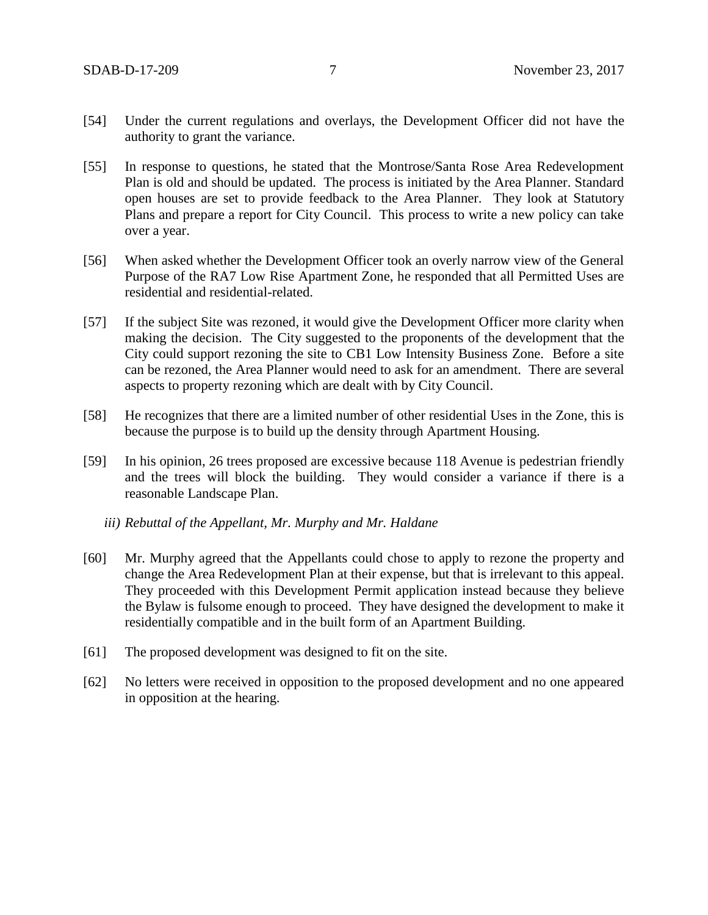- [54] Under the current regulations and overlays, the Development Officer did not have the authority to grant the variance.
- [55] In response to questions, he stated that the Montrose/Santa Rose Area Redevelopment Plan is old and should be updated. The process is initiated by the Area Planner. Standard open houses are set to provide feedback to the Area Planner. They look at Statutory Plans and prepare a report for City Council. This process to write a new policy can take over a year.
- [56] When asked whether the Development Officer took an overly narrow view of the General Purpose of the RA7 Low Rise Apartment Zone, he responded that all Permitted Uses are residential and residential-related.
- [57] If the subject Site was rezoned, it would give the Development Officer more clarity when making the decision. The City suggested to the proponents of the development that the City could support rezoning the site to CB1 Low Intensity Business Zone. Before a site can be rezoned, the Area Planner would need to ask for an amendment. There are several aspects to property rezoning which are dealt with by City Council.
- [58] He recognizes that there are a limited number of other residential Uses in the Zone, this is because the purpose is to build up the density through Apartment Housing.
- [59] In his opinion, 26 trees proposed are excessive because 118 Avenue is pedestrian friendly and the trees will block the building. They would consider a variance if there is a reasonable Landscape Plan.
	- *iii) Rebuttal of the Appellant, Mr. Murphy and Mr. Haldane*
- [60] Mr. Murphy agreed that the Appellants could chose to apply to rezone the property and change the Area Redevelopment Plan at their expense, but that is irrelevant to this appeal. They proceeded with this Development Permit application instead because they believe the Bylaw is fulsome enough to proceed. They have designed the development to make it residentially compatible and in the built form of an Apartment Building.
- [61] The proposed development was designed to fit on the site.
- [62] No letters were received in opposition to the proposed development and no one appeared in opposition at the hearing.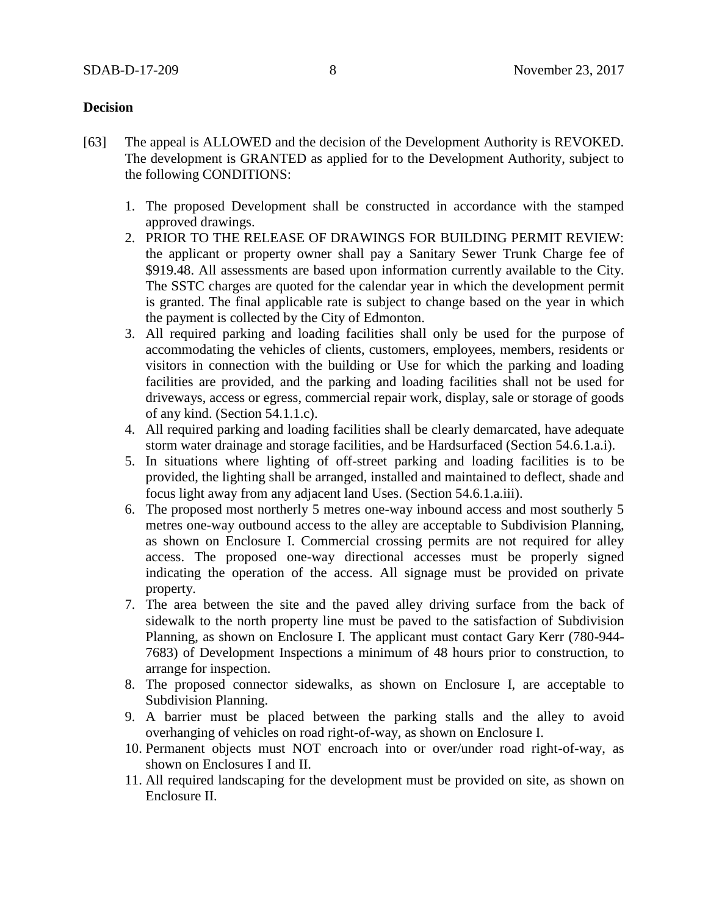# **Decision**

- [63] The appeal is ALLOWED and the decision of the Development Authority is REVOKED. The development is GRANTED as applied for to the Development Authority, subject to the following CONDITIONS:
	- 1. The proposed Development shall be constructed in accordance with the stamped approved drawings.
	- 2. PRIOR TO THE RELEASE OF DRAWINGS FOR BUILDING PERMIT REVIEW: the applicant or property owner shall pay a Sanitary Sewer Trunk Charge fee of \$919.48. All assessments are based upon information currently available to the City. The SSTC charges are quoted for the calendar year in which the development permit is granted. The final applicable rate is subject to change based on the year in which the payment is collected by the City of Edmonton.
	- 3. All required parking and loading facilities shall only be used for the purpose of accommodating the vehicles of clients, customers, employees, members, residents or visitors in connection with the building or Use for which the parking and loading facilities are provided, and the parking and loading facilities shall not be used for driveways, access or egress, commercial repair work, display, sale or storage of goods of any kind. (Section 54.1.1.c).
	- 4. All required parking and loading facilities shall be clearly demarcated, have adequate storm water drainage and storage facilities, and be Hardsurfaced (Section 54.6.1.a.i).
	- 5. In situations where lighting of off-street parking and loading facilities is to be provided, the lighting shall be arranged, installed and maintained to deflect, shade and focus light away from any adjacent land Uses. (Section 54.6.1.a.iii).
	- 6. The proposed most northerly 5 metres one-way inbound access and most southerly 5 metres one-way outbound access to the alley are acceptable to Subdivision Planning, as shown on Enclosure I. Commercial crossing permits are not required for alley access. The proposed one-way directional accesses must be properly signed indicating the operation of the access. All signage must be provided on private property.
	- 7. The area between the site and the paved alley driving surface from the back of sidewalk to the north property line must be paved to the satisfaction of Subdivision Planning, as shown on Enclosure I. The applicant must contact Gary Kerr (780-944- 7683) of Development Inspections a minimum of 48 hours prior to construction, to arrange for inspection.
	- 8. The proposed connector sidewalks, as shown on Enclosure I, are acceptable to Subdivision Planning.
	- 9. A barrier must be placed between the parking stalls and the alley to avoid overhanging of vehicles on road right-of-way, as shown on Enclosure I.
	- 10. Permanent objects must NOT encroach into or over/under road right-of-way, as shown on Enclosures I and II.
	- 11. All required landscaping for the development must be provided on site, as shown on Enclosure II.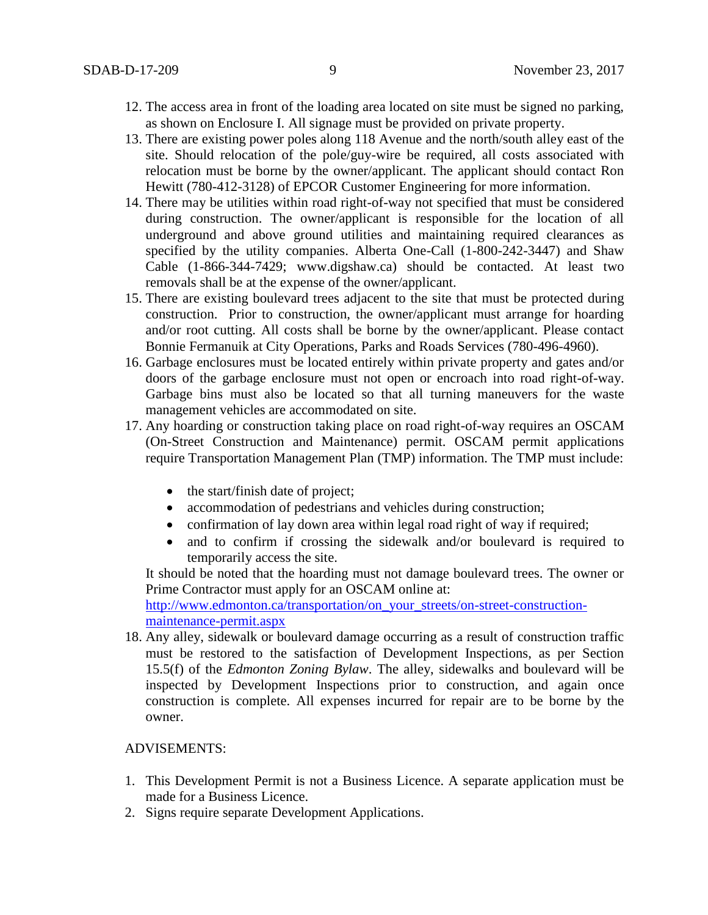- 12. The access area in front of the loading area located on site must be signed no parking, as shown on Enclosure I. All signage must be provided on private property.
- 13. There are existing power poles along 118 Avenue and the north/south alley east of the site. Should relocation of the pole/guy-wire be required, all costs associated with relocation must be borne by the owner/applicant. The applicant should contact Ron Hewitt (780-412-3128) of EPCOR Customer Engineering for more information.
- 14. There may be utilities within road right-of-way not specified that must be considered during construction. The owner/applicant is responsible for the location of all underground and above ground utilities and maintaining required clearances as specified by the utility companies. Alberta One-Call (1-800-242-3447) and Shaw Cable (1-866-344-7429; www.digshaw.ca) should be contacted. At least two removals shall be at the expense of the owner/applicant.
- 15. There are existing boulevard trees adjacent to the site that must be protected during construction. Prior to construction, the owner/applicant must arrange for hoarding and/or root cutting. All costs shall be borne by the owner/applicant. Please contact Bonnie Fermanuik at City Operations, Parks and Roads Services (780-496-4960).
- 16. Garbage enclosures must be located entirely within private property and gates and/or doors of the garbage enclosure must not open or encroach into road right-of-way. Garbage bins must also be located so that all turning maneuvers for the waste management vehicles are accommodated on site.
- 17. Any hoarding or construction taking place on road right-of-way requires an OSCAM (On-Street Construction and Maintenance) permit. OSCAM permit applications require Transportation Management Plan (TMP) information. The TMP must include:
	- the start/finish date of project;
	- accommodation of pedestrians and vehicles during construction;
	- confirmation of lay down area within legal road right of way if required;
	- and to confirm if crossing the sidewalk and/or boulevard is required to temporarily access the site.

It should be noted that the hoarding must not damage boulevard trees. The owner or Prime Contractor must apply for an OSCAM online at:

[http://www.edmonton.ca/transportation/on\\_your\\_streets/on-street-construction](http://www.edmonton.ca/transportation/on_your_streets/on-street-construction-maintenance-permit.aspx)[maintenance-permit.aspx](http://www.edmonton.ca/transportation/on_your_streets/on-street-construction-maintenance-permit.aspx)

18. Any alley, sidewalk or boulevard damage occurring as a result of construction traffic must be restored to the satisfaction of Development Inspections, as per Section 15.5(f) of the *Edmonton Zoning Bylaw*. The alley, sidewalks and boulevard will be inspected by Development Inspections prior to construction, and again once construction is complete. All expenses incurred for repair are to be borne by the owner.

## ADVISEMENTS:

- 1. This Development Permit is not a Business Licence. A separate application must be made for a Business Licence.
- 2. Signs require separate Development Applications.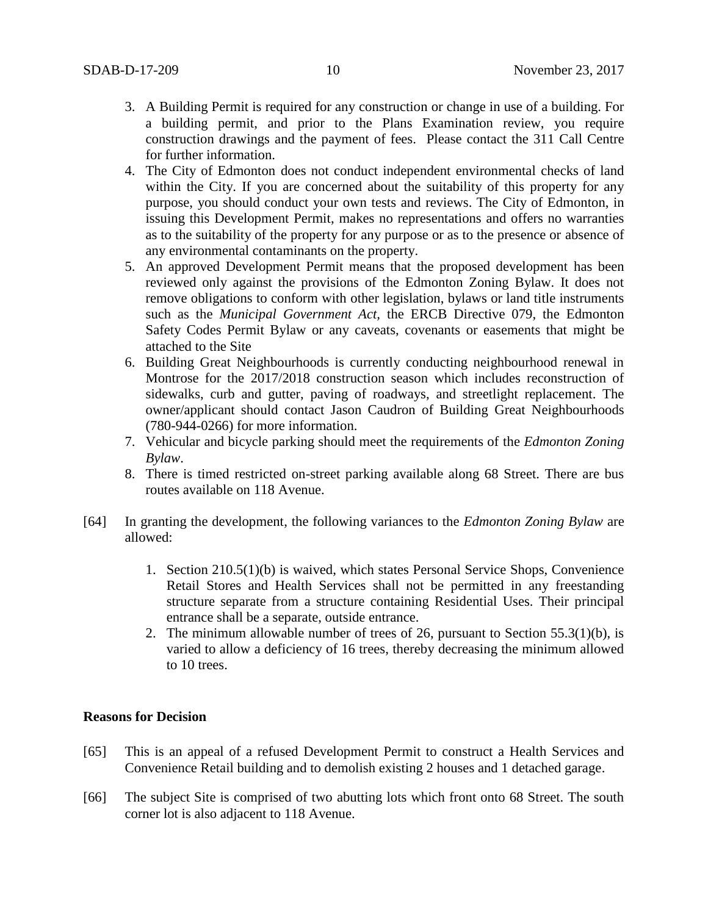- 3. A Building Permit is required for any construction or change in use of a building. For a building permit, and prior to the Plans Examination review, you require construction drawings and the payment of fees. Please contact the 311 Call Centre for further information.
- 4. The City of Edmonton does not conduct independent environmental checks of land within the City. If you are concerned about the suitability of this property for any purpose, you should conduct your own tests and reviews. The City of Edmonton, in issuing this Development Permit, makes no representations and offers no warranties as to the suitability of the property for any purpose or as to the presence or absence of any environmental contaminants on the property.
- 5. An approved Development Permit means that the proposed development has been reviewed only against the provisions of the Edmonton Zoning Bylaw. It does not remove obligations to conform with other legislation, bylaws or land title instruments such as the *Municipal Government Act,* the ERCB Directive 079, the Edmonton Safety Codes Permit Bylaw or any caveats, covenants or easements that might be attached to the Site
- 6. Building Great Neighbourhoods is currently conducting neighbourhood renewal in Montrose for the 2017/2018 construction season which includes reconstruction of sidewalks, curb and gutter, paving of roadways, and streetlight replacement. The owner/applicant should contact Jason Caudron of Building Great Neighbourhoods (780-944-0266) for more information.
- 7. Vehicular and bicycle parking should meet the requirements of the *Edmonton Zoning Bylaw*.
- 8. There is timed restricted on-street parking available along 68 Street. There are bus routes available on 118 Avenue.
- [64] In granting the development, the following variances to the *Edmonton Zoning Bylaw* are allowed:
	- 1. Section 210.5(1)(b) is waived, which states Personal Service Shops, Convenience Retail Stores and Health Services shall not be permitted in any freestanding structure separate from a structure containing Residential Uses. Their principal entrance shall be a separate, outside entrance.
	- 2. The minimum allowable number of trees of 26, pursuant to Section 55.3(1)(b), is varied to allow a deficiency of 16 trees, thereby decreasing the minimum allowed to 10 trees.

## **Reasons for Decision**

- [65] This is an appeal of a refused Development Permit to construct a Health Services and Convenience Retail building and to demolish existing 2 houses and 1 detached garage.
- [66] The subject Site is comprised of two abutting lots which front onto 68 Street. The south corner lot is also adjacent to 118 Avenue.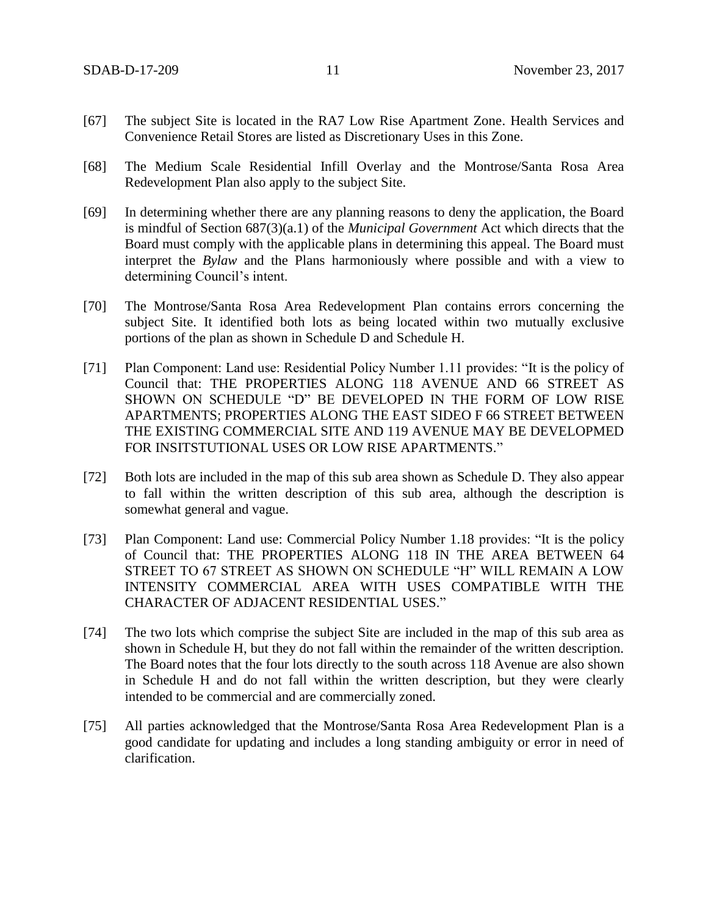- [67] The subject Site is located in the RA7 Low Rise Apartment Zone. Health Services and Convenience Retail Stores are listed as Discretionary Uses in this Zone.
- [68] The Medium Scale Residential Infill Overlay and the Montrose/Santa Rosa Area Redevelopment Plan also apply to the subject Site.
- [69] In determining whether there are any planning reasons to deny the application, the Board is mindful of Section 687(3)(a.1) of the *Municipal Government* Act which directs that the Board must comply with the applicable plans in determining this appeal. The Board must interpret the *Bylaw* and the Plans harmoniously where possible and with a view to determining Council's intent.
- [70] The Montrose/Santa Rosa Area Redevelopment Plan contains errors concerning the subject Site. It identified both lots as being located within two mutually exclusive portions of the plan as shown in Schedule D and Schedule H.
- [71] Plan Component: Land use: Residential Policy Number 1.11 provides: "It is the policy of Council that: THE PROPERTIES ALONG 118 AVENUE AND 66 STREET AS SHOWN ON SCHEDULE "D" BE DEVELOPED IN THE FORM OF LOW RISE APARTMENTS; PROPERTIES ALONG THE EAST SIDEO F 66 STREET BETWEEN THE EXISTING COMMERCIAL SITE AND 119 AVENUE MAY BE DEVELOPMED FOR INSITSTUTIONAL USES OR LOW RISE APARTMENTS."
- [72] Both lots are included in the map of this sub area shown as Schedule D. They also appear to fall within the written description of this sub area, although the description is somewhat general and vague.
- [73] Plan Component: Land use: Commercial Policy Number 1.18 provides: "It is the policy of Council that: THE PROPERTIES ALONG 118 IN THE AREA BETWEEN 64 STREET TO 67 STREET AS SHOWN ON SCHEDULE "H" WILL REMAIN A LOW INTENSITY COMMERCIAL AREA WITH USES COMPATIBLE WITH THE CHARACTER OF ADJACENT RESIDENTIAL USES."
- [74] The two lots which comprise the subject Site are included in the map of this sub area as shown in Schedule H, but they do not fall within the remainder of the written description. The Board notes that the four lots directly to the south across 118 Avenue are also shown in Schedule H and do not fall within the written description, but they were clearly intended to be commercial and are commercially zoned.
- [75] All parties acknowledged that the Montrose/Santa Rosa Area Redevelopment Plan is a good candidate for updating and includes a long standing ambiguity or error in need of clarification.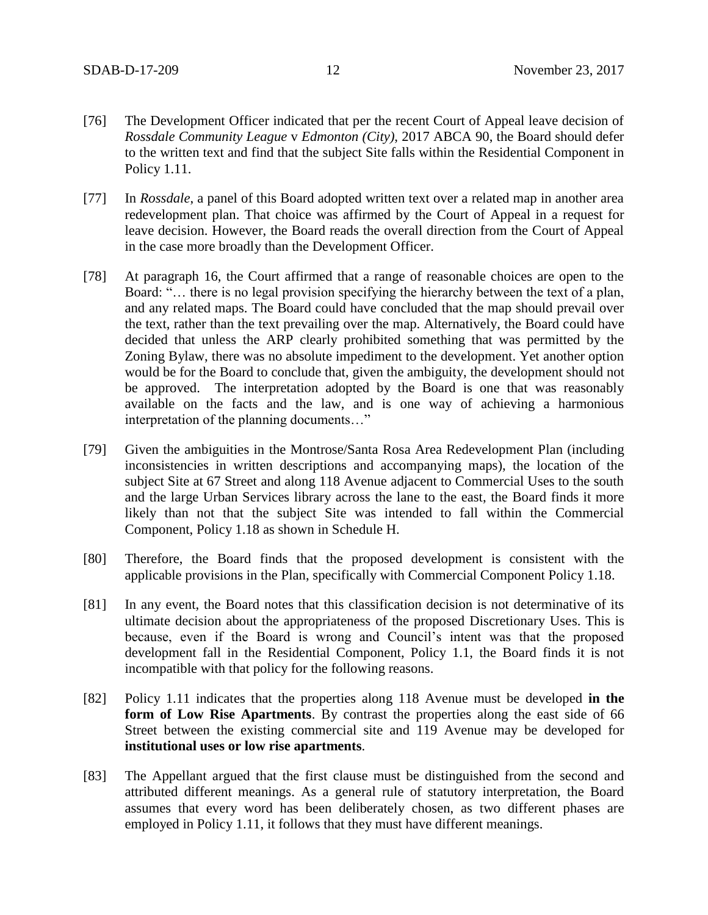- [76] The Development Officer indicated that per the recent Court of Appeal leave decision of *Rossdale Community League* v *Edmonton (City)*, 2017 ABCA 90, the Board should defer to the written text and find that the subject Site falls within the Residential Component in Policy 1.11.
- [77] In *Rossdale*, a panel of this Board adopted written text over a related map in another area redevelopment plan. That choice was affirmed by the Court of Appeal in a request for leave decision. However, the Board reads the overall direction from the Court of Appeal in the case more broadly than the Development Officer.
- [78] At paragraph 16, the Court affirmed that a range of reasonable choices are open to the Board: "… there is no legal provision specifying the hierarchy between the text of a plan, and any related maps. The Board could have concluded that the map should prevail over the text, rather than the text prevailing over the map. Alternatively, the Board could have decided that unless the ARP clearly prohibited something that was permitted by the Zoning Bylaw, there was no absolute impediment to the development. Yet another option would be for the Board to conclude that, given the ambiguity, the development should not be approved. The interpretation adopted by the Board is one that was reasonably available on the facts and the law, and is one way of achieving a harmonious interpretation of the planning documents…"
- [79] Given the ambiguities in the Montrose/Santa Rosa Area Redevelopment Plan (including inconsistencies in written descriptions and accompanying maps), the location of the subject Site at 67 Street and along 118 Avenue adjacent to Commercial Uses to the south and the large Urban Services library across the lane to the east, the Board finds it more likely than not that the subject Site was intended to fall within the Commercial Component, Policy 1.18 as shown in Schedule H.
- [80] Therefore, the Board finds that the proposed development is consistent with the applicable provisions in the Plan, specifically with Commercial Component Policy 1.18.
- [81] In any event, the Board notes that this classification decision is not determinative of its ultimate decision about the appropriateness of the proposed Discretionary Uses. This is because, even if the Board is wrong and Council's intent was that the proposed development fall in the Residential Component, Policy 1.1, the Board finds it is not incompatible with that policy for the following reasons.
- [82] Policy 1.11 indicates that the properties along 118 Avenue must be developed **in the form of Low Rise Apartments**. By contrast the properties along the east side of 66 Street between the existing commercial site and 119 Avenue may be developed for **institutional uses or low rise apartments**.
- [83] The Appellant argued that the first clause must be distinguished from the second and attributed different meanings. As a general rule of statutory interpretation, the Board assumes that every word has been deliberately chosen, as two different phases are employed in Policy 1.11, it follows that they must have different meanings.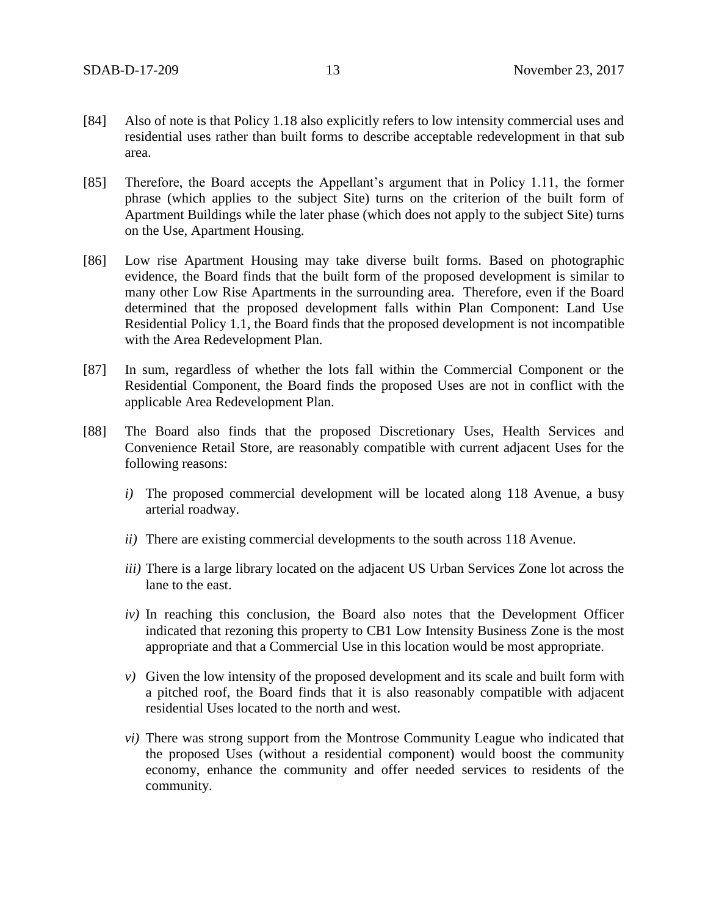- [84] Also of note is that Policy 1.18 also explicitly refers to low intensity commercial uses and residential uses rather than built forms to describe acceptable redevelopment in that sub area.
- [85] Therefore, the Board accepts the Appellant's argument that in Policy 1.11, the former phrase (which applies to the subject Site) turns on the criterion of the built form of Apartment Buildings while the later phase (which does not apply to the subject Site) turns on the Use, Apartment Housing.
- [86] Low rise Apartment Housing may take diverse built forms. Based on photographic evidence, the Board finds that the built form of the proposed development is similar to many other Low Rise Apartments in the surrounding area. Therefore, even if the Board determined that the proposed development falls within Plan Component: Land Use Residential Policy 1.1, the Board finds that the proposed development is not incompatible with the Area Redevelopment Plan.
- [87] In sum, regardless of whether the lots fall within the Commercial Component or the Residential Component, the Board finds the proposed Uses are not in conflict with the applicable Area Redevelopment Plan.
- [88] The Board also finds that the proposed Discretionary Uses, Health Services and Convenience Retail Store, are reasonably compatible with current adjacent Uses for the following reasons:
	- *i)* The proposed commercial development will be located along 118 Avenue, a busy arterial roadway.
	- *ii)* There are existing commercial developments to the south across 118 Avenue.
	- *iii)* There is a large library located on the adjacent US Urban Services Zone lot across the lane to the east.
	- *iv)* In reaching this conclusion, the Board also notes that the Development Officer indicated that rezoning this property to CB1 Low Intensity Business Zone is the most appropriate and that a Commercial Use in this location would be most appropriate.
	- *v)* Given the low intensity of the proposed development and its scale and built form with a pitched roof, the Board finds that it is also reasonably compatible with adjacent residential Uses located to the north and west.
	- *vi)* There was strong support from the Montrose Community League who indicated that the proposed Uses (without a residential component) would boost the community economy, enhance the community and offer needed services to residents of the community.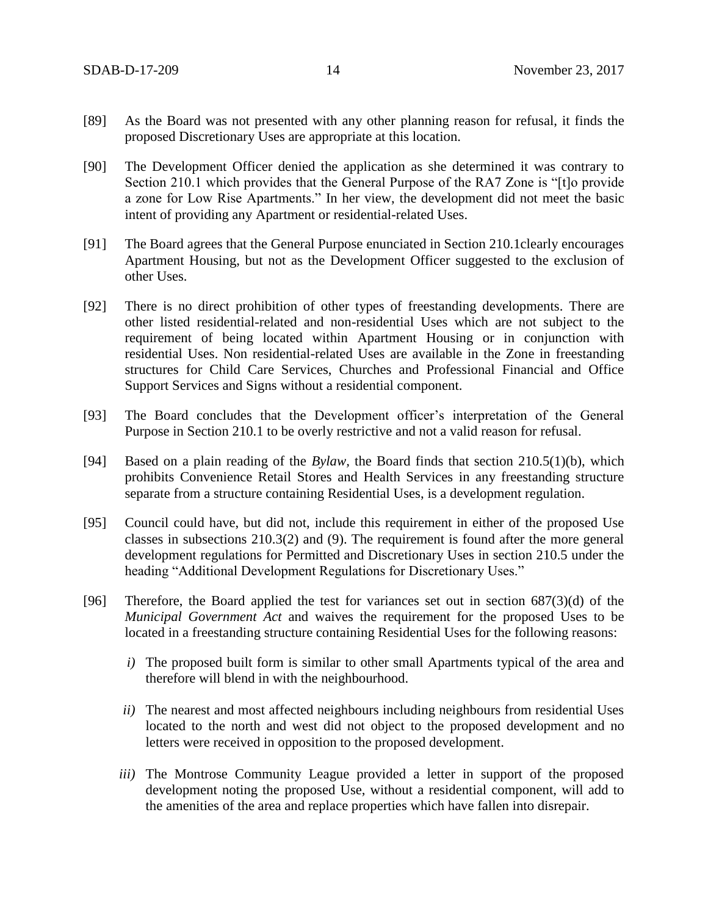- [89] As the Board was not presented with any other planning reason for refusal, it finds the proposed Discretionary Uses are appropriate at this location.
- [90] The Development Officer denied the application as she determined it was contrary to Section 210.1 which provides that the General Purpose of the RA7 Zone is "[t]o provide a zone for Low Rise Apartments." In her view, the development did not meet the basic intent of providing any Apartment or residential-related Uses.
- [91] The Board agrees that the General Purpose enunciated in Section 210.1clearly encourages Apartment Housing, but not as the Development Officer suggested to the exclusion of other Uses.
- [92] There is no direct prohibition of other types of freestanding developments. There are other listed residential-related and non-residential Uses which are not subject to the requirement of being located within Apartment Housing or in conjunction with residential Uses. Non residential-related Uses are available in the Zone in freestanding structures for Child Care Services, Churches and Professional Financial and Office Support Services and Signs without a residential component.
- [93] The Board concludes that the Development officer's interpretation of the General Purpose in Section 210.1 to be overly restrictive and not a valid reason for refusal.
- [94] Based on a plain reading of the *Bylaw,* the Board finds that section 210.5(1)(b), which prohibits Convenience Retail Stores and Health Services in any freestanding structure separate from a structure containing Residential Uses, is a development regulation.
- [95] Council could have, but did not, include this requirement in either of the proposed Use classes in subsections 210.3(2) and (9). The requirement is found after the more general development regulations for Permitted and Discretionary Uses in section 210.5 under the heading "Additional Development Regulations for Discretionary Uses."
- [96] Therefore, the Board applied the test for variances set out in section  $687(3)(d)$  of the *Municipal Government Act* and waives the requirement for the proposed Uses to be located in a freestanding structure containing Residential Uses for the following reasons:
	- *i)* The proposed built form is similar to other small Apartments typical of the area and therefore will blend in with the neighbourhood.
	- *ii*) The nearest and most affected neighbours including neighbours from residential Uses located to the north and west did not object to the proposed development and no letters were received in opposition to the proposed development.
	- *iii*) The Montrose Community League provided a letter in support of the proposed development noting the proposed Use, without a residential component, will add to the amenities of the area and replace properties which have fallen into disrepair.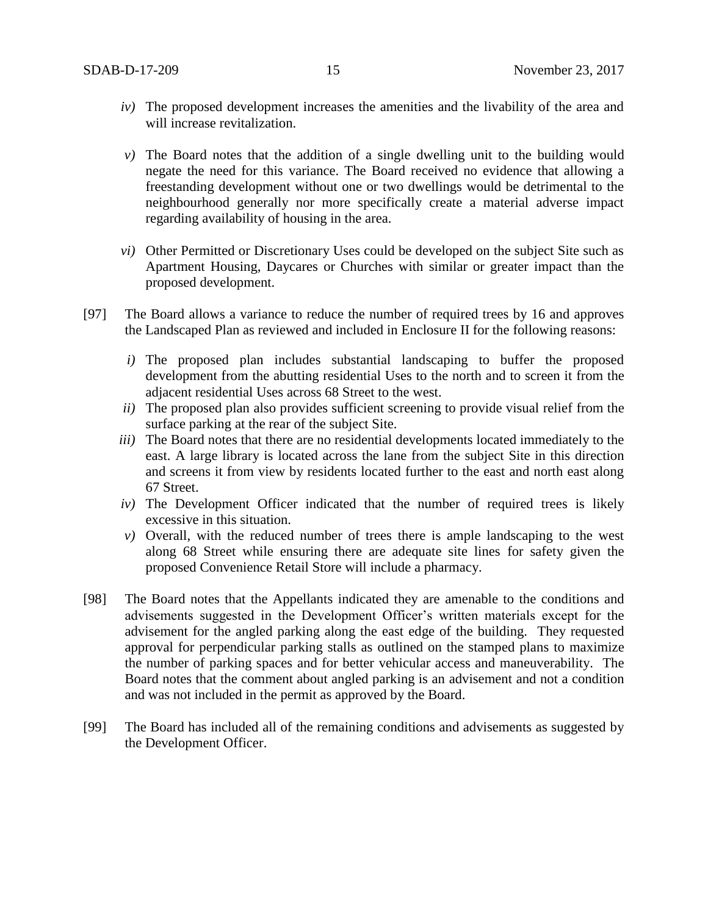- *iv)* The proposed development increases the amenities and the livability of the area and will increase revitalization.
- *v)* The Board notes that the addition of a single dwelling unit to the building would negate the need for this variance. The Board received no evidence that allowing a freestanding development without one or two dwellings would be detrimental to the neighbourhood generally nor more specifically create a material adverse impact regarding availability of housing in the area.
- *vi)* Other Permitted or Discretionary Uses could be developed on the subject Site such as Apartment Housing, Daycares or Churches with similar or greater impact than the proposed development.
- [97] The Board allows a variance to reduce the number of required trees by 16 and approves the Landscaped Plan as reviewed and included in Enclosure II for the following reasons:
	- *i)* The proposed plan includes substantial landscaping to buffer the proposed development from the abutting residential Uses to the north and to screen it from the adjacent residential Uses across 68 Street to the west.
	- *ii)* The proposed plan also provides sufficient screening to provide visual relief from the surface parking at the rear of the subject Site.
	- *iii)* The Board notes that there are no residential developments located immediately to the east. A large library is located across the lane from the subject Site in this direction and screens it from view by residents located further to the east and north east along 67 Street.
	- *iv)* The Development Officer indicated that the number of required trees is likely excessive in this situation.
	- *v)* Overall, with the reduced number of trees there is ample landscaping to the west along 68 Street while ensuring there are adequate site lines for safety given the proposed Convenience Retail Store will include a pharmacy.
- [98] The Board notes that the Appellants indicated they are amenable to the conditions and advisements suggested in the Development Officer's written materials except for the advisement for the angled parking along the east edge of the building. They requested approval for perpendicular parking stalls as outlined on the stamped plans to maximize the number of parking spaces and for better vehicular access and maneuverability. The Board notes that the comment about angled parking is an advisement and not a condition and was not included in the permit as approved by the Board.
- [99] The Board has included all of the remaining conditions and advisements as suggested by the Development Officer.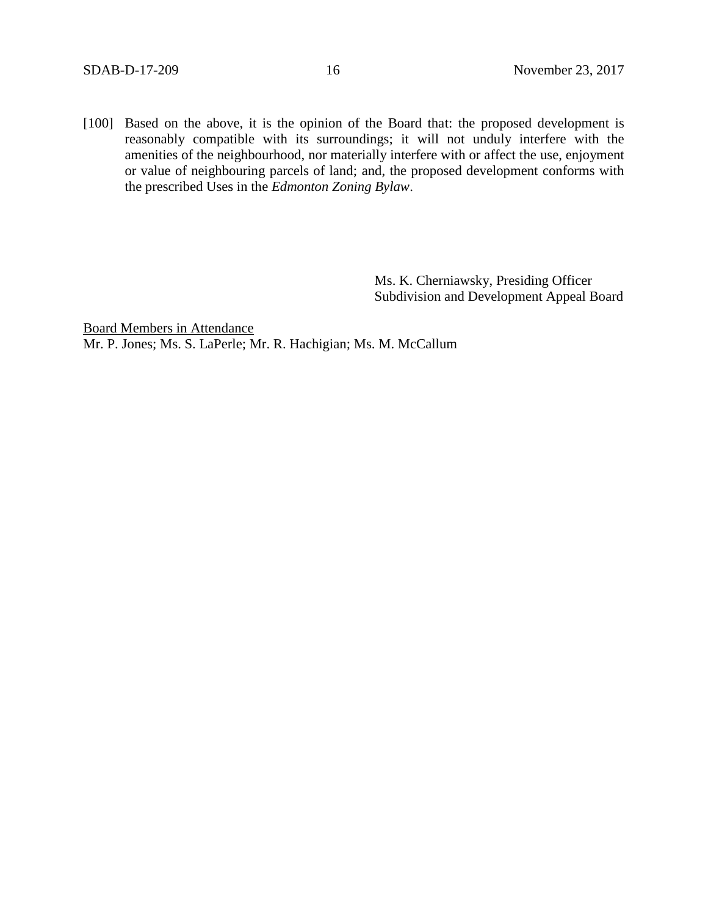[100] Based on the above, it is the opinion of the Board that: the proposed development is reasonably compatible with its surroundings; it will not unduly interfere with the amenities of the neighbourhood, nor materially interfere with or affect the use, enjoyment or value of neighbouring parcels of land; and, the proposed development conforms with the prescribed Uses in the *Edmonton Zoning Bylaw*.

> Ms. K. Cherniawsky, Presiding Officer Subdivision and Development Appeal Board

Board Members in Attendance Mr. P. Jones; Ms. S. LaPerle; Mr. R. Hachigian; Ms. M. McCallum